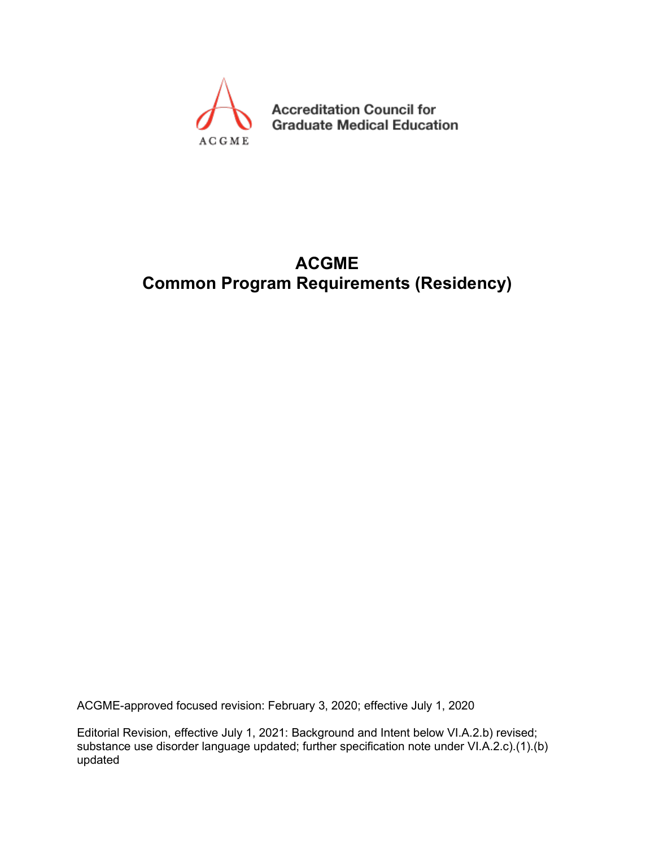

**Accreditation Council for Graduate Medical Education** 

# **ACGME Common Program Requirements (Residency)**

ACGME-approved focused revision: February 3, 2020; effective July 1, 2020

Editorial Revision, effective July 1, 2021: Background and Intent below VI.A.2.b) revised; substance use disorder language updated; further specification note under VI.A.2.c).(1).(b) updated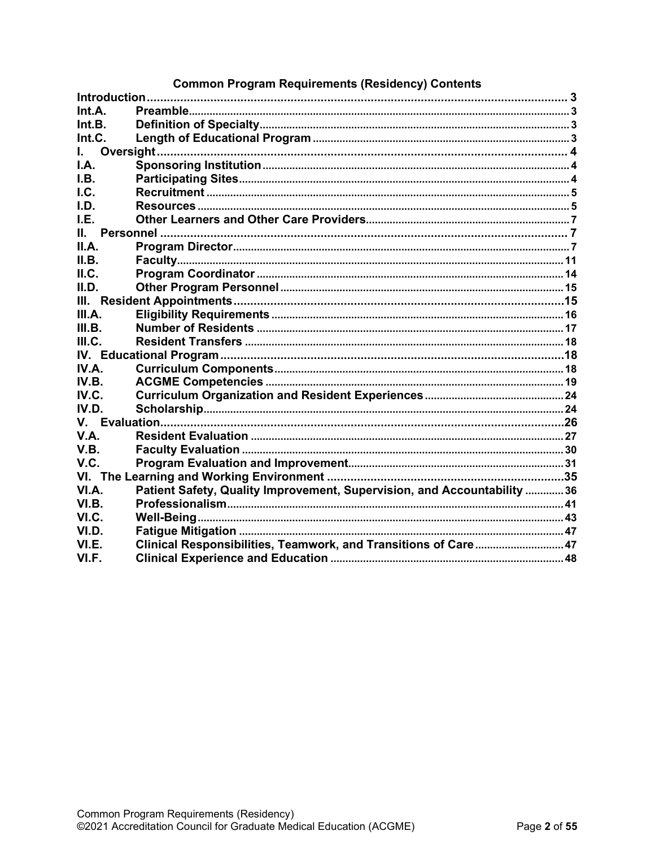|               | Common Program Requirements (Residency) Contents                        |  |
|---------------|-------------------------------------------------------------------------|--|
| Introduction. |                                                                         |  |
| Int.A.        |                                                                         |  |
| Int.B.        |                                                                         |  |
| Int.C.        |                                                                         |  |
| $\mathbf{L}$  |                                                                         |  |
| IA.           |                                                                         |  |
| LB.           |                                                                         |  |
| I.C.          |                                                                         |  |
| I.D.          |                                                                         |  |
| I.E.          |                                                                         |  |
| II.           |                                                                         |  |
| II.A.         |                                                                         |  |
| II.B.         |                                                                         |  |
| II.C.         |                                                                         |  |
| II.D.         |                                                                         |  |
| Ш.            |                                                                         |  |
| III.A.        |                                                                         |  |
| III.B.        |                                                                         |  |
| III.C.        |                                                                         |  |
|               |                                                                         |  |
| IV.A.         |                                                                         |  |
| IV.B.         |                                                                         |  |
| IV.C.         |                                                                         |  |
| IV.D.         |                                                                         |  |
|               |                                                                         |  |
| V.A.          |                                                                         |  |
| V.B.          |                                                                         |  |
| V.C.          |                                                                         |  |
|               |                                                                         |  |
| VI.A.         | Patient Safety, Quality Improvement, Supervision, and Accountability 36 |  |
| VI.B.         |                                                                         |  |
| VI.C.         |                                                                         |  |
| VI.D.         |                                                                         |  |
| VI.E.         | Clinical Responsibilities, Teamwork, and Transitions of Care 47         |  |
| VI.F.         |                                                                         |  |
|               |                                                                         |  |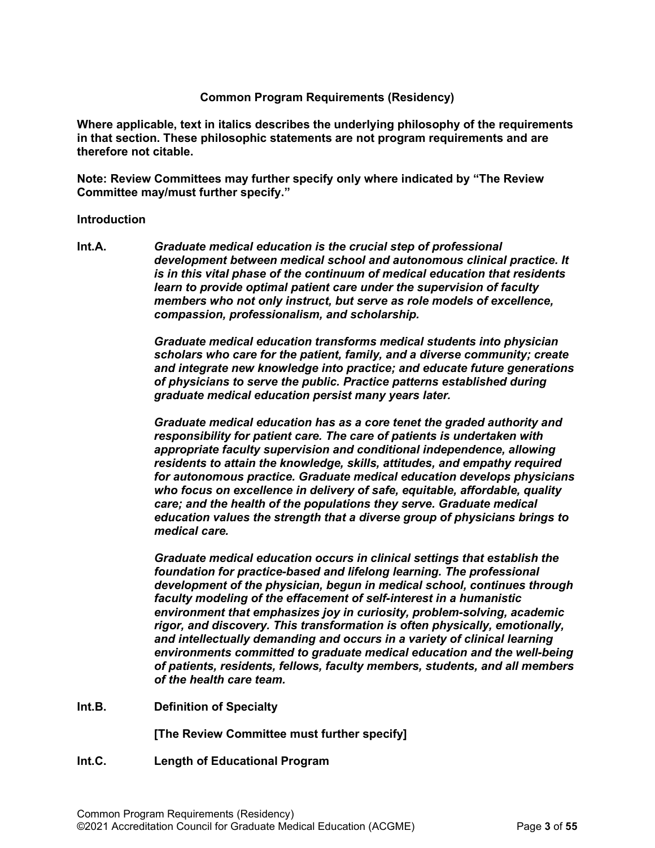#### **Common Program Requirements (Residency)**

**Where applicable, text in italics describes the underlying philosophy of the requirements in that section. These philosophic statements are not program requirements and are therefore not citable.**

**Note: Review Committees may further specify only where indicated by "The Review Committee may/must further specify."**

#### <span id="page-2-0"></span>**Introduction**

<span id="page-2-1"></span>**Int.A.** *Graduate medical education is the crucial step of professional development between medical school and autonomous clinical practice. It is in this vital phase of the continuum of medical education that residents learn to provide optimal patient care under the supervision of faculty members who not only instruct, but serve as role models of excellence, compassion, professionalism, and scholarship.*

> *Graduate medical education transforms medical students into physician scholars who care for the patient, family, and a diverse community; create and integrate new knowledge into practice; and educate future generations of physicians to serve the public. Practice patterns established during graduate medical education persist many years later.*

> *Graduate medical education has as a core tenet the graded authority and responsibility for patient care. The care of patients is undertaken with appropriate faculty supervision and conditional independence, allowing residents to attain the knowledge, skills, attitudes, and empathy required for autonomous practice. Graduate medical education develops physicians who focus on excellence in delivery of safe, equitable, affordable, quality care; and the health of the populations they serve. Graduate medical education values the strength that a diverse group of physicians brings to medical care.*

> *Graduate medical education occurs in clinical settings that establish the foundation for practice-based and lifelong learning. The professional development of the physician, begun in medical school, continues through faculty modeling of the effacement of self-interest in a humanistic environment that emphasizes joy in curiosity, problem-solving, academic rigor, and discovery. This transformation is often physically, emotionally, and intellectually demanding and occurs in a variety of clinical learning environments committed to graduate medical education and the well-being of patients, residents, fellows, faculty members, students, and all members of the health care team.*

<span id="page-2-2"></span>**Int.B. Definition of Specialty**

**[The Review Committee must further specify]**

<span id="page-2-3"></span>**Int.C. Length of Educational Program**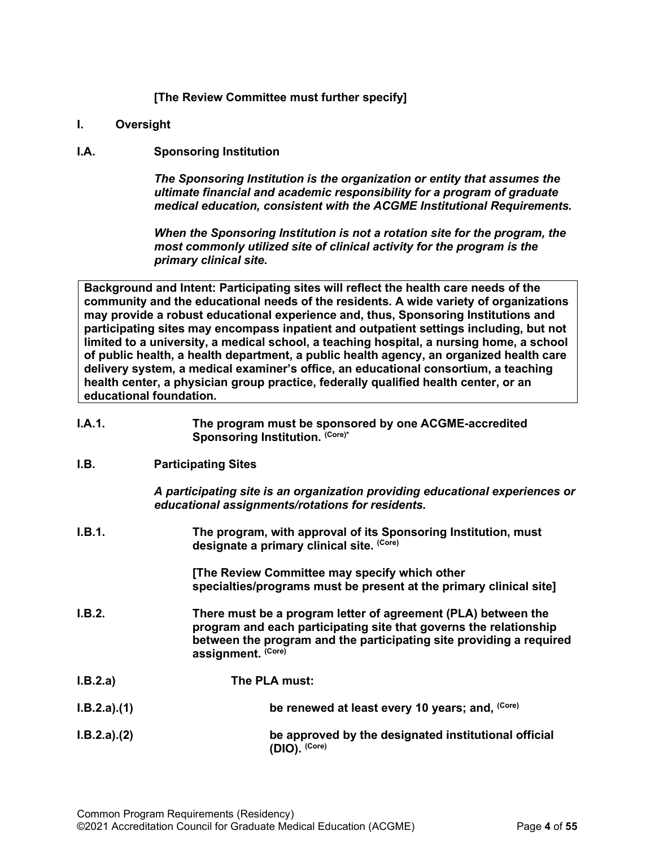# **[The Review Committee must further specify]**

- <span id="page-3-0"></span>**I. Oversight**
- <span id="page-3-1"></span>**I.A. Sponsoring Institution**

*The Sponsoring Institution is the organization or entity that assumes the ultimate financial and academic responsibility for a program of graduate medical education, consistent with the ACGME Institutional Requirements.*

*When the Sponsoring Institution is not a rotation site for the program, the most commonly utilized site of clinical activity for the program is the primary clinical site.*

**Background and Intent: Participating sites will reflect the health care needs of the community and the educational needs of the residents. A wide variety of organizations may provide a robust educational experience and, thus, Sponsoring Institutions and participating sites may encompass inpatient and outpatient settings including, but not limited to a university, a medical school, a teaching hospital, a nursing home, a school of public health, a health department, a public health agency, an organized health care delivery system, a medical examiner's office, an educational consortium, a teaching health center, a physician group practice, federally qualified health center, or an educational foundation.**

<span id="page-3-2"></span>

| I.A.1.      | The program must be sponsored by one ACGME-accredited<br>Sponsoring Institution. (Core)*                                                                                                                                        |
|-------------|---------------------------------------------------------------------------------------------------------------------------------------------------------------------------------------------------------------------------------|
| I.B.        | <b>Participating Sites</b>                                                                                                                                                                                                      |
|             | A participating site is an organization providing educational experiences or<br>educational assignments/rotations for residents.                                                                                                |
| I.B.1.      | The program, with approval of its Sponsoring Institution, must<br>designate a primary clinical site. (Core)                                                                                                                     |
|             | [The Review Committee may specify which other<br>specialties/programs must be present at the primary clinical site]                                                                                                             |
| I.B.2.      | There must be a program letter of agreement (PLA) between the<br>program and each participating site that governs the relationship<br>between the program and the participating site providing a required<br>assignment. (Core) |
| I.B.2.a)    | The PLA must:                                                                                                                                                                                                                   |
| I.B.2.a)(1) | be renewed at least every 10 years; and, (Core)                                                                                                                                                                                 |
| I.B.2.a)(2) | be approved by the designated institutional official<br>(DIO). (Core)                                                                                                                                                           |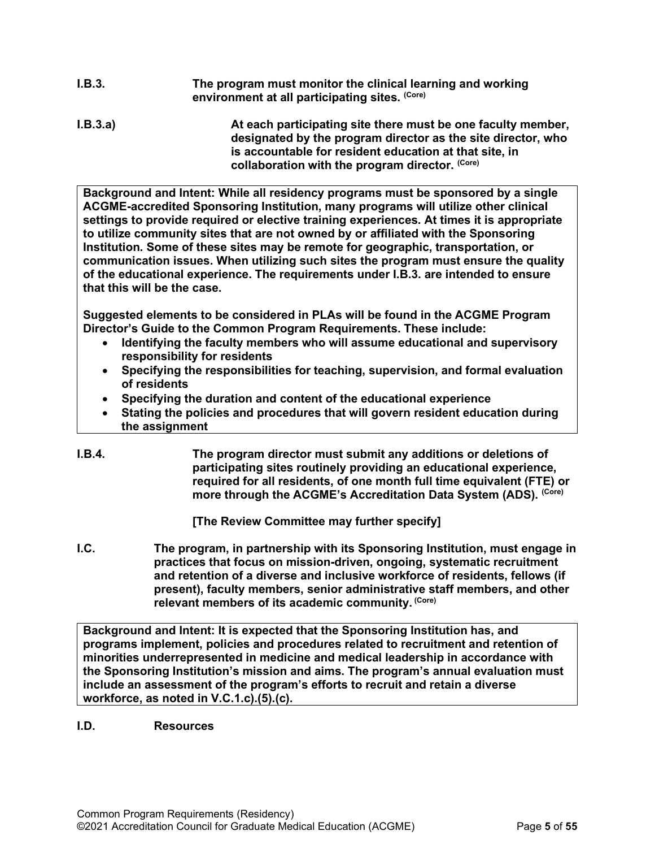- **I.B.3. The program must monitor the clinical learning and working environment at all participating sites. (Core)**
- **I.B.3.a) At each participating site there must be one faculty member, designated by the program director as the site director, who is accountable for resident education at that site, in collaboration with the program director. (Core)**

**Background and Intent: While all residency programs must be sponsored by a single ACGME-accredited Sponsoring Institution, many programs will utilize other clinical settings to provide required or elective training experiences. At times it is appropriate to utilize community sites that are not owned by or affiliated with the Sponsoring Institution. Some of these sites may be remote for geographic, transportation, or communication issues. When utilizing such sites the program must ensure the quality of the educational experience. The requirements under I.B.3. are intended to ensure that this will be the case.**

**Suggested elements to be considered in PLAs will be found in the ACGME Program Director's Guide to the Common Program Requirements. These include:**

- **Identifying the faculty members who will assume educational and supervisory responsibility for residents**
- **Specifying the responsibilities for teaching, supervision, and formal evaluation of residents**
- **Specifying the duration and content of the educational experience**
- **Stating the policies and procedures that will govern resident education during the assignment**
- **I.B.4. The program director must submit any additions or deletions of participating sites routinely providing an educational experience, required for all residents, of one month full time equivalent (FTE) or more through the ACGME's Accreditation Data System (ADS). (Core)**

**[The Review Committee may further specify]**

<span id="page-4-0"></span>**I.C. The program, in partnership with its Sponsoring Institution, must engage in practices that focus on mission-driven, ongoing, systematic recruitment and retention of a diverse and inclusive workforce of residents, fellows (if present), faculty members, senior administrative staff members, and other relevant members of its academic community. (Core)**

**Background and Intent: It is expected that the Sponsoring Institution has, and programs implement, policies and procedures related to recruitment and retention of minorities underrepresented in medicine and medical leadership in accordance with the Sponsoring Institution's mission and aims. The program's annual evaluation must include an assessment of the program's efforts to recruit and retain a diverse workforce, as noted in V.C.1.c).(5).(c).**

<span id="page-4-1"></span>**I.D. Resources**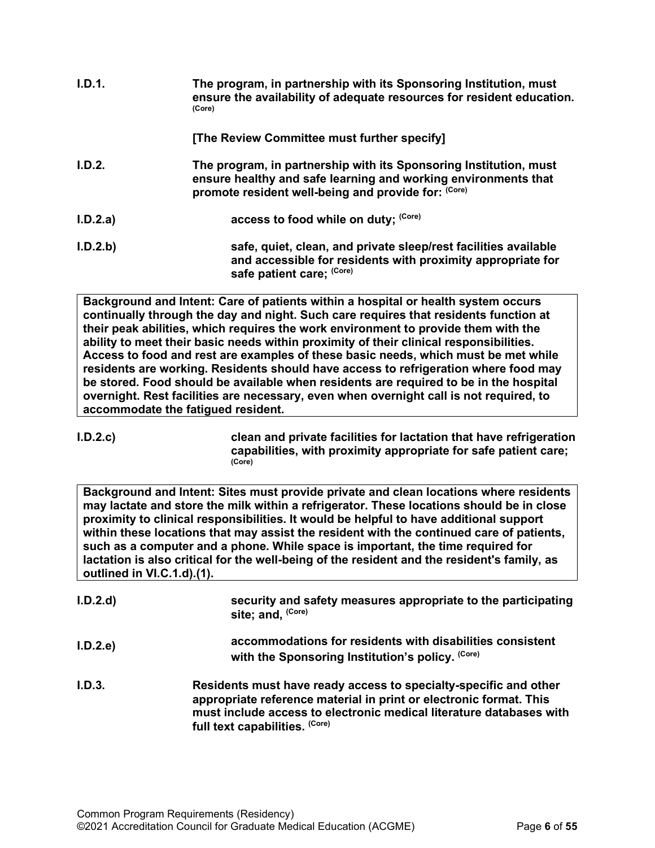| I.D.1.   | The program, in partnership with its Sponsoring Institution, must<br>ensure the availability of adequate resources for resident education.<br>(Core)                                       |
|----------|--------------------------------------------------------------------------------------------------------------------------------------------------------------------------------------------|
|          | [The Review Committee must further specify]                                                                                                                                                |
| I.D.2.   | The program, in partnership with its Sponsoring Institution, must<br>ensure healthy and safe learning and working environments that<br>promote resident well-being and provide for: (Core) |
| I.D.2.a) | access to food while on duty; (Core)                                                                                                                                                       |
| I.D.2.b  | safe, quiet, clean, and private sleep/rest facilities available<br>and accessible for residents with proximity appropriate for<br>safe patient care; (Core)                                |

**Background and Intent: Care of patients within a hospital or health system occurs continually through the day and night. Such care requires that residents function at their peak abilities, which requires the work environment to provide them with the ability to meet their basic needs within proximity of their clinical responsibilities. Access to food and rest are examples of these basic needs, which must be met while residents are working. Residents should have access to refrigeration where food may be stored. Food should be available when residents are required to be in the hospital overnight. Rest facilities are necessary, even when overnight call is not required, to accommodate the fatigued resident.**

**I.D.2.c) clean and private facilities for lactation that have refrigeration capabilities, with proximity appropriate for safe patient care; (Core)**

**Background and Intent: Sites must provide private and clean locations where residents may lactate and store the milk within a refrigerator. These locations should be in close proximity to clinical responsibilities. It would be helpful to have additional support within these locations that may assist the resident with the continued care of patients, such as a computer and a phone. While space is important, the time required for lactation is also critical for the well-being of the resident and the resident's family, as outlined in VI.C.1.d).(1).**

| I.D.2.d | security and safety measures appropriate to the participating<br>site; and, (Core)                                                                                                                                                              |
|---------|-------------------------------------------------------------------------------------------------------------------------------------------------------------------------------------------------------------------------------------------------|
| I.D.2.e | accommodations for residents with disabilities consistent<br>with the Sponsoring Institution's policy. (Core)                                                                                                                                   |
| I.D.3.  | Residents must have ready access to specialty-specific and other<br>appropriate reference material in print or electronic format. This<br>must include access to electronic medical literature databases with<br>full text capabilities. (Core) |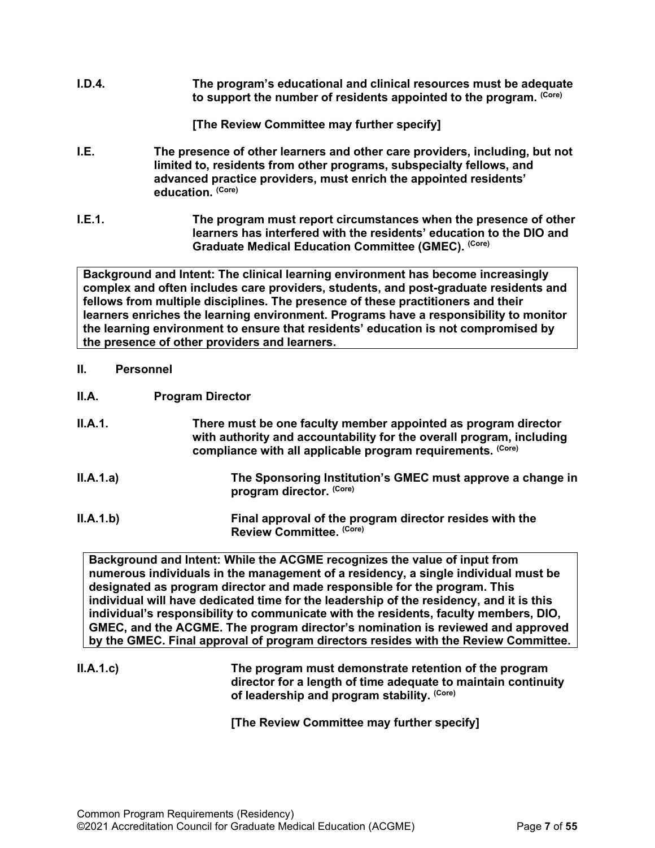**I.D.4. The program's educational and clinical resources must be adequate to support the number of residents appointed to the program. (Core)**

**[The Review Committee may further specify]**

- <span id="page-6-0"></span>**I.E. The presence of other learners and other care providers, including, but not limited to, residents from other programs, subspecialty fellows, and advanced practice providers, must enrich the appointed residents' education. (Core)**
- **I.E.1. The program must report circumstances when the presence of other learners has interfered with the residents' education to the DIO and Graduate Medical Education Committee (GMEC). (Core)**

**Background and Intent: The clinical learning environment has become increasingly complex and often includes care providers, students, and post-graduate residents and fellows from multiple disciplines. The presence of these practitioners and their learners enriches the learning environment. Programs have a responsibility to monitor the learning environment to ensure that residents' education is not compromised by the presence of other providers and learners.**

- <span id="page-6-1"></span>**II. Personnel**
- <span id="page-6-2"></span>**II.A. Program Director**
- **II.A.1. There must be one faculty member appointed as program director with authority and accountability for the overall program, including compliance with all applicable program requirements. (Core)**
- **II.A.1.a) The Sponsoring Institution's GMEC must approve a change in program director. (Core)**
- **II.A.1.b) Final approval of the program director resides with the Review Committee. (Core)**

**Background and Intent: While the ACGME recognizes the value of input from numerous individuals in the management of a residency, a single individual must be designated as program director and made responsible for the program. This individual will have dedicated time for the leadership of the residency, and it is this individual's responsibility to communicate with the residents, faculty members, DIO, GMEC, and the ACGME. The program director's nomination is reviewed and approved by the GMEC. Final approval of program directors resides with the Review Committee.**

**II.A.1.c) The program must demonstrate retention of the program director for a length of time adequate to maintain continuity of leadership and program stability. (Core)**

**[The Review Committee may further specify]**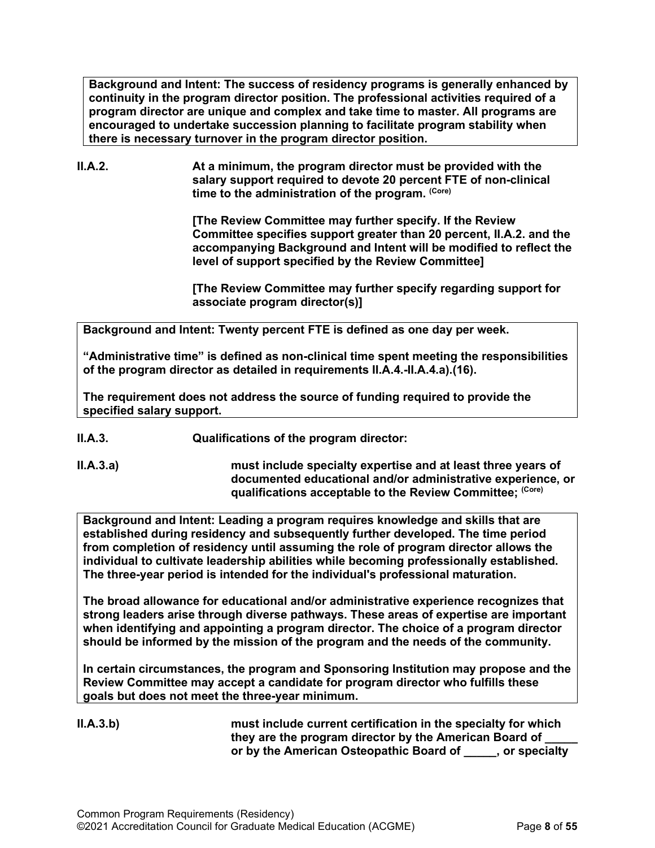**Background and Intent: The success of residency programs is generally enhanced by continuity in the program director position. The professional activities required of a program director are unique and complex and take time to master. All programs are encouraged to undertake succession planning to facilitate program stability when there is necessary turnover in the program director position.**

**II.A.2. At a minimum, the program director must be provided with the salary support required to devote 20 percent FTE of non-clinical**  time to the administration of the program. (Core)

> **[The Review Committee may further specify. If the Review Committee specifies support greater than 20 percent, II.A.2. and the accompanying Background and Intent will be modified to reflect the level of support specified by the Review Committee]**

**[The Review Committee may further specify regarding support for associate program director(s)]**

**Background and Intent: Twenty percent FTE is defined as one day per week.** 

**"Administrative time" is defined as non-clinical time spent meeting the responsibilities of the program director as detailed in requirements II.A.4.-II.A.4.a).(16).** 

**The requirement does not address the source of funding required to provide the specified salary support.**

**II.A.3. Qualifications of the program director:**

**II.A.3.a) must include specialty expertise and at least three years of documented educational and/or administrative experience, or qualifications acceptable to the Review Committee; (Core)**

**Background and Intent: Leading a program requires knowledge and skills that are established during residency and subsequently further developed. The time period from completion of residency until assuming the role of program director allows the individual to cultivate leadership abilities while becoming professionally established. The three-year period is intended for the individual's professional maturation.**

**The broad allowance for educational and/or administrative experience recognizes that strong leaders arise through diverse pathways. These areas of expertise are important when identifying and appointing a program director. The choice of a program director should be informed by the mission of the program and the needs of the community.**

**In certain circumstances, the program and Sponsoring Institution may propose and the Review Committee may accept a candidate for program director who fulfills these goals but does not meet the three-year minimum.**

**II.A.3.b) must include current certification in the specialty for which they are the program director by the American Board of \_\_\_\_\_ or by the American Osteopathic Board of \_\_\_\_\_, or specialty**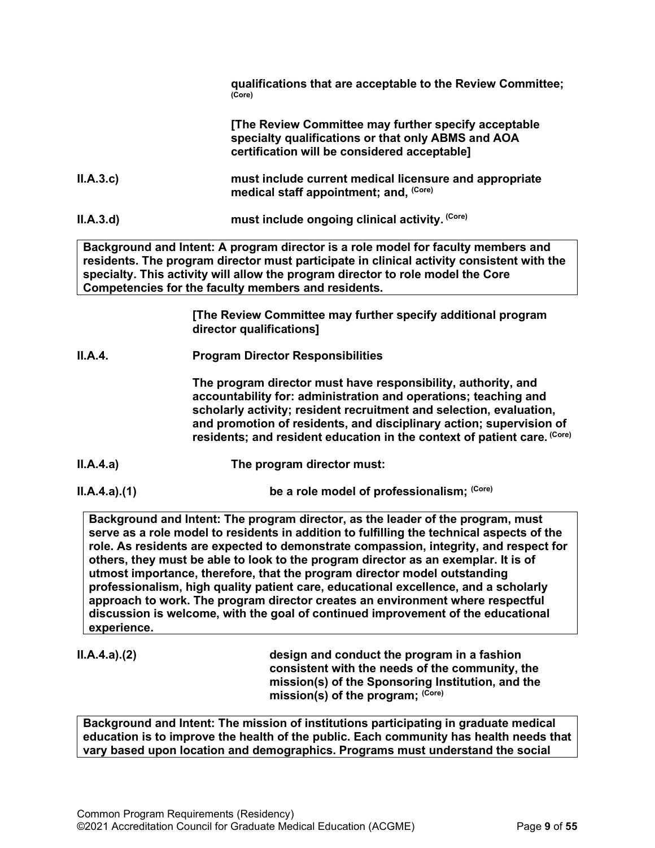|          | qualifications that are acceptable to the Review Committee;<br>(Core)                                                                                                                                                                                                                                                    |
|----------|--------------------------------------------------------------------------------------------------------------------------------------------------------------------------------------------------------------------------------------------------------------------------------------------------------------------------|
|          | [The Review Committee may further specify acceptable<br>specialty qualifications or that only ABMS and AOA<br>certification will be considered acceptable]                                                                                                                                                               |
| II.A.3.c | must include current medical licensure and appropriate<br>medical staff appointment; and, (Core)                                                                                                                                                                                                                         |
| II.A.3.d | must include ongoing clinical activity. (Core)                                                                                                                                                                                                                                                                           |
|          | Background and Intent: A program director is a role model for faculty members and<br>residents. The program director must participate in clinical activity consistent with the<br>specialty. This activity will allow the program director to role model the Core<br>Competencies for the faculty members and residents. |
|          | [The Review Committee may further specify additional program<br>director qualifications]                                                                                                                                                                                                                                 |

**II.A.4. Program Director Responsibilities**

**The program director must have responsibility, authority, and accountability for: administration and operations; teaching and scholarly activity; resident recruitment and selection, evaluation, and promotion of residents, and disciplinary action; supervision of residents; and resident education in the context of patient care. (Core)**

- **II.A.4.a) The program director must:**
- 

**II.A.4.a).(1) be a role model of professionalism;** (Core)

**Background and Intent: The program director, as the leader of the program, must serve as a role model to residents in addition to fulfilling the technical aspects of the role. As residents are expected to demonstrate compassion, integrity, and respect for others, they must be able to look to the program director as an exemplar. It is of utmost importance, therefore, that the program director model outstanding professionalism, high quality patient care, educational excellence, and a scholarly approach to work. The program director creates an environment where respectful discussion is welcome, with the goal of continued improvement of the educational experience.**

**II.A.4.a).(2) design and conduct the program in a fashion consistent with the needs of the community, the mission(s) of the Sponsoring Institution, and the mission(s) of the program; (Core)**

**Background and Intent: The mission of institutions participating in graduate medical education is to improve the health of the public. Each community has health needs that vary based upon location and demographics. Programs must understand the social**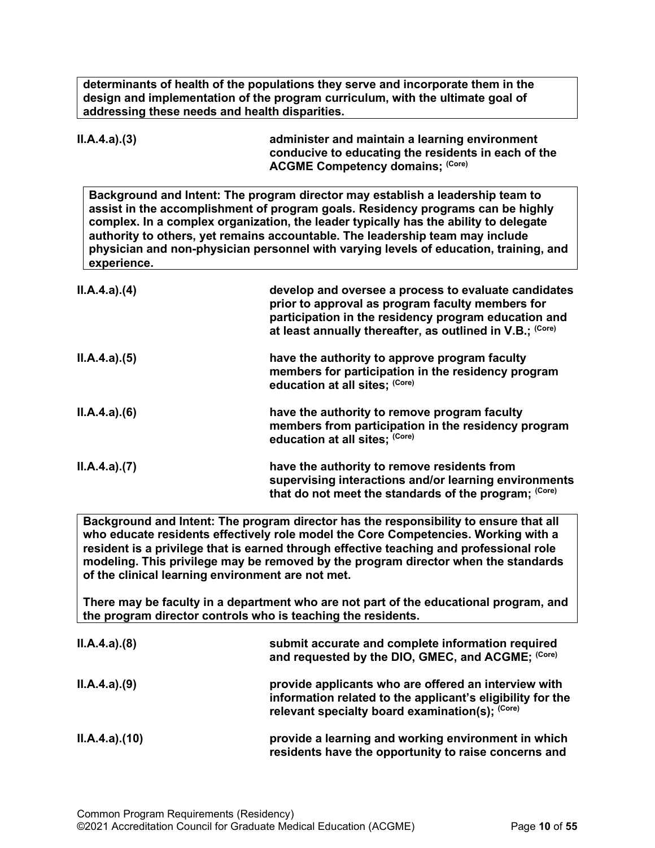**determinants of health of the populations they serve and incorporate them in the design and implementation of the program curriculum, with the ultimate goal of addressing these needs and health disparities.**

| ILA.4.a)(3) | administer and maintain a learning environment<br>conducive to educating the residents in each of the<br><b>ACGME Competency domains: (Core)</b>                                                                                                                                                                                                                                                                                    |
|-------------|-------------------------------------------------------------------------------------------------------------------------------------------------------------------------------------------------------------------------------------------------------------------------------------------------------------------------------------------------------------------------------------------------------------------------------------|
| experience. | Background and Intent: The program director may establish a leadership team to<br>assist in the accomplishment of program goals. Residency programs can be highly<br>complex. In a complex organization, the leader typically has the ability to delegate<br>authority to others, yet remains accountable. The leadership team may include<br>physician and non-physician personnel with varying levels of education, training, and |
| ILA.4.a)(4) | develop and oversee a process to evaluate candidates<br>prior to approval as program faculty members for<br>participation in the residency program education and<br>at least annually thereafter, as outlined in V.B.; (Core)                                                                                                                                                                                                       |
| ILA.4.a)(5) | have the authority to approve program faculty<br>members for participation in the residency program<br>education at all sites; (Core)                                                                                                                                                                                                                                                                                               |
| ILA.4.a)(6) | have the authority to remove program faculty<br>members from participation in the residency program<br>education at all sites; (Core)                                                                                                                                                                                                                                                                                               |
| ILA.4.a)(7) | have the authority to remove residents from<br>supervising interactions and/or learning environments<br>that do not meet the standards of the program; (Core)                                                                                                                                                                                                                                                                       |

**Background and Intent: The program director has the responsibility to ensure that all who educate residents effectively role model the Core Competencies. Working with a resident is a privilege that is earned through effective teaching and professional role modeling. This privilege may be removed by the program director when the standards of the clinical learning environment are not met.**

**There may be faculty in a department who are not part of the educational program, and the program director controls who is teaching the residents.**

| ILA.4.a)(8)  | submit accurate and complete information required<br>and requested by the DIO, GMEC, and ACGME; (Core)                                                                |
|--------------|-----------------------------------------------------------------------------------------------------------------------------------------------------------------------|
| ILA.4.a)(9)  | provide applicants who are offered an interview with<br>information related to the applicant's eligibility for the<br>relevant specialty board examination(s); (Core) |
| ILA.4.a.(10) | provide a learning and working environment in which<br>residents have the opportunity to raise concerns and                                                           |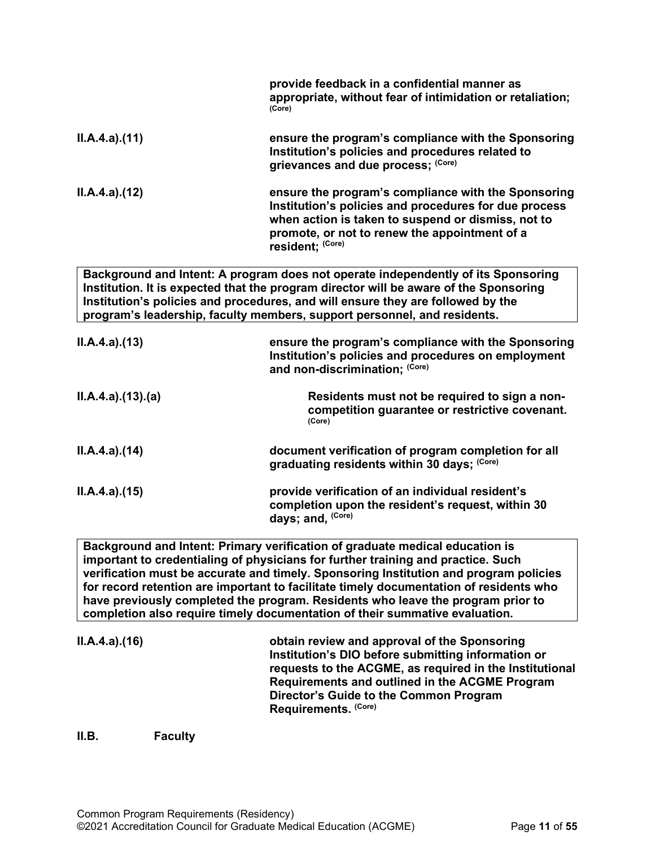|                 | provide feedback in a confidential manner as<br>appropriate, without fear of intimidation or retaliation;<br>(Core)                                                                                                                                                                                                                                                                                                                    |
|-----------------|----------------------------------------------------------------------------------------------------------------------------------------------------------------------------------------------------------------------------------------------------------------------------------------------------------------------------------------------------------------------------------------------------------------------------------------|
| ILA.4.a)(11)    | ensure the program's compliance with the Sponsoring<br>Institution's policies and procedures related to<br>grievances and due process; (Core)                                                                                                                                                                                                                                                                                          |
| ILA.4.a)(12)    | ensure the program's compliance with the Sponsoring<br>Institution's policies and procedures for due process<br>when action is taken to suspend or dismiss, not to<br>promote, or not to renew the appointment of a<br>resident; (Core)                                                                                                                                                                                                |
|                 | Background and Intent: A program does not operate independently of its Sponsoring<br>Institution. It is expected that the program director will be aware of the Sponsoring<br>Institution's policies and procedures, and will ensure they are followed by the<br>program's leadership, faculty members, support personnel, and residents.                                                                                              |
| ILA.4.a)(13)    | ensure the program's compliance with the Sponsoring<br>Institution's policies and procedures on employment<br>and non-discrimination; (Core)                                                                                                                                                                                                                                                                                           |
| ILA.4.a)(13)(a) | Residents must not be required to sign a non-<br>competition guarantee or restrictive covenant.<br>(Core)                                                                                                                                                                                                                                                                                                                              |
| ILA.4.a)(14)    | document verification of program completion for all<br>graduating residents within 30 days; (Core)                                                                                                                                                                                                                                                                                                                                     |
| ILA.4.a)(15)    | provide verification of an individual resident's<br>completion upon the resident's request, within 30<br>days; and, (Core)                                                                                                                                                                                                                                                                                                             |
|                 | Background and Intent: Primary verification of graduate medical education is<br>important to credentialing of physicians for further training and practice. Such<br>verification must be accurate and timely. Sponsoring Institution and program policies<br>for record retention are important to facilitate timely documentation of residents who<br>have previously completed the program. Residents who leave the program prior to |

| ILA.4.a)(16) | obtain review and approval of the Sponsoring<br>Institution's DIO before submitting information or<br>requests to the ACGME, as required in the Institutional<br>Requirements and outlined in the ACGME Program<br>Director's Guide to the Common Program |
|--------------|-----------------------------------------------------------------------------------------------------------------------------------------------------------------------------------------------------------------------------------------------------------|
|              | Requirements. (Core)                                                                                                                                                                                                                                      |

**completion also require timely documentation of their summative evaluation.**

<span id="page-10-0"></span>**II.B. Faculty**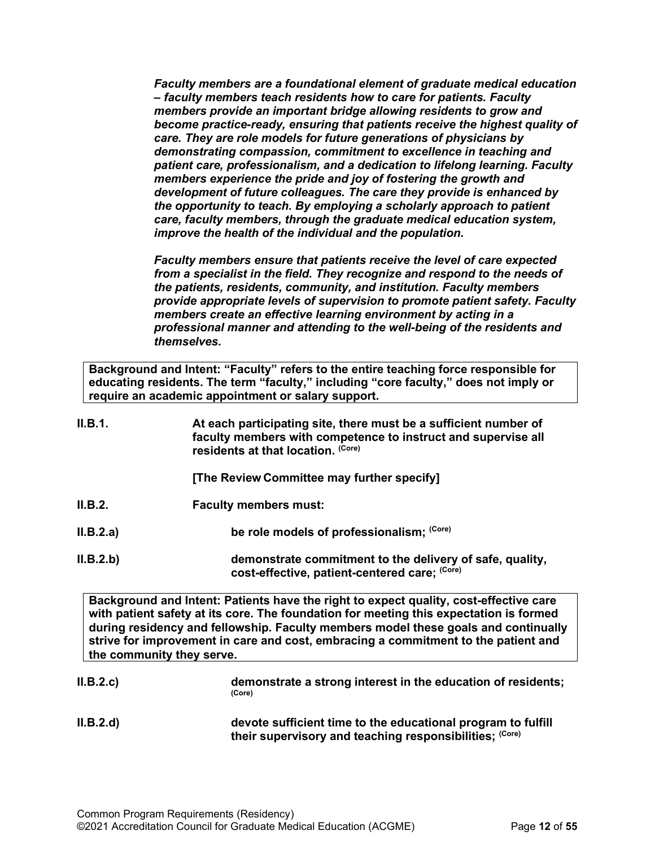*Faculty members are a foundational element of graduate medical education – faculty members teach residents how to care for patients. Faculty members provide an important bridge allowing residents to grow and become practice-ready, ensuring that patients receive the highest quality of care. They are role models for future generations of physicians by demonstrating compassion, commitment to excellence in teaching and patient care, professionalism, and a dedication to lifelong learning. Faculty members experience the pride and joy of fostering the growth and development of future colleagues. The care they provide is enhanced by the opportunity to teach. By employing a scholarly approach to patient care, faculty members, through the graduate medical education system, improve the health of the individual and the population.*

*Faculty members ensure that patients receive the level of care expected from a specialist in the field. They recognize and respond to the needs of the patients, residents, community, and institution. Faculty members provide appropriate levels of supervision to promote patient safety. Faculty members create an effective learning environment by acting in a professional manner and attending to the well-being of the residents and themselves.*

**Background and Intent: "Faculty" refers to the entire teaching force responsible for educating residents. The term "faculty," including "core faculty," does not imply or require an academic appointment or salary support.**

| II.B.1.   | At each participating site, there must be a sufficient number of<br>faculty members with competence to instruct and supervise all<br>residents at that location. (Core) |
|-----------|-------------------------------------------------------------------------------------------------------------------------------------------------------------------------|
|           | [The Review Committee may further specify]                                                                                                                              |
| II.B.2.   | <b>Faculty members must:</b>                                                                                                                                            |
| II.B.2.a) | be role models of professionalism; (Core)                                                                                                                               |
| II.B.2.b) | demonstrate commitment to the delivery of safe, quality,<br>cost-effective, patient-centered care; (Core)                                                               |

**Background and Intent: Patients have the right to expect quality, cost-effective care with patient safety at its core. The foundation for meeting this expectation is formed during residency and fellowship. Faculty members model these goals and continually strive for improvement in care and cost, embracing a commitment to the patient and the community they serve.**

| II.B.2.c | demonstrate a strong interest in the education of residents;<br>(Core)                                                  |
|----------|-------------------------------------------------------------------------------------------------------------------------|
| II.B.2.d | devote sufficient time to the educational program to fulfill<br>their supervisory and teaching responsibilities; (Core) |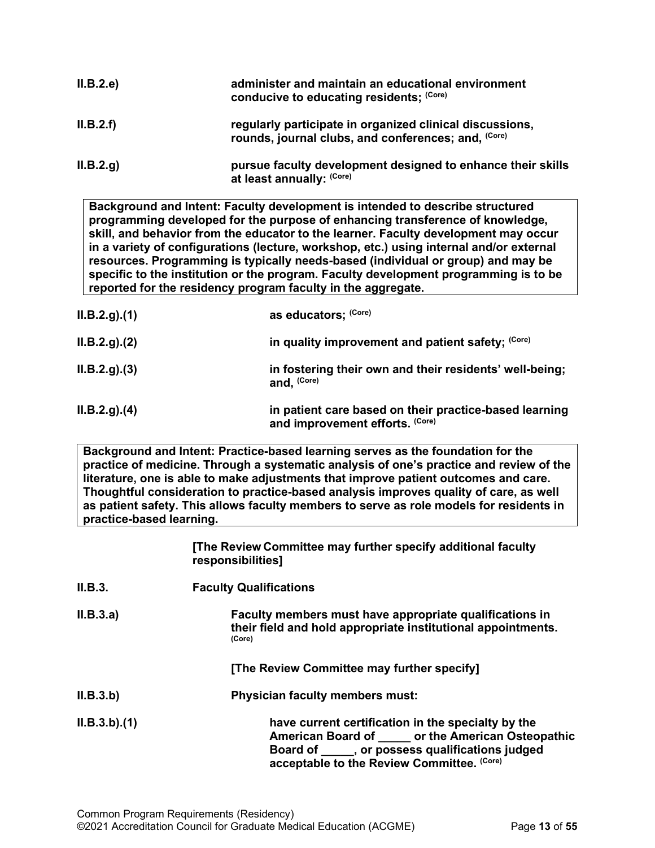| II.B.2.e  | administer and maintain an educational environment<br>conducive to educating residents; (Core)                  |
|-----------|-----------------------------------------------------------------------------------------------------------------|
| II.B.2.f  | regularly participate in organized clinical discussions,<br>rounds, journal clubs, and conferences; and, (Core) |
| II.B.2.g. | pursue faculty development designed to enhance their skills<br>at least annually: (Core)                        |

**Background and Intent: Faculty development is intended to describe structured programming developed for the purpose of enhancing transference of knowledge, skill, and behavior from the educator to the learner. Faculty development may occur in a variety of configurations (lecture, workshop, etc.) using internal and/or external resources. Programming is typically needs-based (individual or group) and may be specific to the institution or the program. Faculty development programming is to be reported for the residency program faculty in the aggregate.**

| ILB.2.g. (1) | as educators; (Core)                                                                      |
|--------------|-------------------------------------------------------------------------------------------|
| ILB.2.g. (2) | in quality improvement and patient safety; (Core)                                         |
| ILB.2.g. (3) | in fostering their own and their residents' well-being;<br>and, (Core)                    |
| ILB.2.g. (4) | in patient care based on their practice-based learning<br>and improvement efforts. (Core) |

**Background and Intent: Practice-based learning serves as the foundation for the practice of medicine. Through a systematic analysis of one's practice and review of the literature, one is able to make adjustments that improve patient outcomes and care. Thoughtful consideration to practice-based analysis improves quality of care, as well as patient safety. This allows faculty members to serve as role models for residents in practice-based learning.**

|             | [The Review Committee may further specify additional faculty<br>responsibilities]                                                                                                                           |
|-------------|-------------------------------------------------------------------------------------------------------------------------------------------------------------------------------------------------------------|
| II.B.3.     | <b>Faculty Qualifications</b>                                                                                                                                                                               |
| II.B.3.a)   | Faculty members must have appropriate qualifications in<br>their field and hold appropriate institutional appointments.<br>(Core)                                                                           |
|             | [The Review Committee may further specify]                                                                                                                                                                  |
| II.B.3.b)   | <b>Physician faculty members must:</b>                                                                                                                                                                      |
| ILB.3.b)(1) | have current certification in the specialty by the<br>American Board of _____ or the American Osteopathic<br>Board of _____, or possess qualifications judged<br>acceptable to the Review Committee. (Core) |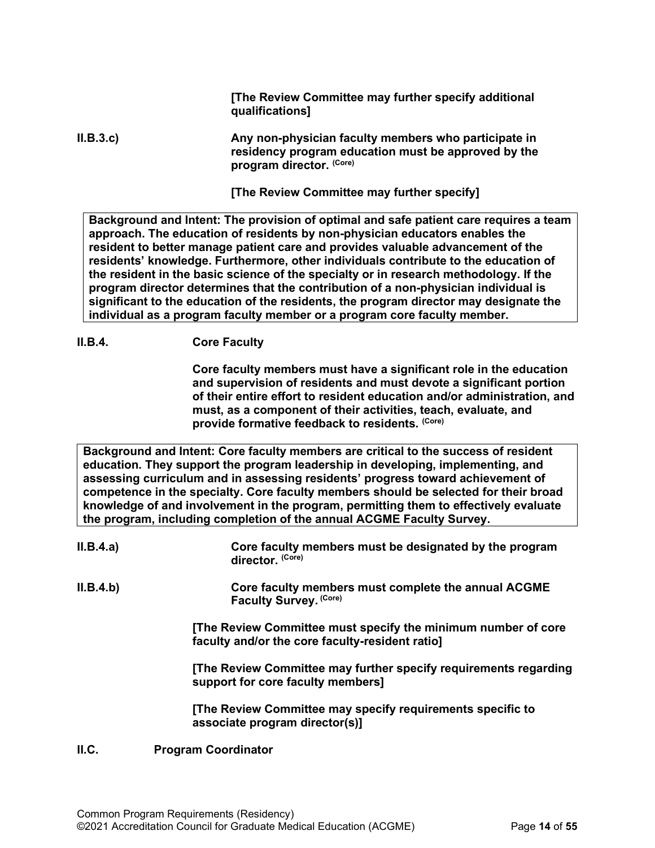**[The Review Committee may further specify additional qualifications]**

#### **II.B.3.c) Any non-physician faculty members who participate in residency program education must be approved by the program director. (Core)**

**[The Review Committee may further specify]**

**Background and Intent: The provision of optimal and safe patient care requires a team approach. The education of residents by non-physician educators enables the resident to better manage patient care and provides valuable advancement of the residents' knowledge. Furthermore, other individuals contribute to the education of the resident in the basic science of the specialty or in research methodology. If the program director determines that the contribution of a non-physician individual is significant to the education of the residents, the program director may designate the individual as a program faculty member or a program core faculty member.**

#### **II.B.4. Core Faculty**

**Core faculty members must have a significant role in the education and supervision of residents and must devote a significant portion of their entire effort to resident education and/or administration, and must, as a component of their activities, teach, evaluate, and provide formative feedback to residents. (Core)**

**Background and Intent: Core faculty members are critical to the success of resident education. They support the program leadership in developing, implementing, and assessing curriculum and in assessing residents' progress toward achievement of competence in the specialty. Core faculty members should be selected for their broad knowledge of and involvement in the program, permitting them to effectively evaluate the program, including completion of the annual ACGME Faculty Survey.**

| II.B.4.a) | Core faculty members must be designated by the program<br>director. (Core)                                       |
|-----------|------------------------------------------------------------------------------------------------------------------|
| II.B.4.b) | Core faculty members must complete the annual ACGME<br>Faculty Survey. (Core)                                    |
|           | [The Review Committee must specify the minimum number of core<br>faculty and/or the core faculty-resident ratio] |
|           | [The Review Committee may further specify requirements regarding<br>support for core faculty members]            |
|           | [The Review Committee may specify requirements specific to<br>associate program director(s)]                     |
|           |                                                                                                                  |

#### <span id="page-13-0"></span>**II.C. Program Coordinator**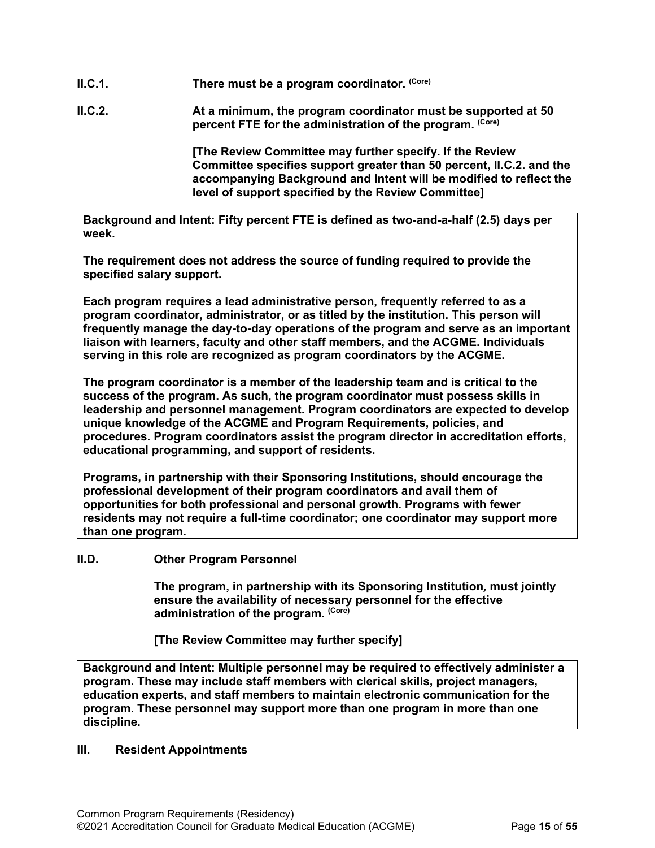- **II.C.1. There must be a program coordinator. (Core)**
- **II.C.2. At a minimum, the program coordinator must be supported at 50 percent FTE for the administration of the program. (Core)**

**[The Review Committee may further specify. If the Review Committee specifies support greater than 50 percent, II.C.2. and the accompanying Background and Intent will be modified to reflect the level of support specified by the Review Committee]**

**Background and Intent: Fifty percent FTE is defined as two-and-a-half (2.5) days per week.** 

**The requirement does not address the source of funding required to provide the specified salary support.**

**Each program requires a lead administrative person, frequently referred to as a program coordinator, administrator, or as titled by the institution. This person will frequently manage the day-to-day operations of the program and serve as an important liaison with learners, faculty and other staff members, and the ACGME. Individuals serving in this role are recognized as program coordinators by the ACGME.**

**The program coordinator is a member of the leadership team and is critical to the success of the program. As such, the program coordinator must possess skills in leadership and personnel management. Program coordinators are expected to develop unique knowledge of the ACGME and Program Requirements, policies, and procedures. Program coordinators assist the program director in accreditation efforts, educational programming, and support of residents.**

**Programs, in partnership with their Sponsoring Institutions, should encourage the professional development of their program coordinators and avail them of opportunities for both professional and personal growth. Programs with fewer residents may not require a full-time coordinator; one coordinator may support more than one program.**

#### <span id="page-14-0"></span>**II.D. Other Program Personnel**

**The program, in partnership with its Sponsoring Institution***,* **must jointly ensure the availability of necessary personnel for the effective administration of the program. (Core)**

**[The Review Committee may further specify]**

**Background and Intent: Multiple personnel may be required to effectively administer a program. These may include staff members with clerical skills, project managers, education experts, and staff members to maintain electronic communication for the program. These personnel may support more than one program in more than one discipline.**

#### <span id="page-14-1"></span>**III. Resident Appointments**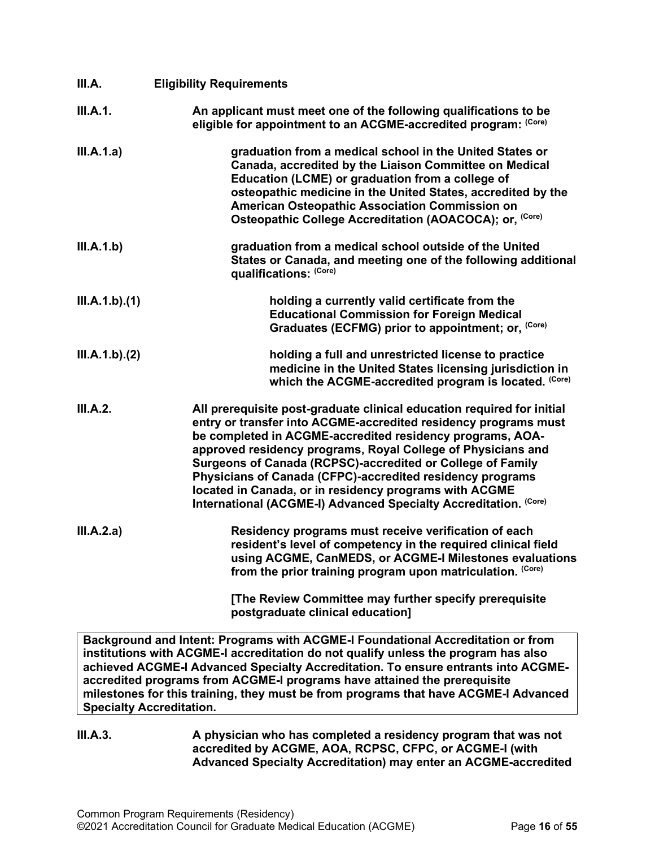<span id="page-15-0"></span>

| III.A.        | <b>Eligibility Requirements</b>                                                                                                                                                                                                                                                                                                                                                                                                                                                                                                 |
|---------------|---------------------------------------------------------------------------------------------------------------------------------------------------------------------------------------------------------------------------------------------------------------------------------------------------------------------------------------------------------------------------------------------------------------------------------------------------------------------------------------------------------------------------------|
| III.A.1.      | An applicant must meet one of the following qualifications to be<br>eligible for appointment to an ACGME-accredited program: (Core)                                                                                                                                                                                                                                                                                                                                                                                             |
| III.A.1.a)    | graduation from a medical school in the United States or<br>Canada, accredited by the Liaison Committee on Medical<br>Education (LCME) or graduation from a college of<br>osteopathic medicine in the United States, accredited by the<br>American Osteopathic Association Commission on<br>Osteopathic College Accreditation (AOACOCA); or, (Core)                                                                                                                                                                             |
| III.A.1.b)    | graduation from a medical school outside of the United<br>States or Canada, and meeting one of the following additional<br>qualifications: (Core)                                                                                                                                                                                                                                                                                                                                                                               |
| III.A.1.b)(1) | holding a currently valid certificate from the<br><b>Educational Commission for Foreign Medical</b><br>Graduates (ECFMG) prior to appointment; or, (Core)                                                                                                                                                                                                                                                                                                                                                                       |
| III.A.1.b)(2) | holding a full and unrestricted license to practice<br>medicine in the United States licensing jurisdiction in<br>which the ACGME-accredited program is located. (Core)                                                                                                                                                                                                                                                                                                                                                         |
| III.A.2.      | All prerequisite post-graduate clinical education required for initial<br>entry or transfer into ACGME-accredited residency programs must<br>be completed in ACGME-accredited residency programs, AOA-<br>approved residency programs, Royal College of Physicians and<br>Surgeons of Canada (RCPSC)-accredited or College of Family<br>Physicians of Canada (CFPC)-accredited residency programs<br>located in Canada, or in residency programs with ACGME<br>International (ACGME-I) Advanced Specialty Accreditation. (Core) |
| III.A.2.a)    | Residency programs must receive verification of each<br>resident's level of competency in the required clinical field<br>using ACGME, CanMEDS, or ACGME-I Milestones evaluations<br>from the prior training program upon matriculation. (Core)                                                                                                                                                                                                                                                                                  |
|               | [The Review Committee may further specify prerequisite<br>postgraduate clinical education]                                                                                                                                                                                                                                                                                                                                                                                                                                      |
|               | Background and Intent: Programs with ACGME-I Foundational Accreditation or from<br>institutions with ACGME-I accreditation do not qualify unless the program has also<br>achieved ACGME-I Advanced Specialty Accreditation. To ensure entrants into ACGME-<br>accredited programs from ACGME-I programs have attained the prerequisite<br>milestones for this training, they must be from programs that have ACGME-I Advanced                                                                                                   |

**Specialty Accreditation.**

### **III.A.3. A physician who has completed a residency program that was not accredited by ACGME, AOA, RCPSC, CFPC, or ACGME-I (with Advanced Specialty Accreditation) may enter an ACGME-accredited**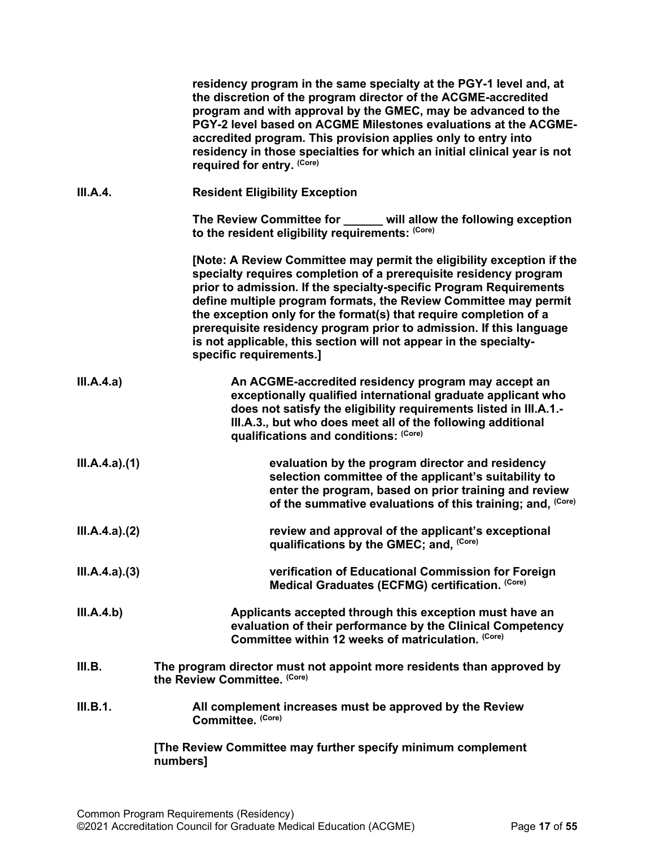<span id="page-16-0"></span>

|               | residency program in the same specialty at the PGY-1 level and, at<br>the discretion of the program director of the ACGME-accredited<br>program and with approval by the GMEC, may be advanced to the<br>PGY-2 level based on ACGME Milestones evaluations at the ACGME-<br>accredited program. This provision applies only to entry into<br>residency in those specialties for which an initial clinical year is not<br>required for entry. (Core)                                                                              |
|---------------|----------------------------------------------------------------------------------------------------------------------------------------------------------------------------------------------------------------------------------------------------------------------------------------------------------------------------------------------------------------------------------------------------------------------------------------------------------------------------------------------------------------------------------|
| III.A.4.      | <b>Resident Eligibility Exception</b>                                                                                                                                                                                                                                                                                                                                                                                                                                                                                            |
|               | The Review Committee for ______ will allow the following exception<br>to the resident eligibility requirements: (Core)                                                                                                                                                                                                                                                                                                                                                                                                           |
|               | [Note: A Review Committee may permit the eligibility exception if the<br>specialty requires completion of a prerequisite residency program<br>prior to admission. If the specialty-specific Program Requirements<br>define multiple program formats, the Review Committee may permit<br>the exception only for the format(s) that require completion of a<br>prerequisite residency program prior to admission. If this language<br>is not applicable, this section will not appear in the specialty-<br>specific requirements.] |
| III.A.4.a)    | An ACGME-accredited residency program may accept an<br>exceptionally qualified international graduate applicant who<br>does not satisfy the eligibility requirements listed in III.A.1.-<br>III.A.3., but who does meet all of the following additional<br>qualifications and conditions: (Core)                                                                                                                                                                                                                                 |
| III.A.4.a)(1) | evaluation by the program director and residency<br>selection committee of the applicant's suitability to<br>enter the program, based on prior training and review<br>of the summative evaluations of this training; and, (Core)                                                                                                                                                                                                                                                                                                 |
| III.A.4.a)(2) | review and approval of the applicant's exceptional<br>qualifications by the GMEC; and, (Core)                                                                                                                                                                                                                                                                                                                                                                                                                                    |
| III.A.4.a)(3) | verification of Educational Commission for Foreign<br>Medical Graduates (ECFMG) certification. (Core)                                                                                                                                                                                                                                                                                                                                                                                                                            |
| III.A.4.b)    | Applicants accepted through this exception must have an<br>evaluation of their performance by the Clinical Competency<br>Committee within 12 weeks of matriculation. (Core)                                                                                                                                                                                                                                                                                                                                                      |
| III.B.        | The program director must not appoint more residents than approved by<br>the Review Committee. (Core)                                                                                                                                                                                                                                                                                                                                                                                                                            |
| III.B.1.      | All complement increases must be approved by the Review<br>Committee. (Core)                                                                                                                                                                                                                                                                                                                                                                                                                                                     |
|               | [The Review Committee may further specify minimum complement<br>numbers]                                                                                                                                                                                                                                                                                                                                                                                                                                                         |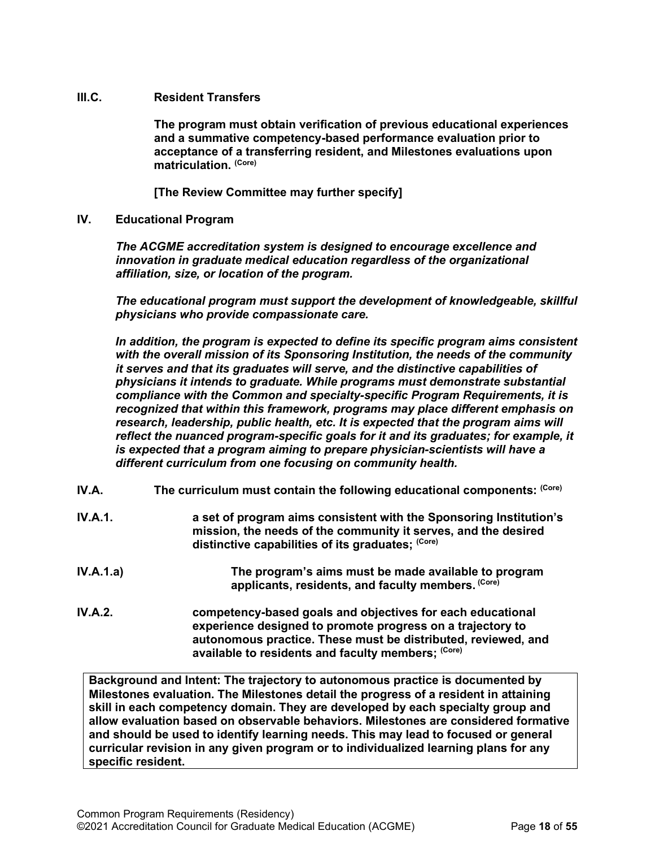#### <span id="page-17-0"></span>**III.C. Resident Transfers**

**The program must obtain verification of previous educational experiences and a summative competency-based performance evaluation prior to acceptance of a transferring resident, and Milestones evaluations upon matriculation. (Core)**

**[The Review Committee may further specify]**

<span id="page-17-1"></span>**IV. Educational Program**

*The ACGME accreditation system is designed to encourage excellence and innovation in graduate medical education regardless of the organizational affiliation, size, or location of the program.*

*The educational program must support the development of knowledgeable, skillful physicians who provide compassionate care.*

*In addition, the program is expected to define its specific program aims consistent with the overall mission of its Sponsoring Institution, the needs of the community it serves and that its graduates will serve, and the distinctive capabilities of physicians it intends to graduate. While programs must demonstrate substantial compliance with the Common and specialty-specific Program Requirements, it is recognized that within this framework, programs may place different emphasis on*  research, leadership, public health, etc. It is expected that the program aims will *reflect the nuanced program-specific goals for it and its graduates; for example, it is expected that a program aiming to prepare physician-scientists will have a different curriculum from one focusing on community health.*

- <span id="page-17-2"></span>**IV.A.** The curriculum must contain the following educational components: (Core)
- **IV.A.1. a set of program aims consistent with the Sponsoring Institution's mission, the needs of the community it serves, and the desired distinctive capabilities of its graduates; (Core)**
- **IV.A.1.a) The program's aims must be made available to program applicants, residents, and faculty members. (Core)**
- **IV.A.2. competency-based goals and objectives for each educational experience designed to promote progress on a trajectory to autonomous practice. These must be distributed, reviewed, and available to residents and faculty members; (Core)**

**Background and Intent: The trajectory to autonomous practice is documented by Milestones evaluation. The Milestones detail the progress of a resident in attaining skill in each competency domain. They are developed by each specialty group and allow evaluation based on observable behaviors. Milestones are considered formative and should be used to identify learning needs. This may lead to focused or general curricular revision in any given program or to individualized learning plans for any specific resident.**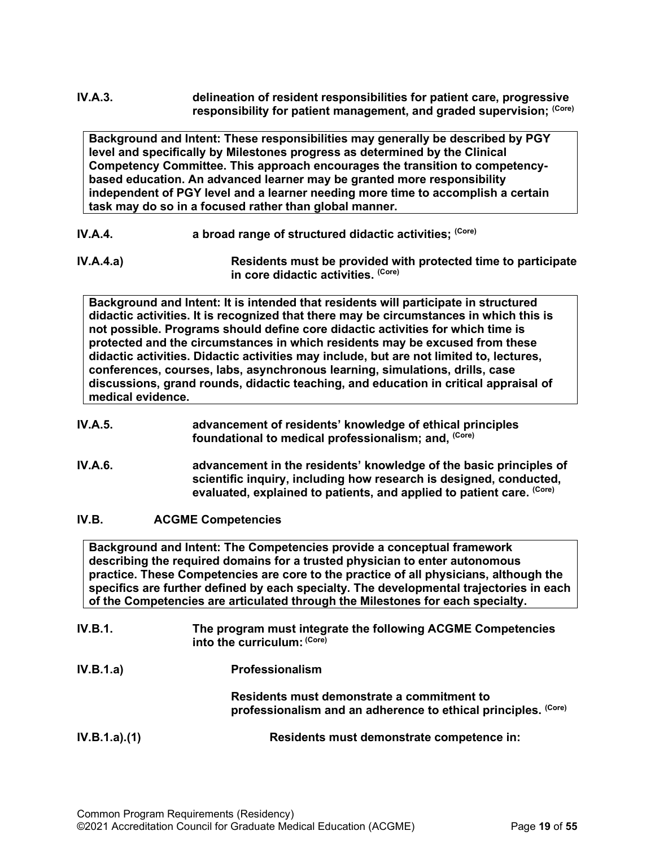# **IV.A.3. delineation of resident responsibilities for patient care, progressive responsibility for patient management, and graded supervision; (Core)**

**Background and Intent: These responsibilities may generally be described by PGY level and specifically by Milestones progress as determined by the Clinical Competency Committee. This approach encourages the transition to competencybased education. An advanced learner may be granted more responsibility independent of PGY level and a learner needing more time to accomplish a certain task may do so in a focused rather than global manner.**

- **IV.A.4. a broad range of structured didactic activities; (Core)**
- **IV.A.4.a) Residents must be provided with protected time to participate in core didactic activities. (Core)**

**Background and Intent: It is intended that residents will participate in structured didactic activities. It is recognized that there may be circumstances in which this is not possible. Programs should define core didactic activities for which time is protected and the circumstances in which residents may be excused from these didactic activities. Didactic activities may include, but are not limited to, lectures, conferences, courses, labs, asynchronous learning, simulations, drills, case discussions, grand rounds, didactic teaching, and education in critical appraisal of medical evidence.**

#### **IV.A.5. advancement of residents' knowledge of ethical principles foundational to medical professionalism; and, (Core)**

- **IV.A.6. advancement in the residents' knowledge of the basic principles of scientific inquiry, including how research is designed, conducted, evaluated, explained to patients, and applied to patient care. (Core)**
- <span id="page-18-0"></span>**IV.B. ACGME Competencies**

**Background and Intent: The Competencies provide a conceptual framework describing the required domains for a trusted physician to enter autonomous practice. These Competencies are core to the practice of all physicians, although the specifics are further defined by each specialty. The developmental trajectories in each of the Competencies are articulated through the Milestones for each specialty.**

| <b>IV.B.1.</b> | The program must integrate the following ACGME Competencies |
|----------------|-------------------------------------------------------------|
|                | into the curriculum: <sup>(Core)</sup>                      |
|                |                                                             |

**IV.B.1.a) Professionalism Residents must demonstrate a commitment to professionalism and an adherence to ethical principles. (Core) IV.B.1.a).(1) Residents must demonstrate competence in:**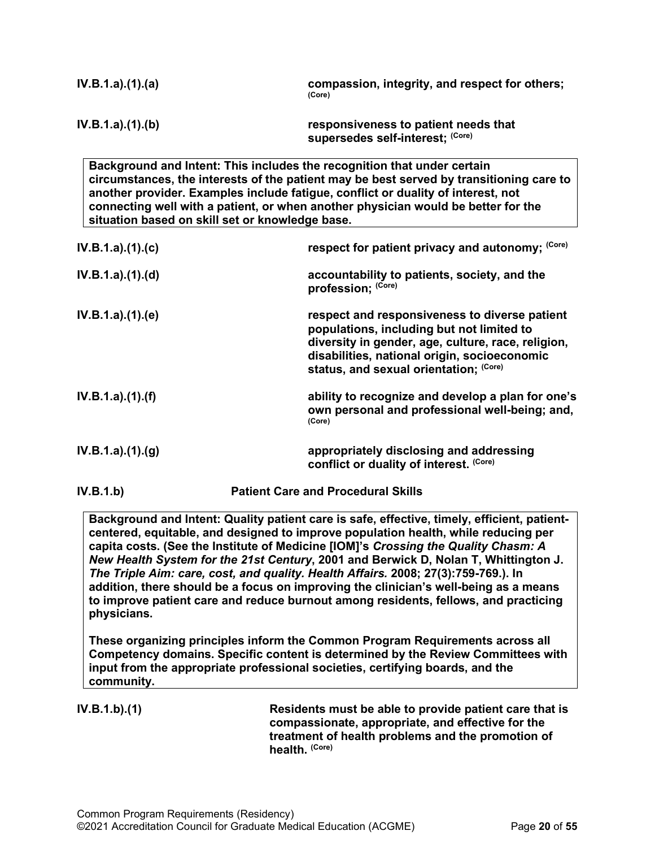| IV.B.1.a)(1)(a)   | compassion, integrity, and respect for others;<br>(Core)                 |
|-------------------|--------------------------------------------------------------------------|
| IV.B.1.a).(1).(b) | responsiveness to patient needs that<br>supersedes self-interest; (Core) |

**Background and Intent: This includes the recognition that under certain circumstances, the interests of the patient may be best served by transitioning care to another provider. Examples include fatigue, conflict or duality of interest, not connecting well with a patient, or when another physician would be better for the situation based on skill set or knowledge base.**

| IV.B.1.a) (1) (c) | respect for patient privacy and autonomy: (Core)                                                                                                                                                                                           |
|-------------------|--------------------------------------------------------------------------------------------------------------------------------------------------------------------------------------------------------------------------------------------|
| IV.B.1.a).(1).(d) | accountability to patients, society, and the<br>profession; (Core)                                                                                                                                                                         |
| IV.B.1.a).(1).(e) | respect and responsiveness to diverse patient<br>populations, including but not limited to<br>diversity in gender, age, culture, race, religion,<br>disabilities, national origin, socioeconomic<br>status, and sexual orientation; (Core) |
| IV.B.1.a).(1).(f) | ability to recognize and develop a plan for one's<br>own personal and professional well-being; and,<br>(Core)                                                                                                                              |
| IV.B.1.a).(1).(g) | appropriately disclosing and addressing<br>conflict or duality of interest. (Core)                                                                                                                                                         |

**IV.B.1.b) Patient Care and Procedural Skills**

**Background and Intent: Quality patient care is safe, effective, timely, efficient, patientcentered, equitable, and designed to improve population health, while reducing per capita costs. (See the Institute of Medicine [IOM]'s** *Crossing the Quality Chasm: A New Health System for the 21st Century***, 2001 and Berwick D, Nolan T, Whittington J.**  *The Triple Aim: care, cost, and quality. Health Affairs.* **2008; 27(3):759-769.). In addition, there should be a focus on improving the clinician's well-being as a means to improve patient care and reduce burnout among residents, fellows, and practicing physicians.**

**These organizing principles inform the Common Program Requirements across all Competency domains. Specific content is determined by the Review Committees with input from the appropriate professional societies, certifying boards, and the community.**

**IV.B.1.b).(1) Residents must be able to provide patient care that is compassionate, appropriate, and effective for the treatment of health problems and the promotion of health. (Core)**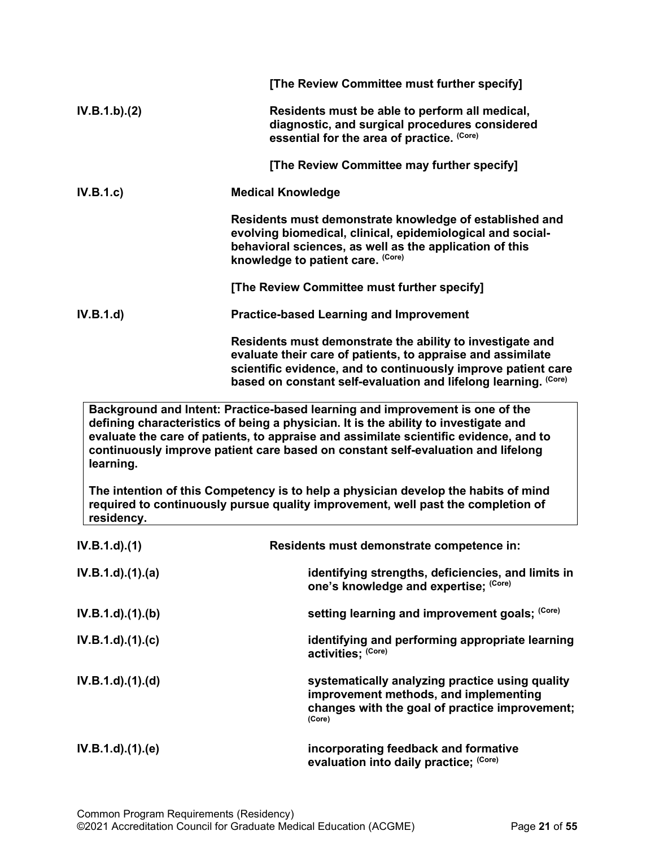|                         | [The Review Committee must further specify]                                                                                                                                                                                                                                                                                                      |
|-------------------------|--------------------------------------------------------------------------------------------------------------------------------------------------------------------------------------------------------------------------------------------------------------------------------------------------------------------------------------------------|
| IV.B.1.b)(2)            | Residents must be able to perform all medical,<br>diagnostic, and surgical procedures considered<br>essential for the area of practice. (Core)                                                                                                                                                                                                   |
|                         | [The Review Committee may further specify]                                                                                                                                                                                                                                                                                                       |
| IV.B.1.c)               | <b>Medical Knowledge</b>                                                                                                                                                                                                                                                                                                                         |
|                         | Residents must demonstrate knowledge of established and<br>evolving biomedical, clinical, epidemiological and social-<br>behavioral sciences, as well as the application of this<br>knowledge to patient care. (Core)                                                                                                                            |
|                         | [The Review Committee must further specify]                                                                                                                                                                                                                                                                                                      |
| IV.B.1.d)               | <b>Practice-based Learning and Improvement</b>                                                                                                                                                                                                                                                                                                   |
|                         | Residents must demonstrate the ability to investigate and<br>evaluate their care of patients, to appraise and assimilate<br>scientific evidence, and to continuously improve patient care<br>based on constant self-evaluation and lifelong learning. (Core)                                                                                     |
| learning.               | Background and Intent: Practice-based learning and improvement is one of the<br>defining characteristics of being a physician. It is the ability to investigate and<br>evaluate the care of patients, to appraise and assimilate scientific evidence, and to<br>continuously improve patient care based on constant self-evaluation and lifelong |
| residency.              | The intention of this Competency is to help a physician develop the habits of mind<br>required to continuously pursue quality improvement, well past the completion of                                                                                                                                                                           |
| $IV.B.1.d$ $(1)$        | Residents must demonstrate competence in:                                                                                                                                                                                                                                                                                                        |
| $IV.B.1.d$ $.(1).(a)$   | identifying strengths, deficiencies, and limits in<br>one's knowledge and expertise; (Core)                                                                                                                                                                                                                                                      |
| $IV.B.1.d$ $(1).$ (b)   | setting learning and improvement goals; (Core)                                                                                                                                                                                                                                                                                                   |
| $IV.B.1.d$ $.(1).(c)$   | identifying and performing appropriate learning<br>activities; (Core)                                                                                                                                                                                                                                                                            |
| $IV.B.1.d$ $.(1). (d)$  | systematically analyzing practice using quality<br>improvement methods, and implementing<br>changes with the goal of practice improvement;<br>(Core)                                                                                                                                                                                             |
| $IV.B.1.d$ . $(1).$ (e) | incorporating feedback and formative<br>evaluation into daily practice; (Core)                                                                                                                                                                                                                                                                   |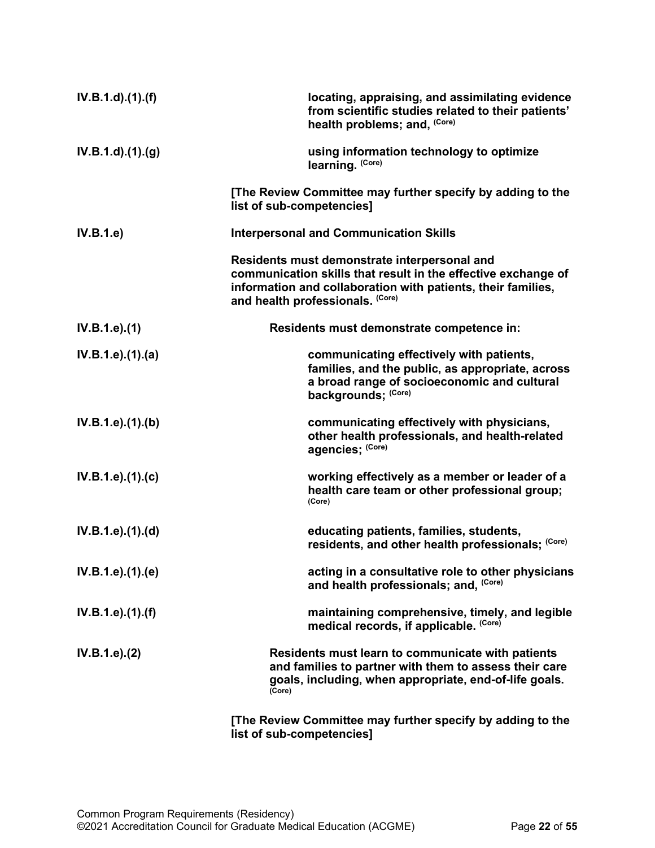| $IV.B.1.d$ $.(1).(f)$    | locating, appraising, and assimilating evidence<br>from scientific studies related to their patients'<br>health problems; and, (Core)                                                                             |
|--------------------------|-------------------------------------------------------------------------------------------------------------------------------------------------------------------------------------------------------------------|
| $IV.B.1.d$ . $(1).(g)$   | using information technology to optimize<br>learning. (Core)                                                                                                                                                      |
|                          | [The Review Committee may further specify by adding to the<br>list of sub-competencies]                                                                                                                           |
| IV.B.1.e)                | <b>Interpersonal and Communication Skills</b>                                                                                                                                                                     |
|                          | Residents must demonstrate interpersonal and<br>communication skills that result in the effective exchange of<br>information and collaboration with patients, their families,<br>and health professionals. (Core) |
| IV.B.1.e).(1)            | Residents must demonstrate competence in:                                                                                                                                                                         |
| IV.B.1.e).(1).(a)        | communicating effectively with patients,<br>families, and the public, as appropriate, across<br>a broad range of socioeconomic and cultural<br>backgrounds; (Core)                                                |
| IV.B.1.e).(1).(b)        | communicating effectively with physicians,<br>other health professionals, and health-related<br>agencies; (Core)                                                                                                  |
| IV.B.1.e).(1).(c)        | working effectively as a member or leader of a<br>health care team or other professional group;<br>(Core)                                                                                                         |
| IV.B.1.e). (1). (d)      | educating patients, families, students,<br>residents, and other health professionals; (Core)                                                                                                                      |
| IV.B.1.e).(1).(e)        | acting in a consultative role to other physicians<br>and health professionals; and, (Core)                                                                                                                        |
| $IV.B.1.e$ ). $(1).$ (f) | maintaining comprehensive, timely, and legible<br>medical records, if applicable. (Core)                                                                                                                          |
| IV.B.1.e). (2)           | Residents must learn to communicate with patients<br>and families to partner with them to assess their care<br>goals, including, when appropriate, end-of-life goals.<br>(Core)                                   |
|                          | [The Review Committee may further specify by adding to the                                                                                                                                                        |

**list of sub-competencies]**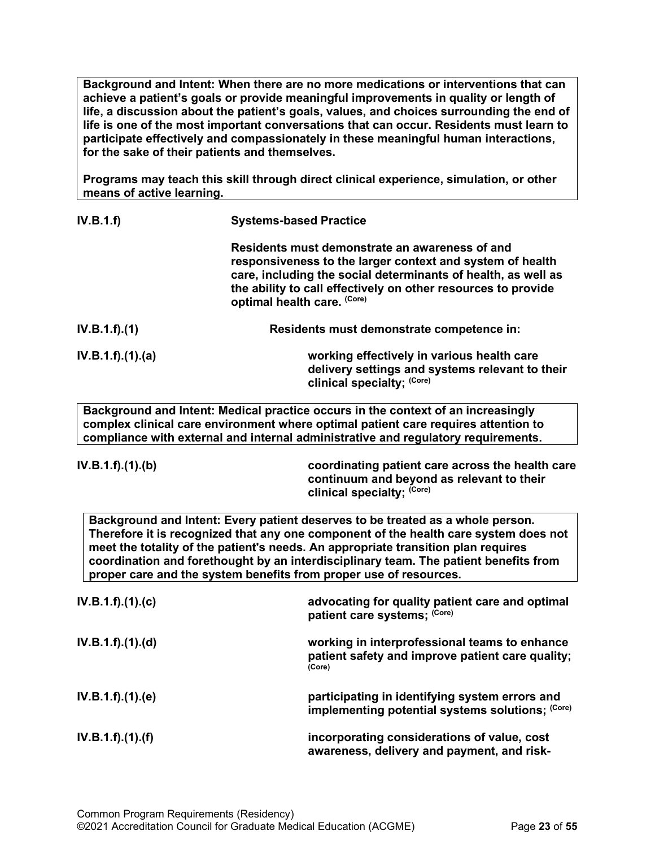**Background and Intent: When there are no more medications or interventions that can achieve a patient's goals or provide meaningful improvements in quality or length of life, a discussion about the patient's goals, values, and choices surrounding the end of life is one of the most important conversations that can occur. Residents must learn to participate effectively and compassionately in these meaningful human interactions, for the sake of their patients and themselves.**

**Programs may teach this skill through direct clinical experience, simulation, or other means of active learning.**

| IV.B.1.f)         | <b>Systems-based Practice</b>                                                                                                                                                                                                                                                |
|-------------------|------------------------------------------------------------------------------------------------------------------------------------------------------------------------------------------------------------------------------------------------------------------------------|
|                   | Residents must demonstrate an awareness of and<br>responsiveness to the larger context and system of health<br>care, including the social determinants of health, as well as<br>the ability to call effectively on other resources to provide<br>optimal health care. (Core) |
| IV.B.1.f).(1)     | Residents must demonstrate competence in:                                                                                                                                                                                                                                    |
| IV.B.1.f).(1).(a) | working effectively in various health care<br>delivery settings and systems relevant to their<br>clinical specialty; (Core)                                                                                                                                                  |

**Background and Intent: Medical practice occurs in the context of an increasingly complex clinical care environment where optimal patient care requires attention to compliance with external and internal administrative and regulatory requirements.**

**IV.B.1.f).(1).(b) coordinating patient care across the health care continuum and beyond as relevant to their clinical specialty; (Core)**

**Background and Intent: Every patient deserves to be treated as a whole person. Therefore it is recognized that any one component of the health care system does not meet the totality of the patient's needs. An appropriate transition plan requires coordination and forethought by an interdisciplinary team. The patient benefits from proper care and the system benefits from proper use of resources.**

| IV.B.1.f).(1).(c) | advocating for quality patient care and optimal<br>patient care systems; (Core)                             |
|-------------------|-------------------------------------------------------------------------------------------------------------|
| IV.B.1.f).(1).(d) | working in interprofessional teams to enhance<br>patient safety and improve patient care quality;<br>(Core) |
| IV.B.1.f).(1).(e) | participating in identifying system errors and<br>implementing potential systems solutions; (Core)          |
| IV.B.1.f).(1).(f) | incorporating considerations of value, cost<br>awareness, delivery and payment, and risk-                   |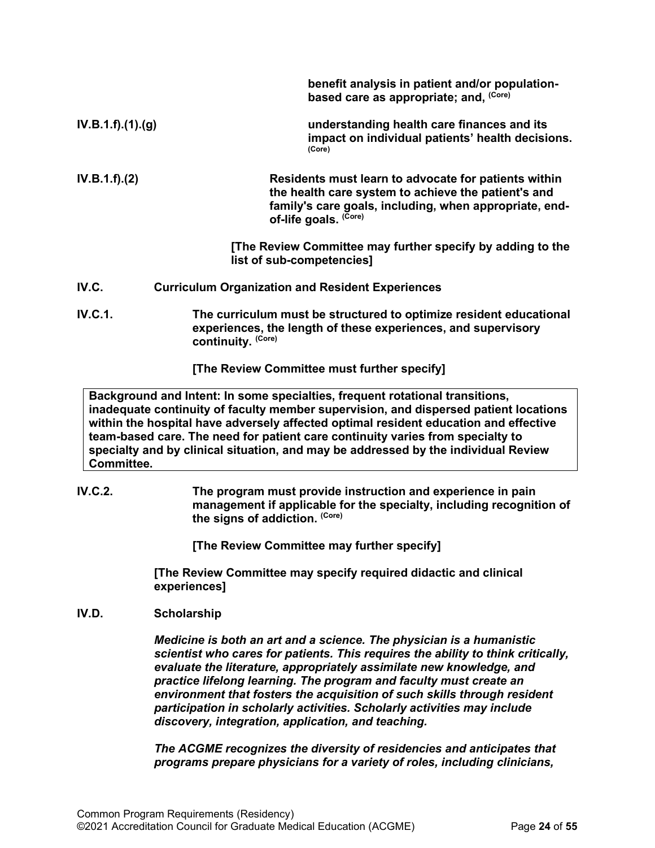|                   | benefit analysis in patient and/or population-<br>based care as appropriate; and, (Core)                                                                                                       |
|-------------------|------------------------------------------------------------------------------------------------------------------------------------------------------------------------------------------------|
| IV.B.1.f).(1).(g) | understanding health care finances and its<br>impact on individual patients' health decisions.<br>(Core)                                                                                       |
| IV.B.1.f).(2)     | Residents must learn to advocate for patients within<br>the health care system to achieve the patient's and<br>family's care goals, including, when appropriate, end-<br>of-life goals. (Core) |
|                   | [The Review Committee may further specify by adding to the<br>list of sub-competencies]                                                                                                        |
| IV.C.             | <b>Curriculum Organization and Resident Experiences</b>                                                                                                                                        |
| <b>IV.C.1.</b>    | The curriculum must be structured to optimize resident educational<br>experiences, the length of these experiences, and supervisory<br>continuity. (Core)                                      |
|                   | [The Review Committee must further specify]                                                                                                                                                    |
|                   | Background and Intent: In some specialties, frequent rotational transitions,                                                                                                                   |

<span id="page-23-0"></span>**inadequate continuity of faculty member supervision, and dispersed patient locations within the hospital have adversely affected optimal resident education and effective team-based care. The need for patient care continuity varies from specialty to specialty and by clinical situation, and may be addressed by the individual Review Committee.**

**IV.C.2. The program must provide instruction and experience in pain management if applicable for the specialty, including recognition of the signs of addiction. (Core)**

**[The Review Committee may further specify]**

**[The Review Committee may specify required didactic and clinical experiences]**

#### <span id="page-23-1"></span>**IV.D. Scholarship**

*Medicine is both an art and a science. The physician is a humanistic scientist who cares for patients. This requires the ability to think critically, evaluate the literature, appropriately assimilate new knowledge, and practice lifelong learning. The program and faculty must create an environment that fosters the acquisition of such skills through resident participation in scholarly activities. Scholarly activities may include discovery, integration, application, and teaching.*

*The ACGME recognizes the diversity of residencies and anticipates that programs prepare physicians for a variety of roles, including clinicians,*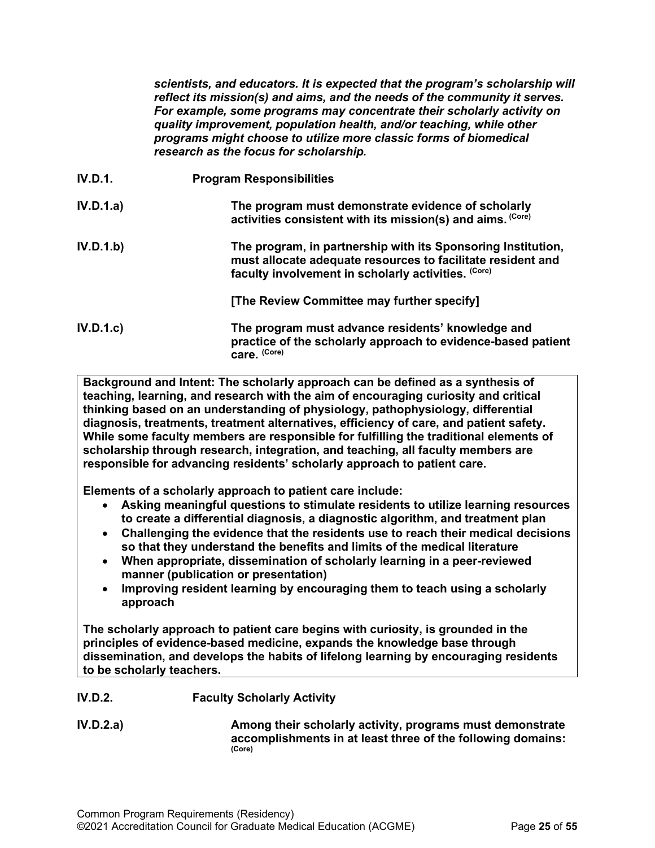*scientists, and educators. It is expected that the program's scholarship will reflect its mission(s) and aims, and the needs of the community it serves. For example, some programs may concentrate their scholarly activity on quality improvement, population health, and/or teaching, while other programs might choose to utilize more classic forms of biomedical research as the focus for scholarship.*

| IV.D.1.   | <b>Program Responsibilities</b>                                                                                                                                                    |
|-----------|------------------------------------------------------------------------------------------------------------------------------------------------------------------------------------|
| IV.D.1.a) | The program must demonstrate evidence of scholarly<br>activities consistent with its mission(s) and aims. (Core)                                                                   |
| IV.D.1.b) | The program, in partnership with its Sponsoring Institution,<br>must allocate adequate resources to facilitate resident and<br>faculty involvement in scholarly activities. (Core) |
|           | [The Review Committee may further specify]                                                                                                                                         |
| IV.D.1.c  | The program must advance residents' knowledge and<br>practice of the scholarly approach to evidence-based patient<br>care. (Core)                                                  |

**Background and Intent: The scholarly approach can be defined as a synthesis of teaching, learning, and research with the aim of encouraging curiosity and critical thinking based on an understanding of physiology, pathophysiology, differential diagnosis, treatments, treatment alternatives, efficiency of care, and patient safety. While some faculty members are responsible for fulfilling the traditional elements of scholarship through research, integration, and teaching, all faculty members are responsible for advancing residents' scholarly approach to patient care.**

**Elements of a scholarly approach to patient care include:**

- **Asking meaningful questions to stimulate residents to utilize learning resources to create a differential diagnosis, a diagnostic algorithm, and treatment plan**
- **Challenging the evidence that the residents use to reach their medical decisions so that they understand the benefits and limits of the medical literature**
- **When appropriate, dissemination of scholarly learning in a peer-reviewed manner (publication or presentation)**
- **Improving resident learning by encouraging them to teach using a scholarly approach**

**The scholarly approach to patient care begins with curiosity, is grounded in the principles of evidence-based medicine, expands the knowledge base through dissemination, and develops the habits of lifelong learning by encouraging residents to be scholarly teachers.**

- **IV.D.2. Faculty Scholarly Activity**
- **IV.D.2.a) Among their scholarly activity, programs must demonstrate accomplishments in at least three of the following domains: (Core)**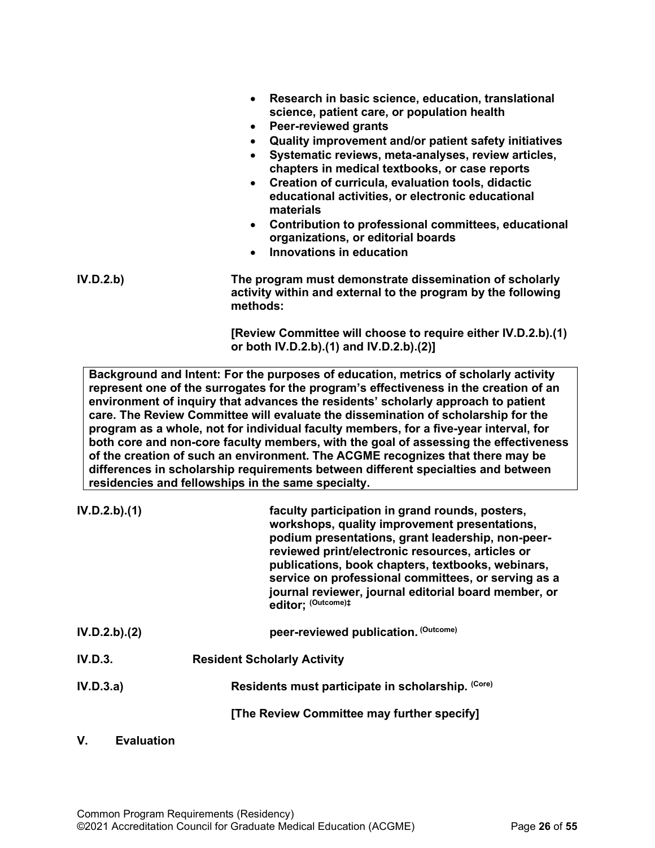- **Research in basic science, education, translational science, patient care, or population health**
- **Peer-reviewed grants**
- **Quality improvement and/or patient safety initiatives**
- **Systematic reviews, meta-analyses, review articles, chapters in medical textbooks, or case reports**
- **Creation of curricula, evaluation tools, didactic educational activities, or electronic educational materials**
- **Contribution to professional committees, educational organizations, or editorial boards**
- **Innovations in education**

**IV.D.2.b) The program must demonstrate dissemination of scholarly activity within and external to the program by the following methods:**

> **[Review Committee will choose to require either IV.D.2.b).(1) or both IV.D.2.b).(1) and IV.D.2.b).(2)]**

**Background and Intent: For the purposes of education, metrics of scholarly activity represent one of the surrogates for the program's effectiveness in the creation of an environment of inquiry that advances the residents' scholarly approach to patient care. The Review Committee will evaluate the dissemination of scholarship for the program as a whole, not for individual faculty members, for a five-year interval, for both core and non-core faculty members, with the goal of assessing the effectiveness of the creation of such an environment. The ACGME recognizes that there may be differences in scholarship requirements between different specialties and between residencies and fellowships in the same specialty.**

| IV.D.2.b).(1)  | faculty participation in grand rounds, posters,<br>workshops, quality improvement presentations,<br>podium presentations, grant leadership, non-peer-<br>reviewed print/electronic resources, articles or<br>publications, book chapters, textbooks, webinars,<br>service on professional committees, or serving as a<br>journal reviewer, journal editorial board member, or<br>editor: (Outcome)# |
|----------------|-----------------------------------------------------------------------------------------------------------------------------------------------------------------------------------------------------------------------------------------------------------------------------------------------------------------------------------------------------------------------------------------------------|
| IV.D.2.b).(2)  | peer-reviewed publication. (Outcome)                                                                                                                                                                                                                                                                                                                                                                |
| <b>IV.D.3.</b> | <b>Resident Scholarly Activity</b>                                                                                                                                                                                                                                                                                                                                                                  |
| IV.D.3.a)      | Residents must participate in scholarship. (Core)                                                                                                                                                                                                                                                                                                                                                   |
|                | [The Review Committee may further specify]                                                                                                                                                                                                                                                                                                                                                          |
|                |                                                                                                                                                                                                                                                                                                                                                                                                     |

#### <span id="page-25-0"></span>**V. Evaluation**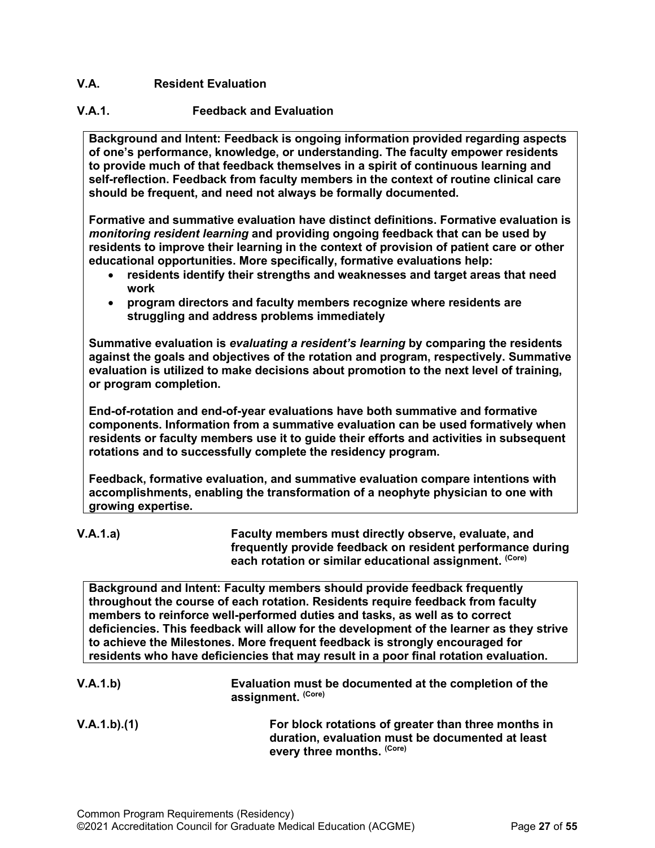# <span id="page-26-0"></span>**V.A. Resident Evaluation**

# **V.A.1. Feedback and Evaluation**

**Background and Intent: Feedback is ongoing information provided regarding aspects of one's performance, knowledge, or understanding. The faculty empower residents to provide much of that feedback themselves in a spirit of continuous learning and self-reflection. Feedback from faculty members in the context of routine clinical care should be frequent, and need not always be formally documented.**

**Formative and summative evaluation have distinct definitions. Formative evaluation is**  *monitoring resident learning* **and providing ongoing feedback that can be used by residents to improve their learning in the context of provision of patient care or other educational opportunities. More specifically, formative evaluations help:**

- **residents identify their strengths and weaknesses and target areas that need work**
- **program directors and faculty members recognize where residents are struggling and address problems immediately**

**Summative evaluation is** *evaluating a resident's learning* **by comparing the residents against the goals and objectives of the rotation and program, respectively. Summative evaluation is utilized to make decisions about promotion to the next level of training, or program completion.**

**End-of-rotation and end-of-year evaluations have both summative and formative components. Information from a summative evaluation can be used formatively when residents or faculty members use it to guide their efforts and activities in subsequent rotations and to successfully complete the residency program.**

**Feedback, formative evaluation, and summative evaluation compare intentions with accomplishments, enabling the transformation of a neophyte physician to one with growing expertise.** 

# **V.A.1.a) Faculty members must directly observe, evaluate, and frequently provide feedback on resident performance during**  each rotation or similar educational assignment.<sup>(Core)</sup>

**Background and Intent: Faculty members should provide feedback frequently throughout the course of each rotation. Residents require feedback from faculty members to reinforce well-performed duties and tasks, as well as to correct deficiencies. This feedback will allow for the development of the learner as they strive to achieve the Milestones. More frequent feedback is strongly encouraged for residents who have deficiencies that may result in a poor final rotation evaluation.**

- **V.A.1.b) Evaluation must be documented at the completion of the assignment. (Core)**
- **V.A.1.b).(1) For block rotations of greater than three months in duration, evaluation must be documented at least every three months. (Core)**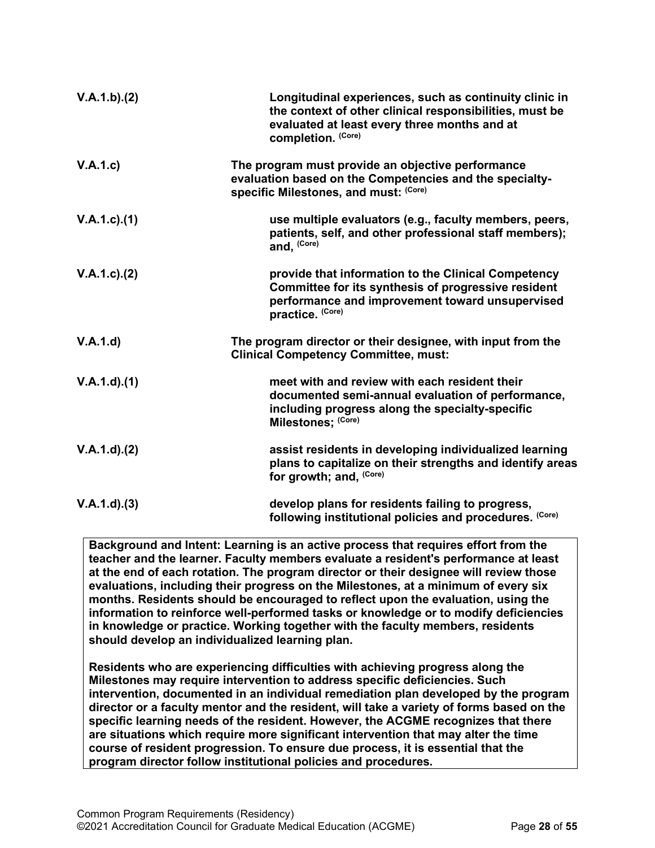| V.A.1.b)(2)       | Longitudinal experiences, such as continuity clinic in<br>the context of other clinical responsibilities, must be<br>evaluated at least every three months and at<br>completion. (Core) |
|-------------------|-----------------------------------------------------------------------------------------------------------------------------------------------------------------------------------------|
| V.A.1.c)          | The program must provide an objective performance<br>evaluation based on the Competencies and the specialty-<br>specific Milestones, and must: (Core)                                   |
| $V.A.1.c.$ (1)    | use multiple evaluators (e.g., faculty members, peers,<br>patients, self, and other professional staff members);<br>and, (Core)                                                         |
| V.A.1.c. (2)      | provide that information to the Clinical Competency<br>Committee for its synthesis of progressive resident<br>performance and improvement toward unsupervised<br>practice. (Core)       |
| V.A.1.d           | The program director or their designee, with input from the<br><b>Clinical Competency Committee, must:</b>                                                                              |
| V.A.1.d)(1)       | meet with and review with each resident their<br>documented semi-annual evaluation of performance,<br>including progress along the specialty-specific<br>Milestones; (Core)             |
| $V.A.1.d$ . $(2)$ | assist residents in developing individualized learning<br>plans to capitalize on their strengths and identify areas<br>for growth; and, (Core)                                          |
| V.A.1.d.3         | develop plans for residents failing to progress,<br>following institutional policies and procedures. (Core)                                                                             |

**Background and Intent: Learning is an active process that requires effort from the teacher and the learner. Faculty members evaluate a resident's performance at least at the end of each rotation. The program director or their designee will review those evaluations, including their progress on the Milestones, at a minimum of every six months. Residents should be encouraged to reflect upon the evaluation, using the information to reinforce well-performed tasks or knowledge or to modify deficiencies in knowledge or practice. Working together with the faculty members, residents should develop an individualized learning plan.**

**Residents who are experiencing difficulties with achieving progress along the Milestones may require intervention to address specific deficiencies. Such intervention, documented in an individual remediation plan developed by the program director or a faculty mentor and the resident, will take a variety of forms based on the specific learning needs of the resident. However, the ACGME recognizes that there are situations which require more significant intervention that may alter the time course of resident progression. To ensure due process, it is essential that the program director follow institutional policies and procedures.**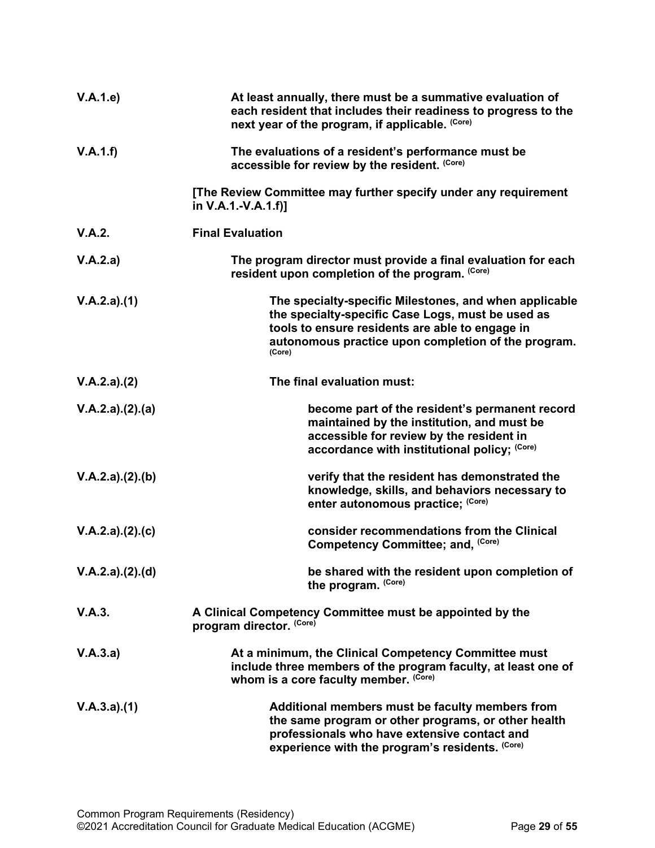| V.A.1.e         | At least annually, there must be a summative evaluation of<br>each resident that includes their readiness to progress to the<br>next year of the program, if applicable. (Core)                                                 |
|-----------------|---------------------------------------------------------------------------------------------------------------------------------------------------------------------------------------------------------------------------------|
| V.A.1.f)        | The evaluations of a resident's performance must be<br>accessible for review by the resident. (Core)                                                                                                                            |
|                 | [The Review Committee may further specify under any requirement<br>in V.A.1.-V.A.1.f)]                                                                                                                                          |
| V.A.2.          | <b>Final Evaluation</b>                                                                                                                                                                                                         |
| V.A.2.a)        | The program director must provide a final evaluation for each<br>resident upon completion of the program. (Core)                                                                                                                |
| V.A.2.a)(1)     | The specialty-specific Milestones, and when applicable<br>the specialty-specific Case Logs, must be used as<br>tools to ensure residents are able to engage in<br>autonomous practice upon completion of the program.<br>(Core) |
| V.A.2.a)(2)     | The final evaluation must:                                                                                                                                                                                                      |
| V.A.2.a)(2).(a) | become part of the resident's permanent record<br>maintained by the institution, and must be<br>accessible for review by the resident in<br>accordance with institutional policy; (Core)                                        |
| V.A.2.a)(2).(b) | verify that the resident has demonstrated the<br>knowledge, skills, and behaviors necessary to<br>enter autonomous practice; (Core)                                                                                             |
| V.A.2.a)(2).(c) | consider recommendations from the Clinical<br>Competency Committee; and, (Core)                                                                                                                                                 |
| V.A.2.a)(2)(d)  | be shared with the resident upon completion of<br>the program. (Core)                                                                                                                                                           |
| V.A.3.          | A Clinical Competency Committee must be appointed by the<br>program director. (Core)                                                                                                                                            |
| V.A.3.a)        | At a minimum, the Clinical Competency Committee must<br>include three members of the program faculty, at least one of<br>whom is a core faculty member. (Core)                                                                  |
| V.A.3.a)(1)     | Additional members must be faculty members from<br>the same program or other programs, or other health<br>professionals who have extensive contact and<br>experience with the program's residents. (Core)                       |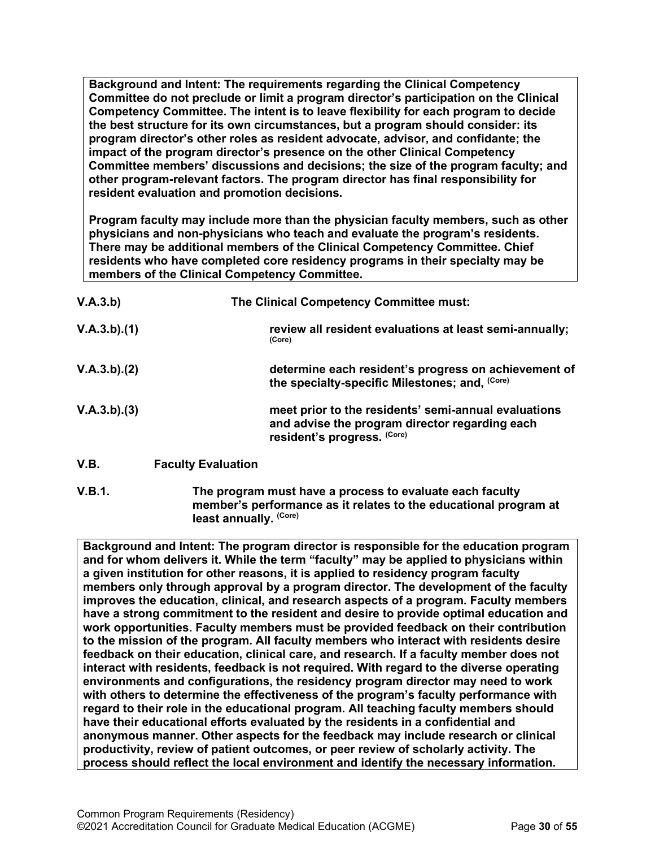**Background and Intent: The requirements regarding the Clinical Competency Committee do not preclude or limit a program director's participation on the Clinical Competency Committee. The intent is to leave flexibility for each program to decide the best structure for its own circumstances, but a program should consider: its program director's other roles as resident advocate, advisor, and confidante; the impact of the program director's presence on the other Clinical Competency Committee members' discussions and decisions; the size of the program faculty; and other program-relevant factors. The program director has final responsibility for resident evaluation and promotion decisions.**

**Program faculty may include more than the physician faculty members, such as other physicians and non-physicians who teach and evaluate the program's residents. There may be additional members of the Clinical Competency Committee. Chief residents who have completed core residency programs in their specialty may be members of the Clinical Competency Committee.** 

| V.A.3.b)    | The Clinical Competency Committee must: |                                                                                                                                       |
|-------------|-----------------------------------------|---------------------------------------------------------------------------------------------------------------------------------------|
| V.A.3.b)(1) |                                         | review all resident evaluations at least semi-annually;<br>(Core)                                                                     |
| V.A.3.b)(2) |                                         | determine each resident's progress on achievement of<br>the specialty-specific Milestones; and, (Core)                                |
| V.A.3.b)(3) |                                         | meet prior to the residents' semi-annual evaluations<br>and advise the program director regarding each<br>resident's progress. (Core) |
| <b>V.B.</b> | <b>Faculty Evaluation</b>               |                                                                                                                                       |

<span id="page-29-0"></span>**V.B.1. The program must have a process to evaluate each faculty member's performance as it relates to the educational program at least annually. (Core)**

**Background and Intent: The program director is responsible for the education program and for whom delivers it. While the term "faculty" may be applied to physicians within a given institution for other reasons, it is applied to residency program faculty members only through approval by a program director. The development of the faculty improves the education, clinical, and research aspects of a program. Faculty members have a strong commitment to the resident and desire to provide optimal education and work opportunities. Faculty members must be provided feedback on their contribution to the mission of the program. All faculty members who interact with residents desire feedback on their education, clinical care, and research. If a faculty member does not interact with residents, feedback is not required. With regard to the diverse operating environments and configurations, the residency program director may need to work with others to determine the effectiveness of the program's faculty performance with regard to their role in the educational program. All teaching faculty members should have their educational efforts evaluated by the residents in a confidential and anonymous manner. Other aspects for the feedback may include research or clinical productivity, review of patient outcomes, or peer review of scholarly activity. The process should reflect the local environment and identify the necessary information.**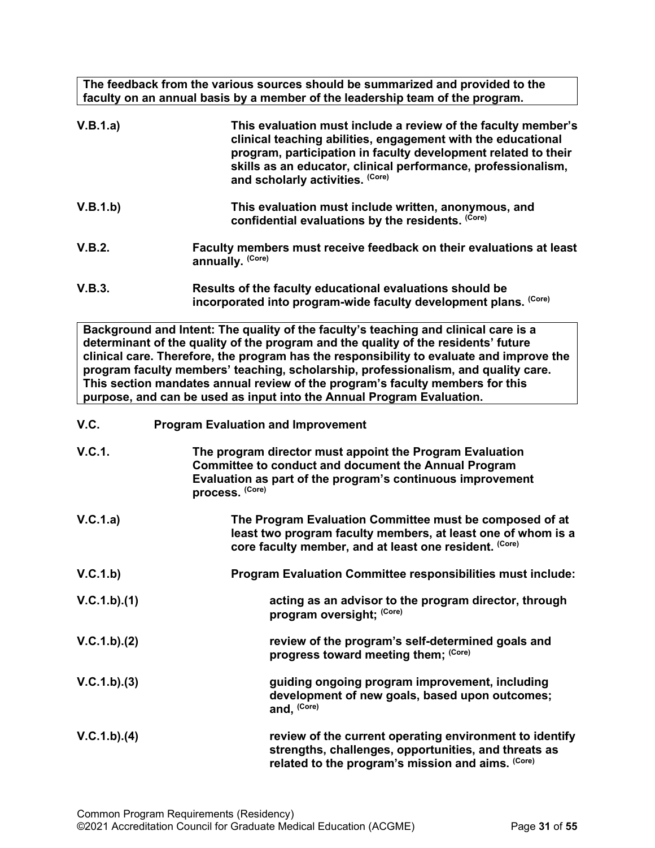**The feedback from the various sources should be summarized and provided to the faculty on an annual basis by a member of the leadership team of the program.**

<span id="page-30-0"></span>

| V.B.1.a)     | This evaluation must include a review of the faculty member's<br>clinical teaching abilities, engagement with the educational<br>program, participation in faculty development related to their<br>skills as an educator, clinical performance, professionalism,<br>and scholarly activities. (Core)                                                                                                                                                                                                                  |
|--------------|-----------------------------------------------------------------------------------------------------------------------------------------------------------------------------------------------------------------------------------------------------------------------------------------------------------------------------------------------------------------------------------------------------------------------------------------------------------------------------------------------------------------------|
| V.B.1.b)     | This evaluation must include written, anonymous, and<br>confidential evaluations by the residents. (Core)                                                                                                                                                                                                                                                                                                                                                                                                             |
| V.B.2.       | Faculty members must receive feedback on their evaluations at least<br>annually. (Core)                                                                                                                                                                                                                                                                                                                                                                                                                               |
| V.B.3.       | Results of the faculty educational evaluations should be<br>incorporated into program-wide faculty development plans. (Core)                                                                                                                                                                                                                                                                                                                                                                                          |
|              | Background and Intent: The quality of the faculty's teaching and clinical care is a<br>determinant of the quality of the program and the quality of the residents' future<br>clinical care. Therefore, the program has the responsibility to evaluate and improve the<br>program faculty members' teaching, scholarship, professionalism, and quality care.<br>This section mandates annual review of the program's faculty members for this<br>purpose, and can be used as input into the Annual Program Evaluation. |
| V.C.         | <b>Program Evaluation and Improvement</b>                                                                                                                                                                                                                                                                                                                                                                                                                                                                             |
| V.C.1.       | The program director must appoint the Program Evaluation<br><b>Committee to conduct and document the Annual Program</b><br>Evaluation as part of the program's continuous improvement<br>process. (Core)                                                                                                                                                                                                                                                                                                              |
| V.C.1.a)     | The Program Evaluation Committee must be composed of at<br>least two program faculty members, at least one of whom is a<br>core faculty member, and at least one resident. (Core)                                                                                                                                                                                                                                                                                                                                     |
| V.C.1.b)     | Program Evaluation Committee responsibilities must include:                                                                                                                                                                                                                                                                                                                                                                                                                                                           |
| V.C.1.b)(1)  | acting as an advisor to the program director, through<br>program oversight; (Core)                                                                                                                                                                                                                                                                                                                                                                                                                                    |
| V.C.1.b).(2) | review of the program's self-determined goals and<br>progress toward meeting them; (Core)                                                                                                                                                                                                                                                                                                                                                                                                                             |
| V.C.1.b)(3)  | guiding ongoing program improvement, including<br>development of new goals, based upon outcomes;<br>and, (Core)                                                                                                                                                                                                                                                                                                                                                                                                       |
| V.C.1.b)(4)  | review of the current operating environment to identify<br>strengths, challenges, opportunities, and threats as<br>related to the program's mission and aims. (Core)                                                                                                                                                                                                                                                                                                                                                  |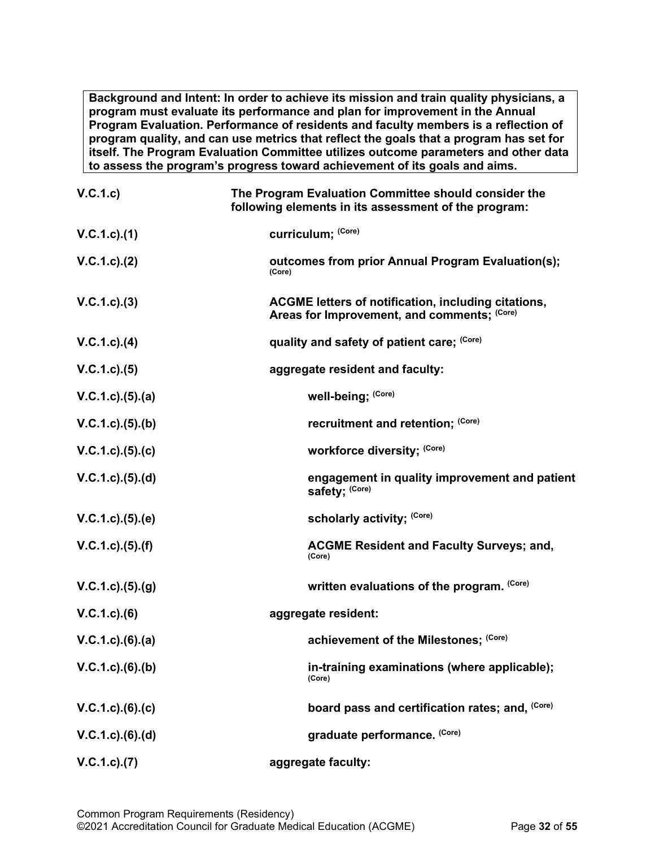**Background and Intent: In order to achieve its mission and train quality physicians, a program must evaluate its performance and plan for improvement in the Annual Program Evaluation. Performance of residents and faculty members is a reflection of program quality, and can use metrics that reflect the goals that a program has set for itself. The Program Evaluation Committee utilizes outcome parameters and other data to assess the program's progress toward achievement of its goals and aims.**

| V.C.1.c             | The Program Evaluation Committee should consider the<br>following elements in its assessment of the program: |
|---------------------|--------------------------------------------------------------------------------------------------------------|
| $V.C.1.c$ ). $(1)$  | curriculum; (Core)                                                                                           |
| V.C.1.c). (2)       | outcomes from prior Annual Program Evaluation(s);<br>(Core)                                                  |
| V.C.1.c.3)          | ACGME letters of notification, including citations,<br>Areas for Improvement, and comments; (Core)           |
| $V.C.1.c$ ). $(4)$  | quality and safety of patient care; (Core)                                                                   |
| V.C.1.c. (5)        | aggregate resident and faculty:                                                                              |
| $V.C.1.c.$ (5) (a)  | well-being; (Core)                                                                                           |
| $V.C.1.c.$ (5) (b)  | recruitment and retention; (Core)                                                                            |
| $V.C.1.c).$ (5).(c) | workforce diversity; (Core)                                                                                  |
| $V.C.1.c.$ (5) (d)  | engagement in quality improvement and patient<br>safety; (Core)                                              |
| $V.C.1.c).$ (5).(e) | scholarly activity; (Core)                                                                                   |
| V.C.1.c. (5). (f)   | <b>ACGME Resident and Faculty Surveys; and,</b><br>(Core)                                                    |
| V.C.1.c. (5). (g)   | written evaluations of the program. (Core)                                                                   |
| $V.C.1.c.$ (6)      | aggregate resident:                                                                                          |
| $V.C.1.c).$ (6).(a) | achievement of the Milestones; (Core)                                                                        |
| V.C.1.c).(6).(b)    | in-training examinations (where applicable);<br>(Core)                                                       |
| V.C.1.c).(6).(c)    | board pass and certification rates; and, (Core)                                                              |
| $V.C.1.c.$ (6).(d)  | graduate performance. (Core)                                                                                 |
| V.C.1.c. (7)        | aggregate faculty:                                                                                           |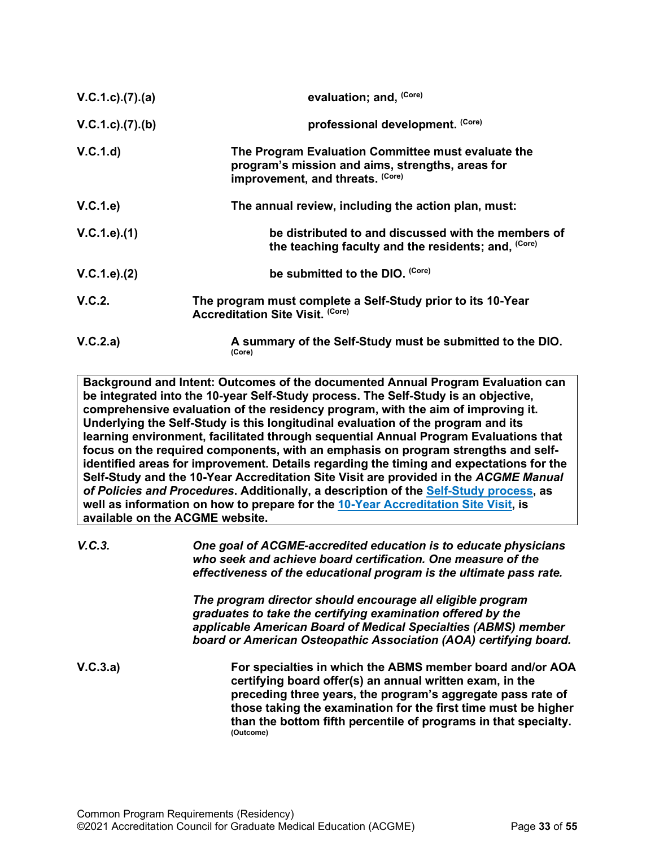| V.C.1.c. (7). (a) | evaluation; and, (Core)                                                                                                                    |
|-------------------|--------------------------------------------------------------------------------------------------------------------------------------------|
| V.C.1.c).(7).(b)  | professional development. (Core)                                                                                                           |
| V.C.1.d           | The Program Evaluation Committee must evaluate the<br>program's mission and aims, strengths, areas for<br>improvement, and threats. (Core) |
| V.C.1.e)          | The annual review, including the action plan, must:                                                                                        |
| V.C.1.e).(1)      | be distributed to and discussed with the members of<br>the teaching faculty and the residents; and, (Core)                                 |
| V.C.1.e). (2)     | be submitted to the DIO. (Core)                                                                                                            |
| V.C.2.            | The program must complete a Self-Study prior to its 10-Year<br><b>Accreditation Site Visit. (Core)</b>                                     |
| V.C.2.a)          | A summary of the Self-Study must be submitted to the DIO.<br>(Core)                                                                        |

**Background and Intent: Outcomes of the documented Annual Program Evaluation can be integrated into the 10-year Self-Study process. The Self-Study is an objective, comprehensive evaluation of the residency program, with the aim of improving it. Underlying the Self-Study is this longitudinal evaluation of the program and its learning environment, facilitated through sequential Annual Program Evaluations that focus on the required components, with an emphasis on program strengths and selfidentified areas for improvement. Details regarding the timing and expectations for the Self-Study and the 10-Year Accreditation Site Visit are provided in the** *ACGME Manual of Policies and Procedures***. Additionally, a description of the [Self-Study process,](http://acgme.org/What-We-Do/Accreditation/Self-Study) as well as information on how to prepare for the [10-Year Accreditation Site Visit,](http://www.acgme.org/What-We-Do/Accreditation/Site-Visit/Eight-Steps-to-Prepare-for-the-10-Year-Accreditation-Site-Visit) is available on the ACGME website.**

*V.C.3. One goal of ACGME-accredited education is to educate physicians who seek and achieve board certification. One measure of the effectiveness of the educational program is the ultimate pass rate.*

> *The program director should encourage all eligible program graduates to take the certifying examination offered by the applicable American Board of Medical Specialties (ABMS) member board or American Osteopathic Association (AOA) certifying board.*

**V.C.3.a) For specialties in which the ABMS member board and/or AOA certifying board offer(s) an annual written exam, in the preceding three years, the program's aggregate pass rate of those taking the examination for the first time must be higher than the bottom fifth percentile of programs in that specialty. (Outcome)**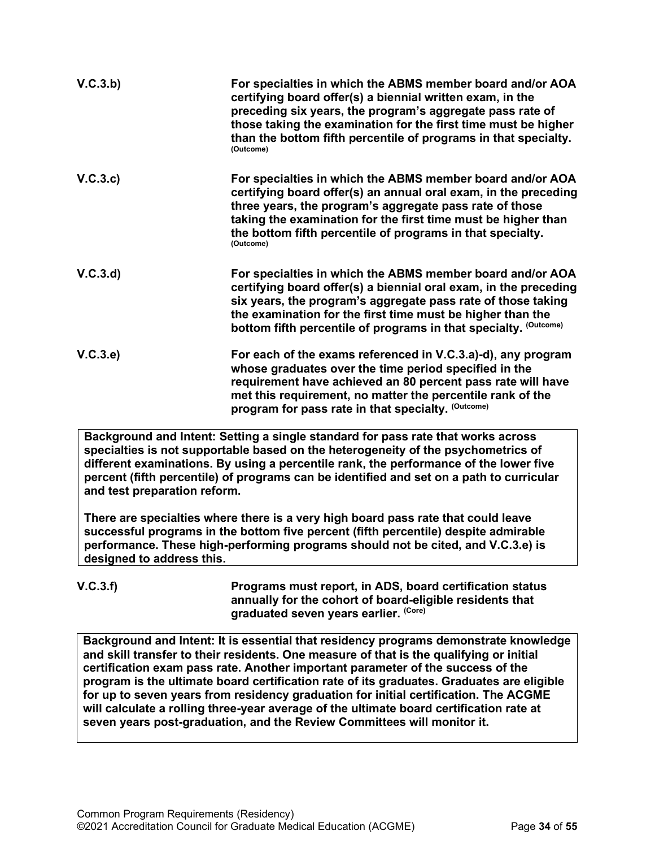| V.C.3.b) | For specialties in which the ABMS member board and/or AOA<br>certifying board offer(s) a biennial written exam, in the<br>preceding six years, the program's aggregate pass rate of<br>those taking the examination for the first time must be higher<br>than the bottom fifth percentile of programs in that specialty.<br>(Outcome) |
|----------|---------------------------------------------------------------------------------------------------------------------------------------------------------------------------------------------------------------------------------------------------------------------------------------------------------------------------------------|
| V.C.3.c  | For specialties in which the ABMS member board and/or AOA<br>certifying board offer(s) an annual oral exam, in the preceding<br>three years, the program's aggregate pass rate of those<br>taking the examination for the first time must be higher than<br>the bottom fifth percentile of programs in that specialty.<br>(Outcome)   |
| V.C.3.d  | For specialties in which the ABMS member board and/or AOA<br>certifying board offer(s) a biennial oral exam, in the preceding<br>six years, the program's aggregate pass rate of those taking<br>the examination for the first time must be higher than the<br>bottom fifth percentile of programs in that specialty. (Outcome)       |
| V.C.3.e  | For each of the exams referenced in V.C.3.a)-d), any program<br>whose graduates over the time period specified in the<br>requirement have achieved an 80 percent pass rate will have<br>met this requirement, no matter the percentile rank of the<br>program for pass rate in that specialty. (Outcome)                              |

**Background and Intent: Setting a single standard for pass rate that works across specialties is not supportable based on the heterogeneity of the psychometrics of different examinations. By using a percentile rank, the performance of the lower five percent (fifth percentile) of programs can be identified and set on a path to curricular and test preparation reform.**

**There are specialties where there is a very high board pass rate that could leave successful programs in the bottom five percent (fifth percentile) despite admirable performance. These high-performing programs should not be cited, and V.C.3.e) is designed to address this.**

**V.C.3.f) Programs must report, in ADS, board certification status annually for the cohort of board-eligible residents that graduated seven years earlier. (Core)**

**Background and Intent: It is essential that residency programs demonstrate knowledge and skill transfer to their residents. One measure of that is the qualifying or initial certification exam pass rate. Another important parameter of the success of the program is the ultimate board certification rate of its graduates. Graduates are eligible for up to seven years from residency graduation for initial certification. The ACGME will calculate a rolling three-year average of the ultimate board certification rate at seven years post-graduation, and the Review Committees will monitor it.**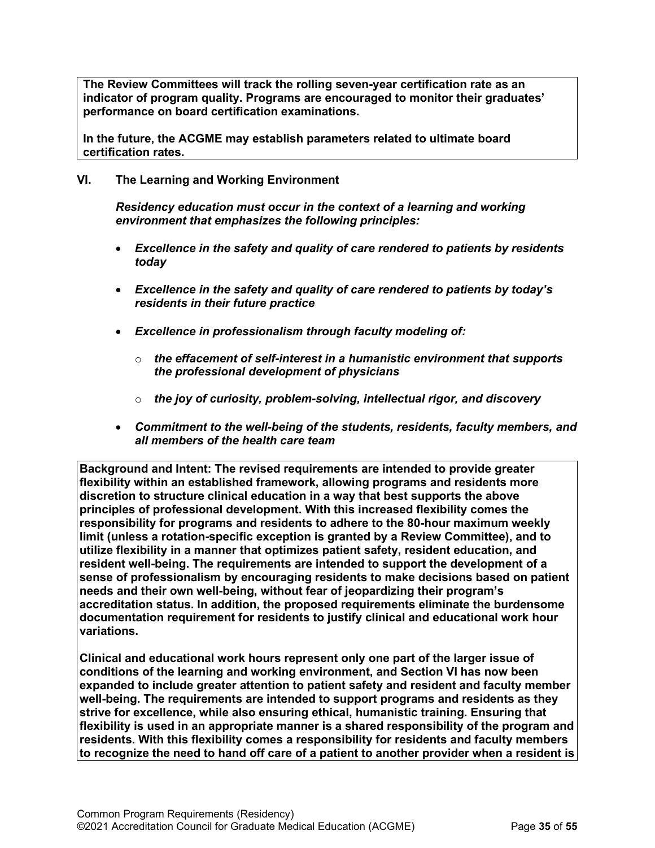**The Review Committees will track the rolling seven-year certification rate as an indicator of program quality. Programs are encouraged to monitor their graduates' performance on board certification examinations.**

**In the future, the ACGME may establish parameters related to ultimate board certification rates.**

### <span id="page-34-0"></span>**VI. The Learning and Working Environment**

*Residency education must occur in the context of a learning and working environment that emphasizes the following principles:*

- *Excellence in the safety and quality of care rendered to patients by residents today*
- *Excellence in the safety and quality of care rendered to patients by today's residents in their future practice*
- *Excellence in professionalism through faculty modeling of:*
	- o *the effacement of self-interest in a humanistic environment that supports the professional development of physicians*
	- o *the joy of curiosity, problem-solving, intellectual rigor, and discovery*
- *Commitment to the well-being of the students, residents, faculty members, and all members of the health care team*

**Background and Intent: The revised requirements are intended to provide greater flexibility within an established framework, allowing programs and residents more discretion to structure clinical education in a way that best supports the above principles of professional development. With this increased flexibility comes the responsibility for programs and residents to adhere to the 80-hour maximum weekly limit (unless a rotation-specific exception is granted by a Review Committee), and to utilize flexibility in a manner that optimizes patient safety, resident education, and resident well-being. The requirements are intended to support the development of a sense of professionalism by encouraging residents to make decisions based on patient needs and their own well-being, without fear of jeopardizing their program's accreditation status. In addition, the proposed requirements eliminate the burdensome documentation requirement for residents to justify clinical and educational work hour variations.**

**Clinical and educational work hours represent only one part of the larger issue of conditions of the learning and working environment, and Section VI has now been expanded to include greater attention to patient safety and resident and faculty member well-being. The requirements are intended to support programs and residents as they strive for excellence, while also ensuring ethical, humanistic training. Ensuring that flexibility is used in an appropriate manner is a shared responsibility of the program and residents. With this flexibility comes a responsibility for residents and faculty members to recognize the need to hand off care of a patient to another provider when a resident is**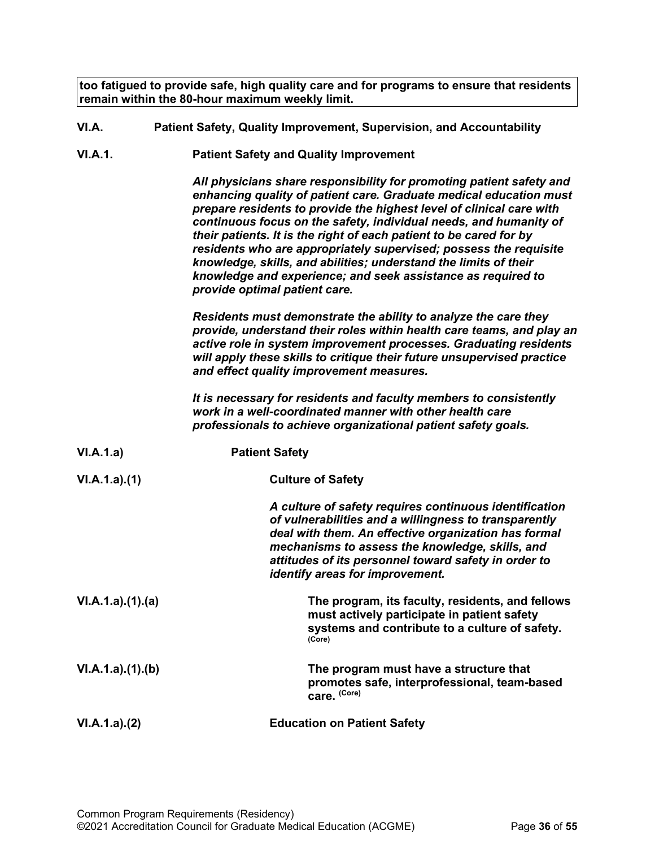**too fatigued to provide safe, high quality care and for programs to ensure that residents remain within the 80-hour maximum weekly limit.**

- <span id="page-35-0"></span>**VI.A. Patient Safety, Quality Improvement, Supervision, and Accountability**
- **VI.A.1. Patient Safety and Quality Improvement**

*All physicians share responsibility for promoting patient safety and enhancing quality of patient care. Graduate medical education must prepare residents to provide the highest level of clinical care with continuous focus on the safety, individual needs, and humanity of their patients. It is the right of each patient to be cared for by residents who are appropriately supervised; possess the requisite knowledge, skills, and abilities; understand the limits of their knowledge and experience; and seek assistance as required to provide optimal patient care.*

*Residents must demonstrate the ability to analyze the care they provide, understand their roles within health care teams, and play an active role in system improvement processes. Graduating residents will apply these skills to critique their future unsupervised practice and effect quality improvement measures.*

*It is necessary for residents and faculty members to consistently work in a well-coordinated manner with other health care professionals to achieve organizational patient safety goals.*

| VI.A.1.a)       | <b>Patient Safety</b>                                                                                                                                                                                                                                                                                                 |
|-----------------|-----------------------------------------------------------------------------------------------------------------------------------------------------------------------------------------------------------------------------------------------------------------------------------------------------------------------|
| VI.A.1.a)(1)    | <b>Culture of Safety</b>                                                                                                                                                                                                                                                                                              |
|                 | A culture of safety requires continuous identification<br>of vulnerabilities and a willingness to transparently<br>deal with them. An effective organization has formal<br>mechanisms to assess the knowledge, skills, and<br>attitudes of its personnel toward safety in order to<br>identify areas for improvement. |
| VI.A.1.a)(1)(a) | The program, its faculty, residents, and fellows<br>must actively participate in patient safety<br>systems and contribute to a culture of safety.<br>(Core)                                                                                                                                                           |
| VI.A.1.a)(1)(b) | The program must have a structure that<br>promotes safe, interprofessional, team-based<br>care. (Core)                                                                                                                                                                                                                |
| VI.A.1.a)(2)    | <b>Education on Patient Safety</b>                                                                                                                                                                                                                                                                                    |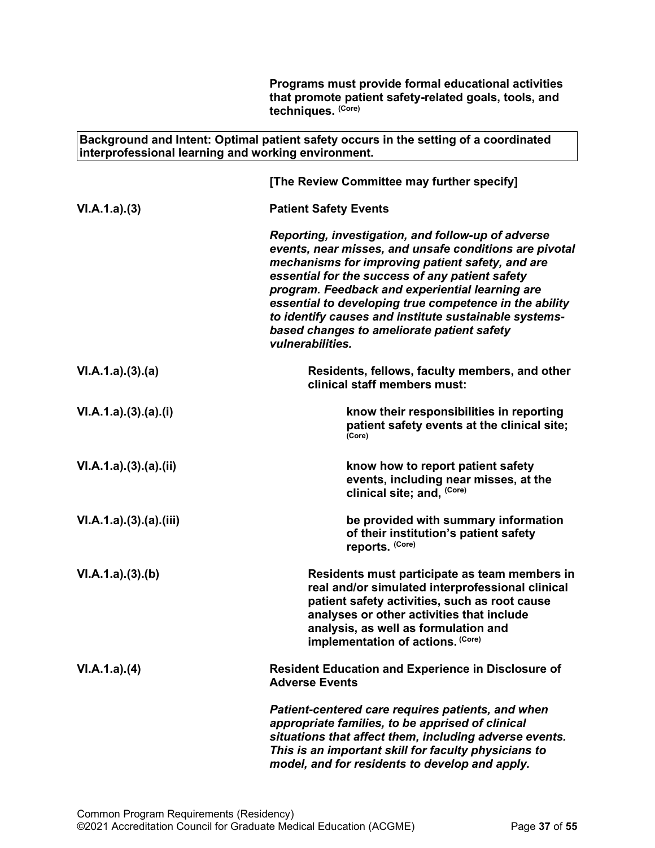|                                                     | Programs must provide formal educational activities<br>that promote patient safety-related goals, tools, and<br>techniques. (Core)                                                                                                                                                                                                                                                                                                                          |
|-----------------------------------------------------|-------------------------------------------------------------------------------------------------------------------------------------------------------------------------------------------------------------------------------------------------------------------------------------------------------------------------------------------------------------------------------------------------------------------------------------------------------------|
| interprofessional learning and working environment. | Background and Intent: Optimal patient safety occurs in the setting of a coordinated                                                                                                                                                                                                                                                                                                                                                                        |
|                                                     | [The Review Committee may further specify]                                                                                                                                                                                                                                                                                                                                                                                                                  |
| VI.A.1.a)(3)                                        | <b>Patient Safety Events</b>                                                                                                                                                                                                                                                                                                                                                                                                                                |
|                                                     | Reporting, investigation, and follow-up of adverse<br>events, near misses, and unsafe conditions are pivotal<br>mechanisms for improving patient safety, and are<br>essential for the success of any patient safety<br>program. Feedback and experiential learning are<br>essential to developing true competence in the ability<br>to identify causes and institute sustainable systems-<br>based changes to ameliorate patient safety<br>vulnerabilities. |
| VI.A.1.a)(3).(a)                                    | Residents, fellows, faculty members, and other<br>clinical staff members must:                                                                                                                                                                                                                                                                                                                                                                              |
| VI.A.1.a)(3)(a)(i)                                  | know their responsibilities in reporting<br>patient safety events at the clinical site;<br>(Core)                                                                                                                                                                                                                                                                                                                                                           |
| VI.A.1.a)(3).(a)(ii)                                | know how to report patient safety<br>events, including near misses, at the<br>clinical site; and, (Core)                                                                                                                                                                                                                                                                                                                                                    |
| VI.A.1.a)(3).(a).(iii)                              | be provided with summary information<br>of their institution's patient safety<br>reports. (Core)                                                                                                                                                                                                                                                                                                                                                            |
| VI.A.1.a)(3)(b)                                     | Residents must participate as team members in<br>real and/or simulated interprofessional clinical<br>patient safety activities, such as root cause<br>analyses or other activities that include<br>analysis, as well as formulation and<br>implementation of actions. (Core)                                                                                                                                                                                |
| VI.A.1.a)(4)                                        | <b>Resident Education and Experience in Disclosure of</b><br><b>Adverse Events</b>                                                                                                                                                                                                                                                                                                                                                                          |
|                                                     | Patient-centered care requires patients, and when<br>appropriate families, to be apprised of clinical<br>situations that affect them, including adverse events.<br>This is an important skill for faculty physicians to<br>model, and for residents to develop and apply.                                                                                                                                                                                   |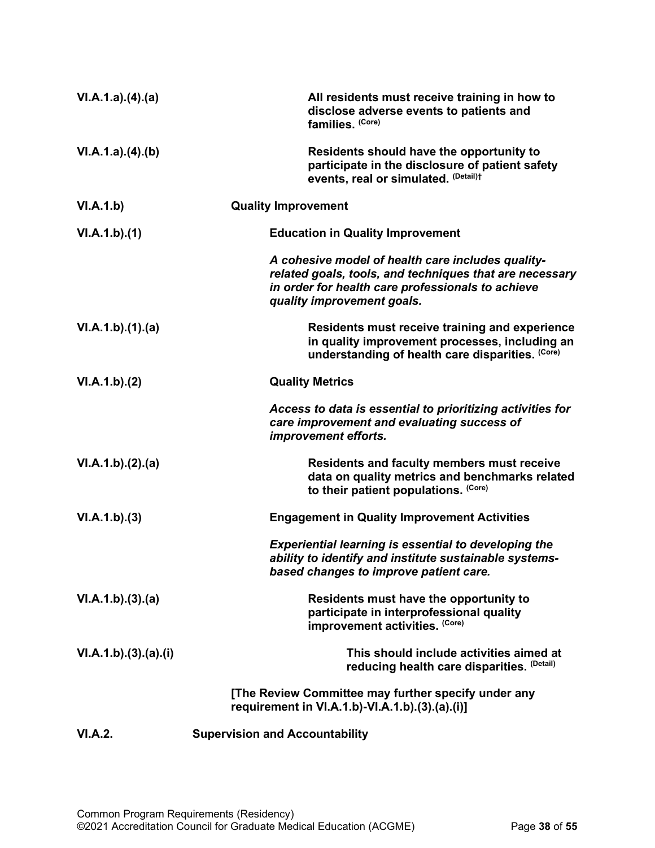| VI.A.1.a)(4)(a)    | All residents must receive training in how to<br>disclose adverse events to patients and<br>families. (Core)                                                                                    |
|--------------------|-------------------------------------------------------------------------------------------------------------------------------------------------------------------------------------------------|
| VI.A.1.a)(4)(b)    | Residents should have the opportunity to<br>participate in the disclosure of patient safety<br>events, real or simulated. (Detail)t                                                             |
| VI.A.1.b)          | <b>Quality Improvement</b>                                                                                                                                                                      |
| VI.A.1.b)(1)       | <b>Education in Quality Improvement</b>                                                                                                                                                         |
|                    | A cohesive model of health care includes quality-<br>related goals, tools, and techniques that are necessary<br>in order for health care professionals to achieve<br>quality improvement goals. |
| VI.A.1.b)(1)(a)    | Residents must receive training and experience<br>in quality improvement processes, including an<br>understanding of health care disparities. (Core)                                            |
| VI.A.1.b)(2)       | <b>Quality Metrics</b>                                                                                                                                                                          |
|                    | Access to data is essential to prioritizing activities for<br>care improvement and evaluating success of<br>improvement efforts.                                                                |
| VI.A.1.b)(2).(a)   | <b>Residents and faculty members must receive</b><br>data on quality metrics and benchmarks related<br>to their patient populations. (Core)                                                     |
| VI.A.1.b)(3)       | <b>Engagement in Quality Improvement Activities</b>                                                                                                                                             |
|                    | <b>Experiential learning is essential to developing the</b><br>ability to identify and institute sustainable systems-<br>based changes to improve patient care.                                 |
| VI.A.1.b)(3).(a)   | Residents must have the opportunity to<br>participate in interprofessional quality<br>improvement activities. (Core)                                                                            |
| VI.A.1.b)(3)(a)(i) | This should include activities aimed at<br>reducing health care disparities. (Detail)                                                                                                           |
|                    | [The Review Committee may further specify under any<br>requirement in VI.A.1.b)-VI.A.1.b).(3).(a).(i)]                                                                                          |
| <b>VI.A.2.</b>     | <b>Supervision and Accountability</b>                                                                                                                                                           |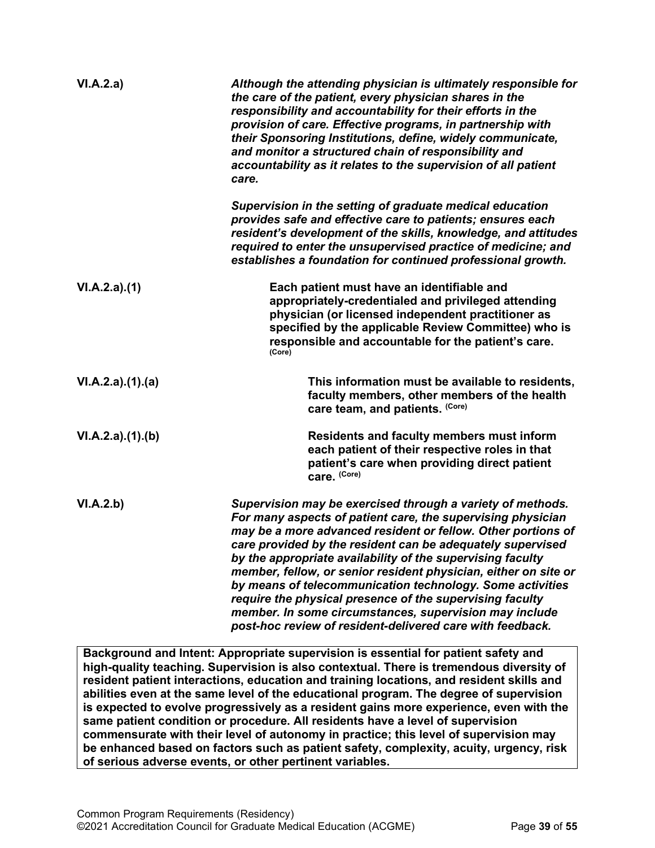| VI.A.2.a)        | Although the attending physician is ultimately responsible for<br>the care of the patient, every physician shares in the<br>responsibility and accountability for their efforts in the<br>provision of care. Effective programs, in partnership with<br>their Sponsoring Institutions, define, widely communicate,<br>and monitor a structured chain of responsibility and<br>accountability as it relates to the supervision of all patient<br>care.                                                                                                                                                                                    |
|------------------|------------------------------------------------------------------------------------------------------------------------------------------------------------------------------------------------------------------------------------------------------------------------------------------------------------------------------------------------------------------------------------------------------------------------------------------------------------------------------------------------------------------------------------------------------------------------------------------------------------------------------------------|
|                  | Supervision in the setting of graduate medical education<br>provides safe and effective care to patients; ensures each<br>resident's development of the skills, knowledge, and attitudes<br>required to enter the unsupervised practice of medicine; and<br>establishes a foundation for continued professional growth.                                                                                                                                                                                                                                                                                                                  |
| VI.A.2.a)(1)     | Each patient must have an identifiable and<br>appropriately-credentialed and privileged attending<br>physician (or licensed independent practitioner as<br>specified by the applicable Review Committee) who is<br>responsible and accountable for the patient's care.<br>(Core)                                                                                                                                                                                                                                                                                                                                                         |
| VI.A.2.a)(1).(a) | This information must be available to residents,<br>faculty members, other members of the health<br>care team, and patients. (Core)                                                                                                                                                                                                                                                                                                                                                                                                                                                                                                      |
| VI.A.2.a)(1)(b)  | <b>Residents and faculty members must inform</b><br>each patient of their respective roles in that<br>patient's care when providing direct patient<br>care. (Core)                                                                                                                                                                                                                                                                                                                                                                                                                                                                       |
| VI.A.2.b)        | Supervision may be exercised through a variety of methods.<br>For many aspects of patient care, the supervising physician<br>may be a more advanced resident or fellow. Other portions of<br>care provided by the resident can be adequately supervised<br>by the appropriate availability of the supervising faculty<br>member, fellow, or senior resident physician, either on site or<br>by means of telecommunication technology. Some activities<br>require the physical presence of the supervising faculty<br>member. In some circumstances, supervision may include<br>post-hoc review of resident-delivered care with feedback. |

**Background and Intent: Appropriate supervision is essential for patient safety and high-quality teaching. Supervision is also contextual. There is tremendous diversity of resident patient interactions, education and training locations, and resident skills and abilities even at the same level of the educational program. The degree of supervision is expected to evolve progressively as a resident gains more experience, even with the same patient condition or procedure. All residents have a level of supervision commensurate with their level of autonomy in practice; this level of supervision may be enhanced based on factors such as patient safety, complexity, acuity, urgency, risk of serious adverse events, or other pertinent variables.**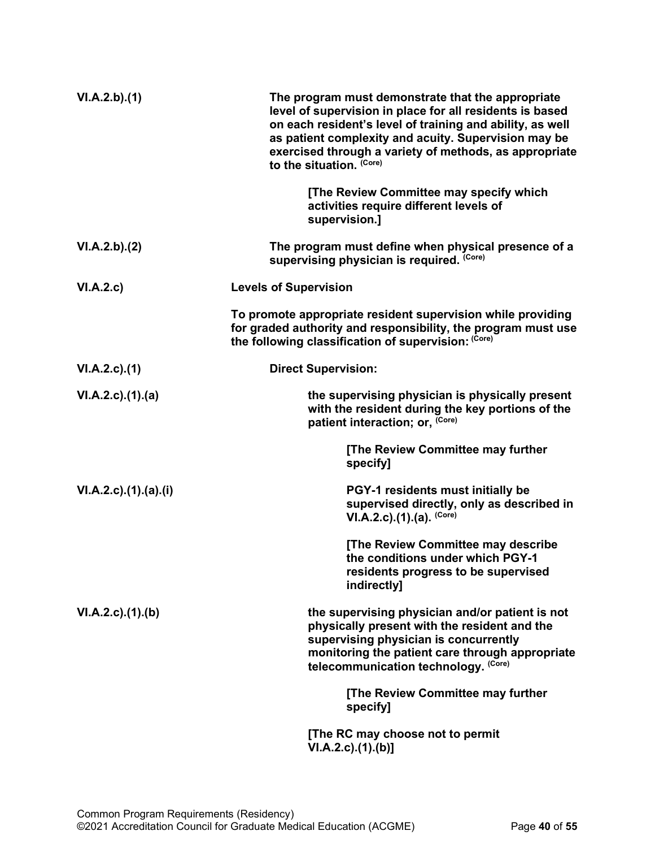| VI.A.2.b)(1)          | The program must demonstrate that the appropriate<br>level of supervision in place for all residents is based<br>on each resident's level of training and ability, as well<br>as patient complexity and acuity. Supervision may be<br>exercised through a variety of methods, as appropriate<br>to the situation. (Core) |
|-----------------------|--------------------------------------------------------------------------------------------------------------------------------------------------------------------------------------------------------------------------------------------------------------------------------------------------------------------------|
|                       | [The Review Committee may specify which<br>activities require different levels of<br>supervision.]                                                                                                                                                                                                                       |
| VI.A.2.b).(2)         | The program must define when physical presence of a<br>supervising physician is required. (Core)                                                                                                                                                                                                                         |
| VI.A.2.c)             | <b>Levels of Supervision</b>                                                                                                                                                                                                                                                                                             |
|                       | To promote appropriate resident supervision while providing<br>for graded authority and responsibility, the program must use<br>the following classification of supervision: (Core)                                                                                                                                      |
| VI.A.2.c.(1)          | <b>Direct Supervision:</b>                                                                                                                                                                                                                                                                                               |
| $VI.A.2.c.$ (1).(a)   | the supervising physician is physically present<br>with the resident during the key portions of the<br>patient interaction; or, (Core)                                                                                                                                                                                   |
|                       | [The Review Committee may further<br>specify]                                                                                                                                                                                                                                                                            |
| VI.A.2.c).(1).(a).(i) | PGY-1 residents must initially be<br>supervised directly, only as described in<br>$VI.A.2.c$ . (1). (a). $(Core)$                                                                                                                                                                                                        |
|                       | [The Review Committee may describe<br>the conditions under which PGY-1<br>residents progress to be supervised<br>indirectly]                                                                                                                                                                                             |
| VI.A.2.c)(1)(b)       | the supervising physician and/or patient is not<br>physically present with the resident and the<br>supervising physician is concurrently<br>monitoring the patient care through appropriate<br>telecommunication technology. (Core)                                                                                      |
|                       | [The Review Committee may further<br>specify]                                                                                                                                                                                                                                                                            |
|                       | [The RC may choose not to permit<br>VI.A.2.c)(1).(b)]                                                                                                                                                                                                                                                                    |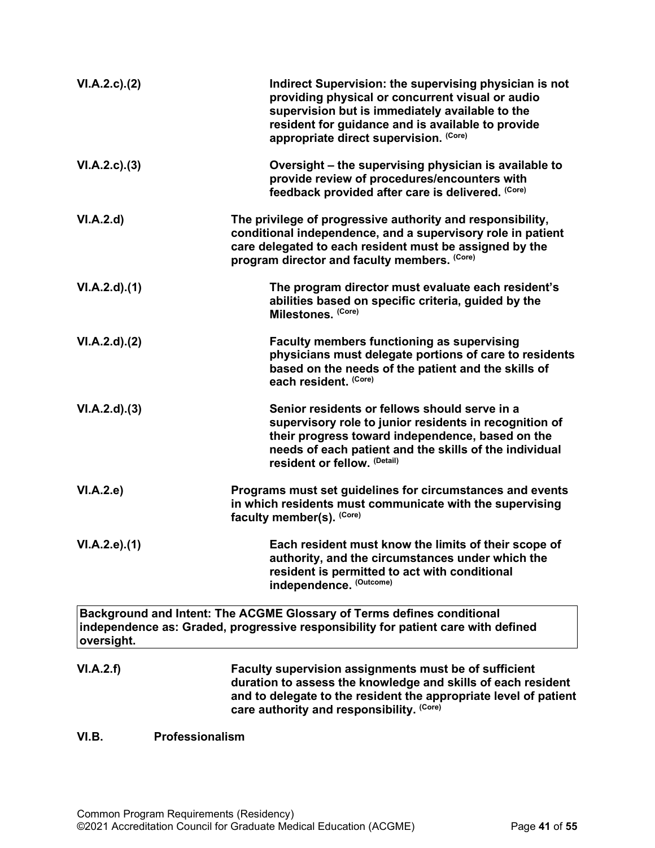| VI.A.2.c.2(2)      | Indirect Supervision: the supervising physician is not<br>providing physical or concurrent visual or audio<br>supervision but is immediately available to the<br>resident for guidance and is available to provide<br>appropriate direct supervision. (Core) |
|--------------------|--------------------------------------------------------------------------------------------------------------------------------------------------------------------------------------------------------------------------------------------------------------|
| VI.A.2.c.3)        | Oversight – the supervising physician is available to<br>provide review of procedures/encounters with<br>feedback provided after care is delivered. (Core)                                                                                                   |
| VI.A.2.d           | The privilege of progressive authority and responsibility,<br>conditional independence, and a supervisory role in patient<br>care delegated to each resident must be assigned by the<br>program director and faculty members. (Core)                         |
| VI.A.2.d)(1)       | The program director must evaluate each resident's<br>abilities based on specific criteria, guided by the<br>Milestones. (Core)                                                                                                                              |
| $VI.A.2.d$ . $(2)$ | <b>Faculty members functioning as supervising</b><br>physicians must delegate portions of care to residents<br>based on the needs of the patient and the skills of<br>each resident. (Core)                                                                  |
| VI.A.2.d)(3)       | Senior residents or fellows should serve in a<br>supervisory role to junior residents in recognition of<br>their progress toward independence, based on the<br>needs of each patient and the skills of the individual<br>resident or fellow. (Detail)        |
| VI.A.2.e)          | Programs must set guidelines for circumstances and events<br>in which residents must communicate with the supervising<br>faculty member(s). (Core)                                                                                                           |
| VI.A.2.e.(1)       | Each resident must know the limits of their scope of<br>authority, and the circumstances under which the<br>resident is permitted to act with conditional<br>independence. (Outcome)                                                                         |
| oversight.         | Background and Intent: The ACGME Glossary of Terms defines conditional<br>independence as: Graded, progressive responsibility for patient care with defined                                                                                                  |
| VI.A.2.f)          | Faculty supervision assignments must be of sufficient<br>duration to assess the knowledge and skills of each resident<br>and to delegate to the resident the appropriate level of patient<br>care authority and responsibility. (Core)                       |

# <span id="page-40-0"></span>**VI.B. Professionalism**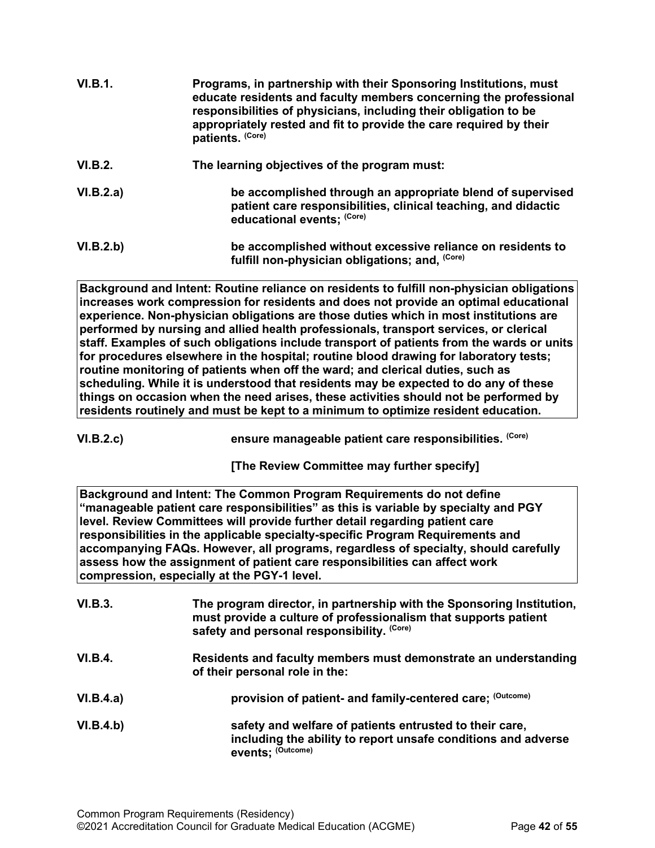| VI.B.1.   | Programs, in partnership with their Sponsoring Institutions, must<br>educate residents and faculty members concerning the professional<br>responsibilities of physicians, including their obligation to be<br>appropriately rested and fit to provide the care required by their<br>patients. (Core) |
|-----------|------------------------------------------------------------------------------------------------------------------------------------------------------------------------------------------------------------------------------------------------------------------------------------------------------|
| VI.B.2.   | The learning objectives of the program must:                                                                                                                                                                                                                                                         |
| VI.B.2.a) | be accomplished through an appropriate blend of supervised<br>patient care responsibilities, clinical teaching, and didactic<br>educational events; (Core)                                                                                                                                           |
| VI.B.2.b) | be accomplished without excessive reliance on residents to<br>fulfill non-physician obligations; and, (Core)                                                                                                                                                                                         |

**Background and Intent: Routine reliance on residents to fulfill non-physician obligations increases work compression for residents and does not provide an optimal educational experience. Non-physician obligations are those duties which in most institutions are performed by nursing and allied health professionals, transport services, or clerical staff. Examples of such obligations include transport of patients from the wards or units for procedures elsewhere in the hospital; routine blood drawing for laboratory tests; routine monitoring of patients when off the ward; and clerical duties, such as scheduling. While it is understood that residents may be expected to do any of these things on occasion when the need arises, these activities should not be performed by residents routinely and must be kept to a minimum to optimize resident education.**

VI.B.2.c) *ensure manageable patient care responsibilities.* **(Core)** 

**[The Review Committee may further specify]**

**Background and Intent: The Common Program Requirements do not define "manageable patient care responsibilities" as this is variable by specialty and PGY level. Review Committees will provide further detail regarding patient care responsibilities in the applicable specialty-specific Program Requirements and accompanying FAQs. However, all programs, regardless of specialty, should carefully assess how the assignment of patient care responsibilities can affect work compression, especially at the PGY-1 level.**

| VI.B.3.        | The program director, in partnership with the Sponsoring Institution,<br>must provide a culture of professionalism that supports patient<br>safety and personal responsibility. (Core) |
|----------------|----------------------------------------------------------------------------------------------------------------------------------------------------------------------------------------|
| <b>VI.B.4.</b> | Residents and faculty members must demonstrate an understanding<br>of their personal role in the:                                                                                      |
| VI.B.4.a)      | provision of patient- and family-centered care; (Outcome)                                                                                                                              |
| VI.B.4.b)      | safety and welfare of patients entrusted to their care,<br>including the ability to report unsafe conditions and adverse<br>events; (Outcome)                                          |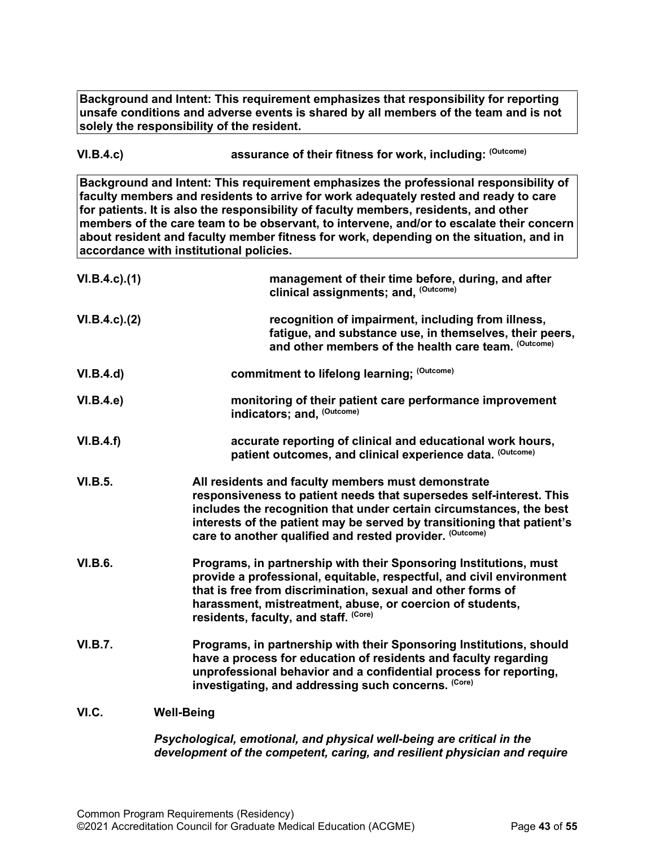**Background and Intent: This requirement emphasizes that responsibility for reporting unsafe conditions and adverse events is shared by all members of the team and is not solely the responsibility of the resident.**

VI.B.4.c) *assurance of their fitness for work, including:* **(Outcome)** 

**Background and Intent: This requirement emphasizes the professional responsibility of faculty members and residents to arrive for work adequately rested and ready to care for patients. It is also the responsibility of faculty members, residents, and other members of the care team to be observant, to intervene, and/or to escalate their concern about resident and faculty member fitness for work, depending on the situation, and in accordance with institutional policies.**

| $VI.B.4.c$ ). $(1)$ | management of their time before, during, and after<br>clinical assignments; and, (Outcome)                                                                                                                                                                                                                                             |
|---------------------|----------------------------------------------------------------------------------------------------------------------------------------------------------------------------------------------------------------------------------------------------------------------------------------------------------------------------------------|
| $VI.B.4.c$ ). $(2)$ | recognition of impairment, including from illness,<br>fatigue, and substance use, in themselves, their peers,<br>and other members of the health care team. (Outcome)                                                                                                                                                                  |
| VI.B.4.d)           | commitment to lifelong learning; (Outcome)                                                                                                                                                                                                                                                                                             |
| VI.B.4.e)           | monitoring of their patient care performance improvement<br>indicators; and, (Outcome)                                                                                                                                                                                                                                                 |
| VI.B.4.f)           | accurate reporting of clinical and educational work hours,<br>patient outcomes, and clinical experience data. (Outcome)                                                                                                                                                                                                                |
| <b>VI.B.5.</b>      | All residents and faculty members must demonstrate<br>responsiveness to patient needs that supersedes self-interest. This<br>includes the recognition that under certain circumstances, the best<br>interests of the patient may be served by transitioning that patient's<br>care to another qualified and rested provider. (Outcome) |
| <b>VI.B.6.</b>      | Programs, in partnership with their Sponsoring Institutions, must<br>provide a professional, equitable, respectful, and civil environment<br>that is free from discrimination, sexual and other forms of<br>harassment, mistreatment, abuse, or coercion of students,<br>residents, faculty, and staff. (Core)                         |
| <b>VI.B.7.</b>      | Programs, in partnership with their Sponsoring Institutions, should<br>have a process for education of residents and faculty regarding<br>unprofessional behavior and a confidential process for reporting,<br>investigating, and addressing such concerns. (Core)                                                                     |
| VI.C.               | <b>Well-Being</b>                                                                                                                                                                                                                                                                                                                      |

<span id="page-42-0"></span>*Psychological, emotional, and physical well-being are critical in the development of the competent, caring, and resilient physician and require*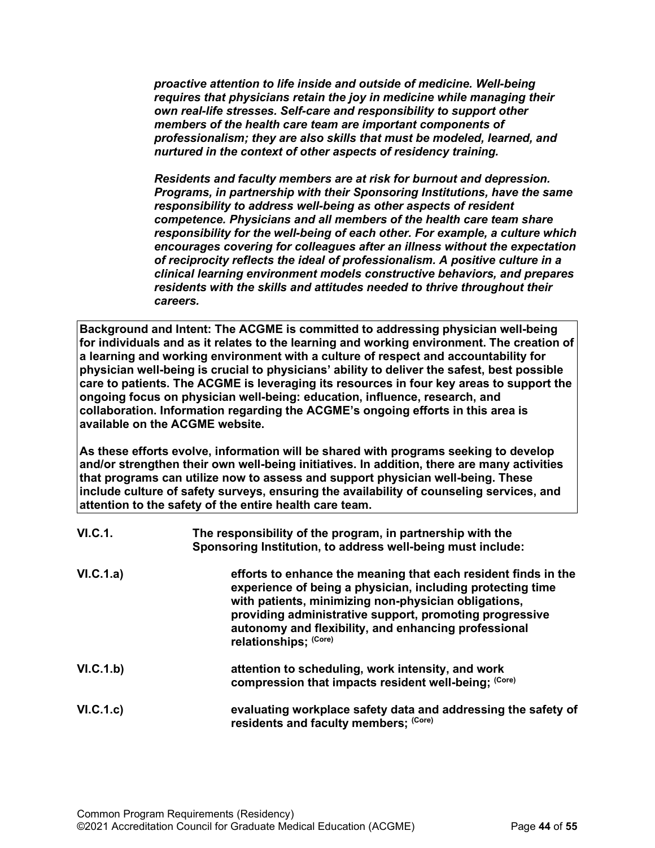*proactive attention to life inside and outside of medicine. Well-being requires that physicians retain the joy in medicine while managing their own real-life stresses. Self-care and responsibility to support other members of the health care team are important components of professionalism; they are also skills that must be modeled, learned, and nurtured in the context of other aspects of residency training.*

*Residents and faculty members are at risk for burnout and depression. Programs, in partnership with their Sponsoring Institutions, have the same responsibility to address well-being as other aspects of resident competence. Physicians and all members of the health care team share responsibility for the well-being of each other. For example, a culture which encourages covering for colleagues after an illness without the expectation of reciprocity reflects the ideal of professionalism. A positive culture in a clinical learning environment models constructive behaviors, and prepares residents with the skills and attitudes needed to thrive throughout their careers.*

**Background and Intent: The ACGME is committed to addressing physician well-being for individuals and as it relates to the learning and working environment. The creation of a learning and working environment with a culture of respect and accountability for physician well-being is crucial to physicians' ability to deliver the safest, best possible care to patients. The ACGME is leveraging its resources in four key areas to support the ongoing focus on physician well-being: education, influence, research, and collaboration. Information regarding the ACGME's ongoing efforts in this area is available on the ACGME website.**

**As these efforts evolve, information will be shared with programs seeking to develop and/or strengthen their own well-being initiatives. In addition, there are many activities that programs can utilize now to assess and support physician well-being. These include culture of safety surveys, ensuring the availability of counseling services, and attention to the safety of the entire health care team.**

| VI.C.1.   | The responsibility of the program, in partnership with the<br>Sponsoring Institution, to address well-being must include:                                                                                                                                                                                                        |
|-----------|----------------------------------------------------------------------------------------------------------------------------------------------------------------------------------------------------------------------------------------------------------------------------------------------------------------------------------|
| VI.C.1.a) | efforts to enhance the meaning that each resident finds in the<br>experience of being a physician, including protecting time<br>with patients, minimizing non-physician obligations,<br>providing administrative support, promoting progressive<br>autonomy and flexibility, and enhancing professional<br>relationships; (Core) |
| VI.C.1.b) | attention to scheduling, work intensity, and work<br>compression that impacts resident well-being; (Core)                                                                                                                                                                                                                        |
| VI.C.1.c) | evaluating workplace safety data and addressing the safety of<br>residents and faculty members; (Core)                                                                                                                                                                                                                           |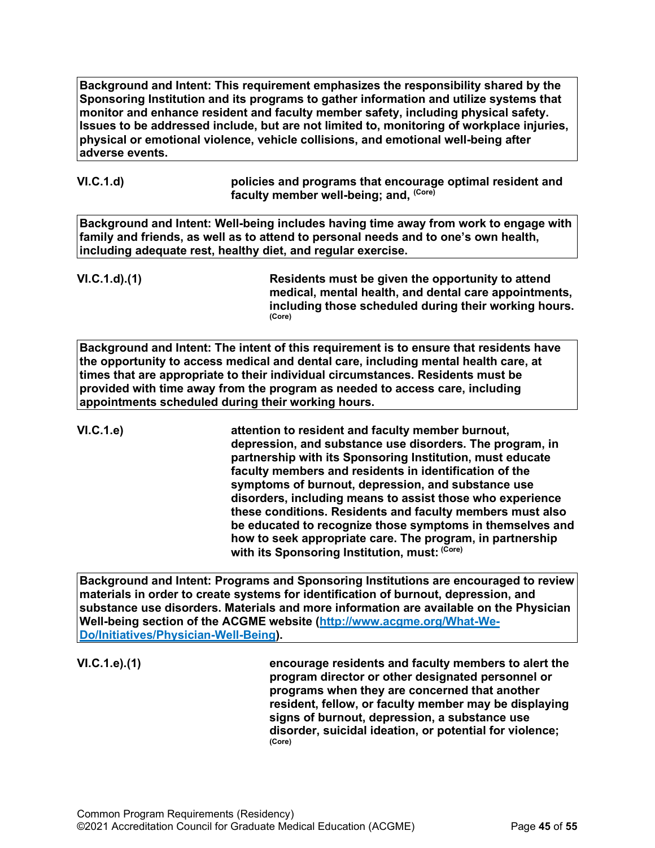**Background and Intent: This requirement emphasizes the responsibility shared by the Sponsoring Institution and its programs to gather information and utilize systems that monitor and enhance resident and faculty member safety, including physical safety. Issues to be addressed include, but are not limited to, monitoring of workplace injuries, physical or emotional violence, vehicle collisions, and emotional well-being after adverse events.**

**VI.C.1.d) policies and programs that encourage optimal resident and faculty member well-being; and, (Core)**

**Background and Intent: Well-being includes having time away from work to engage with family and friends, as well as to attend to personal needs and to one's own health, including adequate rest, healthy diet, and regular exercise.** 

**VI.C.1.d).(1) Residents must be given the opportunity to attend medical, mental health, and dental care appointments, including those scheduled during their working hours. (Core)**

**Background and Intent: The intent of this requirement is to ensure that residents have the opportunity to access medical and dental care, including mental health care, at times that are appropriate to their individual circumstances. Residents must be provided with time away from the program as needed to access care, including appointments scheduled during their working hours.**

**VI.C.1.e) attention to resident and faculty member burnout, depression, and substance use disorders. The program, in partnership with its Sponsoring Institution, must educate faculty members and residents in identification of the symptoms of burnout, depression, and substance use disorders, including means to assist those who experience these conditions. Residents and faculty members must also be educated to recognize those symptoms in themselves and how to seek appropriate care. The program, in partnership with its Sponsoring Institution, must: (Core)**

**Background and Intent: Programs and Sponsoring Institutions are encouraged to review materials in order to create systems for identification of burnout, depression, and substance use disorders. Materials and more information are available on the Physician Well-being section of the ACGME website [\(http://www.acgme.org/What-We-](http://www.acgme.org/What-We-Do/Initiatives/Physician-Well-Being)[Do/Initiatives/Physician-Well-Being\)](http://www.acgme.org/What-We-Do/Initiatives/Physician-Well-Being).**

**VI.C.1.e).(1) encourage residents and faculty members to alert the program director or other designated personnel or programs when they are concerned that another resident, fellow, or faculty member may be displaying signs of burnout, depression, a substance use disorder, suicidal ideation, or potential for violence; (Core)**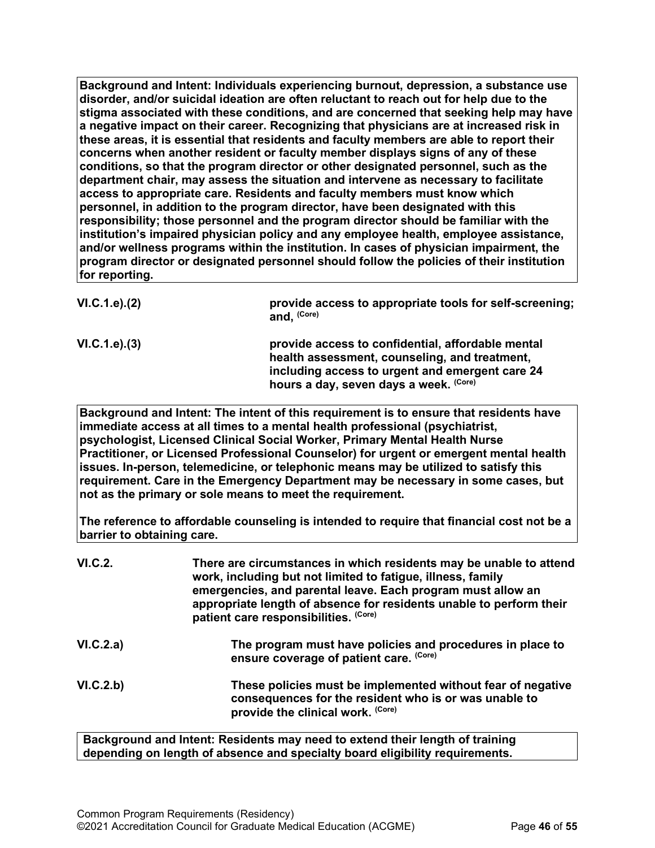**Background and Intent: Individuals experiencing burnout, depression, a substance use disorder, and/or suicidal ideation are often reluctant to reach out for help due to the stigma associated with these conditions, and are concerned that seeking help may have a negative impact on their career. Recognizing that physicians are at increased risk in these areas, it is essential that residents and faculty members are able to report their concerns when another resident or faculty member displays signs of any of these conditions, so that the program director or other designated personnel, such as the department chair, may assess the situation and intervene as necessary to facilitate access to appropriate care. Residents and faculty members must know which personnel, in addition to the program director, have been designated with this responsibility; those personnel and the program director should be familiar with the institution's impaired physician policy and any employee health, employee assistance, and/or wellness programs within the institution. In cases of physician impairment, the program director or designated personnel should follow the policies of their institution for reporting.**

| VI.C.1.e). (2) | provide access to appropriate tools for self-screening;<br>and, (Core)                                                                                                                          |
|----------------|-------------------------------------------------------------------------------------------------------------------------------------------------------------------------------------------------|
| VI.C.1.e). (3) | provide access to confidential, affordable mental<br>health assessment, counseling, and treatment,<br>including access to urgent and emergent care 24<br>hours a day, seven days a week. (Core) |

**Background and Intent: The intent of this requirement is to ensure that residents have immediate access at all times to a mental health professional (psychiatrist, psychologist, Licensed Clinical Social Worker, Primary Mental Health Nurse Practitioner, or Licensed Professional Counselor) for urgent or emergent mental health issues. In-person, telemedicine, or telephonic means may be utilized to satisfy this requirement. Care in the Emergency Department may be necessary in some cases, but not as the primary or sole means to meet the requirement.**

**The reference to affordable counseling is intended to require that financial cost not be a barrier to obtaining care.**

| VI.C.2.   | There are circumstances in which residents may be unable to attend<br>work, including but not limited to fatigue, illness, family<br>emergencies, and parental leave. Each program must allow an<br>appropriate length of absence for residents unable to perform their<br>patient care responsibilities. (Core) |
|-----------|------------------------------------------------------------------------------------------------------------------------------------------------------------------------------------------------------------------------------------------------------------------------------------------------------------------|
| VI.C.2.a) | The program must have policies and procedures in place to<br>ensure coverage of patient care. (Core)                                                                                                                                                                                                             |
| VI.C.2.b) | These policies must be implemented without fear of negative<br>consequences for the resident who is or was unable to<br>provide the clinical work. (Core)                                                                                                                                                        |

**Background and Intent: Residents may need to extend their length of training depending on length of absence and specialty board eligibility requirements.**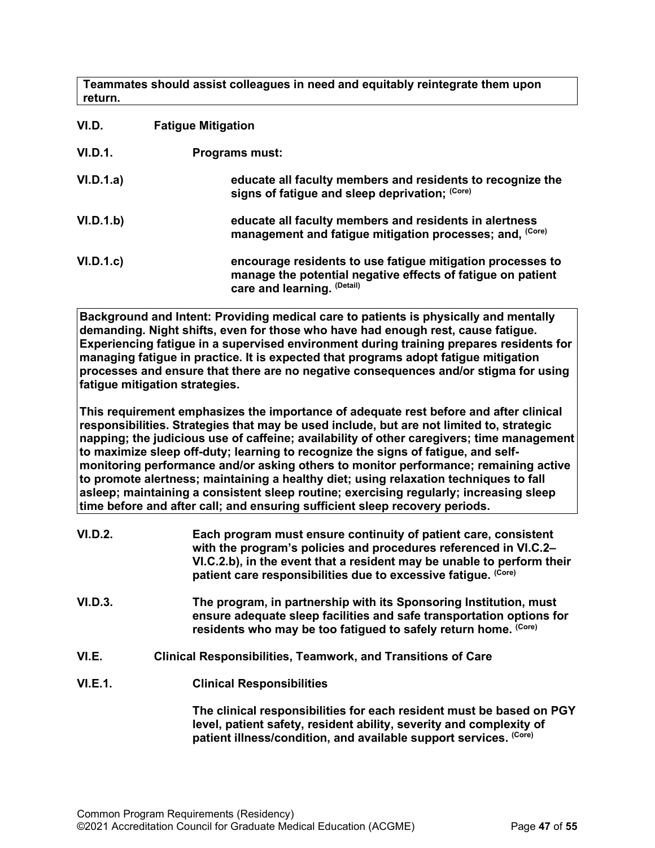**Teammates should assist colleagues in need and equitably reintegrate them upon return.**

<span id="page-46-0"></span>

| VI.D.     | <b>Fatigue Mitigation</b>                                                                                                                                |  |
|-----------|----------------------------------------------------------------------------------------------------------------------------------------------------------|--|
| VI.D.1.   | <b>Programs must:</b>                                                                                                                                    |  |
| VI.D.1.a) | educate all faculty members and residents to recognize the<br>signs of fatigue and sleep deprivation; (Core)                                             |  |
| VI.D.1.b) | educate all faculty members and residents in alertness<br>management and fatigue mitigation processes; and, (Core)                                       |  |
| VI.D.1.c  | encourage residents to use fatigue mitigation processes to<br>manage the potential negative effects of fatigue on patient<br>care and learning. (Detail) |  |

**Background and Intent: Providing medical care to patients is physically and mentally demanding. Night shifts, even for those who have had enough rest, cause fatigue. Experiencing fatigue in a supervised environment during training prepares residents for managing fatigue in practice. It is expected that programs adopt fatigue mitigation processes and ensure that there are no negative consequences and/or stigma for using fatigue mitigation strategies.**

**This requirement emphasizes the importance of adequate rest before and after clinical responsibilities. Strategies that may be used include, but are not limited to, strategic napping; the judicious use of caffeine; availability of other caregivers; time management to maximize sleep off-duty; learning to recognize the signs of fatigue, and selfmonitoring performance and/or asking others to monitor performance; remaining active to promote alertness; maintaining a healthy diet; using relaxation techniques to fall asleep; maintaining a consistent sleep routine; exercising regularly; increasing sleep time before and after call; and ensuring sufficient sleep recovery periods.**

<span id="page-46-1"></span>

| <b>VI.D.2.</b> | Each program must ensure continuity of patient care, consistent<br>with the program's policies and procedures referenced in VI.C.2–<br>VI.C.2.b), in the event that a resident may be unable to perform their<br>patient care responsibilities due to excessive fatigue. (Core) |
|----------------|---------------------------------------------------------------------------------------------------------------------------------------------------------------------------------------------------------------------------------------------------------------------------------|
| VI.D.3.        | The program, in partnership with its Sponsoring Institution, must<br>ensure adequate sleep facilities and safe transportation options for<br>residents who may be too fatigued to safely return home. (Core)                                                                    |
| VI.E.          | <b>Clinical Responsibilities, Teamwork, and Transitions of Care</b>                                                                                                                                                                                                             |
| VI.E.1.        | <b>Clinical Responsibilities</b>                                                                                                                                                                                                                                                |
|                | The clinical responsibilities for each resident must be based on PGY<br>level, patient safety, resident ability, severity and complexity of<br>patient illness/condition, and available support services. (Core)                                                                |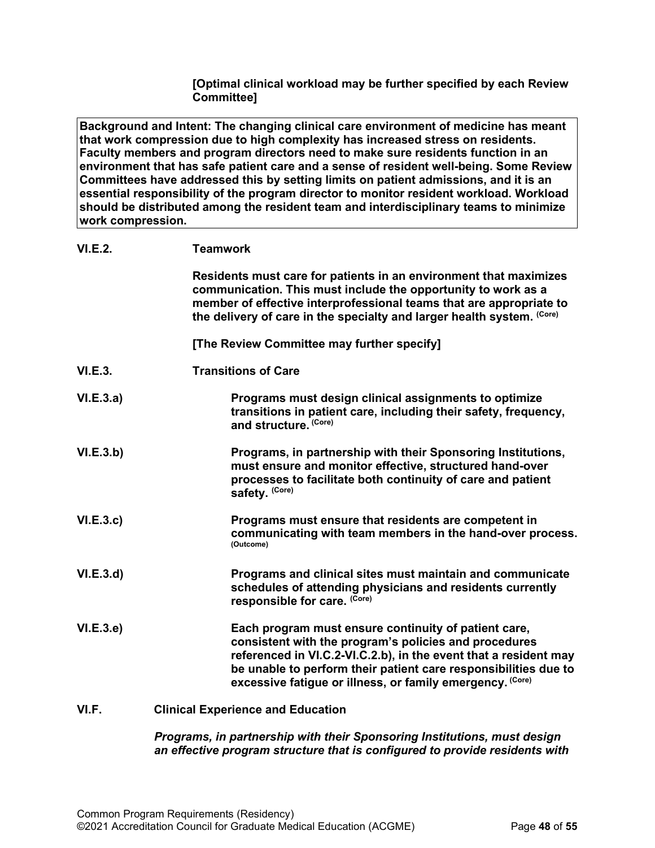**[Optimal clinical workload may be further specified by each Review Committee]**

**Background and Intent: The changing clinical care environment of medicine has meant that work compression due to high complexity has increased stress on residents. Faculty members and program directors need to make sure residents function in an environment that has safe patient care and a sense of resident well-being. Some Review Committees have addressed this by setting limits on patient admissions, and it is an essential responsibility of the program director to monitor resident workload. Workload should be distributed among the resident team and interdisciplinary teams to minimize work compression.**

| VI.E.2. | <b>Teamwork</b> |
|---------|-----------------|
|         |                 |

|                  | Residents must care for patients in an environment that maximizes<br>communication. This must include the opportunity to work as a<br>member of effective interprofessional teams that are appropriate to<br>the delivery of care in the specialty and larger health system. (Core)                               |
|------------------|-------------------------------------------------------------------------------------------------------------------------------------------------------------------------------------------------------------------------------------------------------------------------------------------------------------------|
|                  | [The Review Committee may further specify]                                                                                                                                                                                                                                                                        |
| <b>VI.E.3.</b>   | <b>Transitions of Care</b>                                                                                                                                                                                                                                                                                        |
| <b>VI.E.3.a)</b> | Programs must design clinical assignments to optimize<br>transitions in patient care, including their safety, frequency,<br>and structure. (Core)                                                                                                                                                                 |
| VI.E.3.b)        | Programs, in partnership with their Sponsoring Institutions,<br>must ensure and monitor effective, structured hand-over<br>processes to facilitate both continuity of care and patient<br>safety. (Core)                                                                                                          |
| <b>VI.E.3.c)</b> | Programs must ensure that residents are competent in<br>communicating with team members in the hand-over process.<br>(Outcome)                                                                                                                                                                                    |
| VI.E.3.d)        | Programs and clinical sites must maintain and communicate<br>schedules of attending physicians and residents currently<br>responsible for care. (Core)                                                                                                                                                            |
| <b>VI.E.3.e)</b> | Each program must ensure continuity of patient care,<br>consistent with the program's policies and procedures<br>referenced in VI.C.2-VI.C.2.b), in the event that a resident may<br>be unable to perform their patient care responsibilities due to<br>excessive fatigue or illness, or family emergency. (Core) |

### <span id="page-47-0"></span>**VI.F. Clinical Experience and Education**

*Programs, in partnership with their Sponsoring Institutions, must design an effective program structure that is configured to provide residents with*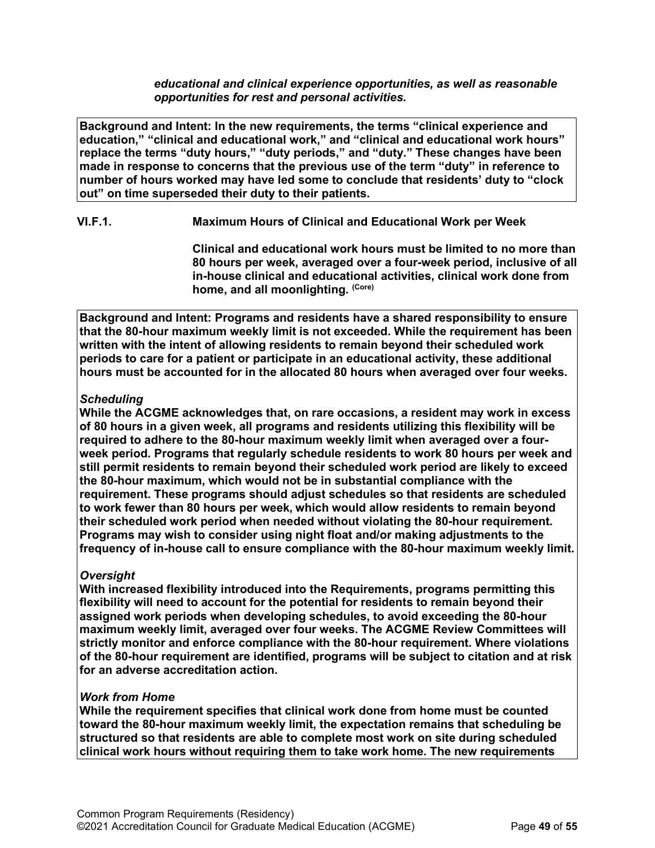*educational and clinical experience opportunities, as well as reasonable opportunities for rest and personal activities.*

**Background and Intent: In the new requirements, the terms "clinical experience and education," "clinical and educational work," and "clinical and educational work hours" replace the terms "duty hours," "duty periods," and "duty." These changes have been made in response to concerns that the previous use of the term "duty" in reference to number of hours worked may have led some to conclude that residents' duty to "clock out" on time superseded their duty to their patients.**

# **VI.F.1. Maximum Hours of Clinical and Educational Work per Week**

**Clinical and educational work hours must be limited to no more than 80 hours per week, averaged over a four-week period, inclusive of all in-house clinical and educational activities, clinical work done from home, and all moonlighting. (Core)**

**Background and Intent: Programs and residents have a shared responsibility to ensure that the 80-hour maximum weekly limit is not exceeded. While the requirement has been written with the intent of allowing residents to remain beyond their scheduled work periods to care for a patient or participate in an educational activity, these additional hours must be accounted for in the allocated 80 hours when averaged over four weeks.**

### *Scheduling*

**While the ACGME acknowledges that, on rare occasions, a resident may work in excess of 80 hours in a given week, all programs and residents utilizing this flexibility will be required to adhere to the 80-hour maximum weekly limit when averaged over a fourweek period. Programs that regularly schedule residents to work 80 hours per week and still permit residents to remain beyond their scheduled work period are likely to exceed the 80-hour maximum, which would not be in substantial compliance with the requirement. These programs should adjust schedules so that residents are scheduled to work fewer than 80 hours per week, which would allow residents to remain beyond their scheduled work period when needed without violating the 80-hour requirement. Programs may wish to consider using night float and/or making adjustments to the frequency of in-house call to ensure compliance with the 80-hour maximum weekly limit.**

### *Oversight*

**With increased flexibility introduced into the Requirements, programs permitting this flexibility will need to account for the potential for residents to remain beyond their assigned work periods when developing schedules, to avoid exceeding the 80-hour maximum weekly limit, averaged over four weeks. The ACGME Review Committees will strictly monitor and enforce compliance with the 80-hour requirement. Where violations of the 80-hour requirement are identified, programs will be subject to citation and at risk for an adverse accreditation action.**

### *Work from Home*

**While the requirement specifies that clinical work done from home must be counted toward the 80-hour maximum weekly limit, the expectation remains that scheduling be structured so that residents are able to complete most work on site during scheduled clinical work hours without requiring them to take work home. The new requirements**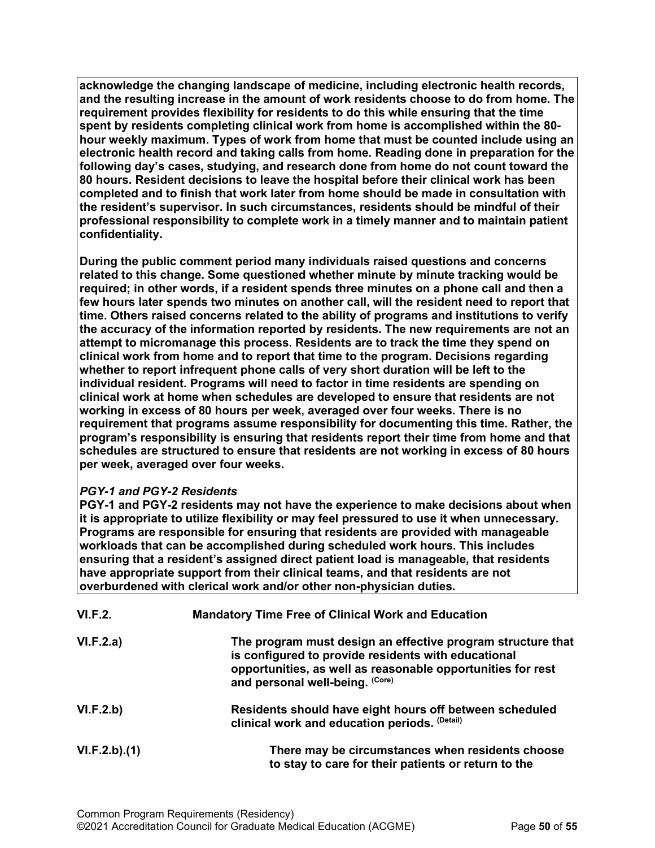**acknowledge the changing landscape of medicine, including electronic health records, and the resulting increase in the amount of work residents choose to do from home. The requirement provides flexibility for residents to do this while ensuring that the time spent by residents completing clinical work from home is accomplished within the 80 hour weekly maximum. Types of work from home that must be counted include using an electronic health record and taking calls from home. Reading done in preparation for the following day's cases, studying, and research done from home do not count toward the 80 hours. Resident decisions to leave the hospital before their clinical work has been completed and to finish that work later from home should be made in consultation with the resident's supervisor. In such circumstances, residents should be mindful of their professional responsibility to complete work in a timely manner and to maintain patient confidentiality.**

**During the public comment period many individuals raised questions and concerns related to this change. Some questioned whether minute by minute tracking would be required; in other words, if a resident spends three minutes on a phone call and then a few hours later spends two minutes on another call, will the resident need to report that time. Others raised concerns related to the ability of programs and institutions to verify the accuracy of the information reported by residents. The new requirements are not an attempt to micromanage this process. Residents are to track the time they spend on clinical work from home and to report that time to the program. Decisions regarding whether to report infrequent phone calls of very short duration will be left to the individual resident. Programs will need to factor in time residents are spending on clinical work at home when schedules are developed to ensure that residents are not working in excess of 80 hours per week, averaged over four weeks. There is no requirement that programs assume responsibility for documenting this time. Rather, the program's responsibility is ensuring that residents report their time from home and that schedules are structured to ensure that residents are not working in excess of 80 hours per week, averaged over four weeks.**

# *PGY-1 and PGY-2 Residents*

**PGY-1 and PGY-2 residents may not have the experience to make decisions about when it is appropriate to utilize flexibility or may feel pressured to use it when unnecessary. Programs are responsible for ensuring that residents are provided with manageable workloads that can be accomplished during scheduled work hours. This includes ensuring that a resident's assigned direct patient load is manageable, that residents have appropriate support from their clinical teams, and that residents are not overburdened with clerical work and/or other non-physician duties.**

| VI.F.2.      | <b>Mandatory Time Free of Clinical Work and Education</b>                                                                                                                                                            |
|--------------|----------------------------------------------------------------------------------------------------------------------------------------------------------------------------------------------------------------------|
| VI.F.2.a)    | The program must design an effective program structure that<br>is configured to provide residents with educational<br>opportunities, as well as reasonable opportunities for rest<br>and personal well-being. (Core) |
| VI.F.2.b)    | Residents should have eight hours off between scheduled<br>clinical work and education periods. (Detail)                                                                                                             |
| VI.F.2.b)(1) | There may be circumstances when residents choose<br>to stay to care for their patients or return to the                                                                                                              |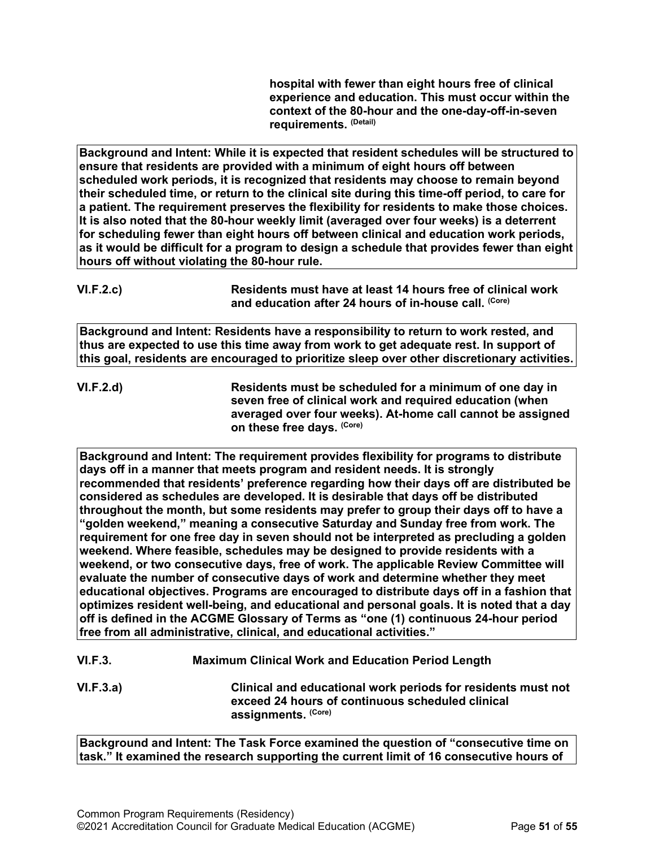**hospital with fewer than eight hours free of clinical experience and education. This must occur within the context of the 80-hour and the one-day-off-in-seven requirements. (Detail)**

**Background and Intent: While it is expected that resident schedules will be structured to ensure that residents are provided with a minimum of eight hours off between scheduled work periods, it is recognized that residents may choose to remain beyond their scheduled time, or return to the clinical site during this time-off period, to care for a patient. The requirement preserves the flexibility for residents to make those choices. It is also noted that the 80-hour weekly limit (averaged over four weeks) is a deterrent for scheduling fewer than eight hours off between clinical and education work periods, as it would be difficult for a program to design a schedule that provides fewer than eight hours off without violating the 80-hour rule.**

**VI.F.2.c) Residents must have at least 14 hours free of clinical work and education after 24 hours of in-house call. (Core)**

**Background and Intent: Residents have a responsibility to return to work rested, and thus are expected to use this time away from work to get adequate rest. In support of this goal, residents are encouraged to prioritize sleep over other discretionary activities.**

**VI.F.2.d) Residents must be scheduled for a minimum of one day in seven free of clinical work and required education (when averaged over four weeks). At-home call cannot be assigned on these free days. (Core)**

**Background and Intent: The requirement provides flexibility for programs to distribute days off in a manner that meets program and resident needs. It is strongly recommended that residents' preference regarding how their days off are distributed be considered as schedules are developed. It is desirable that days off be distributed throughout the month, but some residents may prefer to group their days off to have a "golden weekend," meaning a consecutive Saturday and Sunday free from work. The requirement for one free day in seven should not be interpreted as precluding a golden weekend. Where feasible, schedules may be designed to provide residents with a weekend, or two consecutive days, free of work. The applicable Review Committee will evaluate the number of consecutive days of work and determine whether they meet educational objectives. Programs are encouraged to distribute days off in a fashion that optimizes resident well-being, and educational and personal goals. It is noted that a day off is defined in the ACGME Glossary of Terms as "one (1) continuous 24-hour period free from all administrative, clinical, and educational activities."**

**VI.F.3. Maximum Clinical Work and Education Period Length**

**VI.F.3.a) Clinical and educational work periods for residents must not exceed 24 hours of continuous scheduled clinical assignments. (Core)**

**Background and Intent: The Task Force examined the question of "consecutive time on task." It examined the research supporting the current limit of 16 consecutive hours of**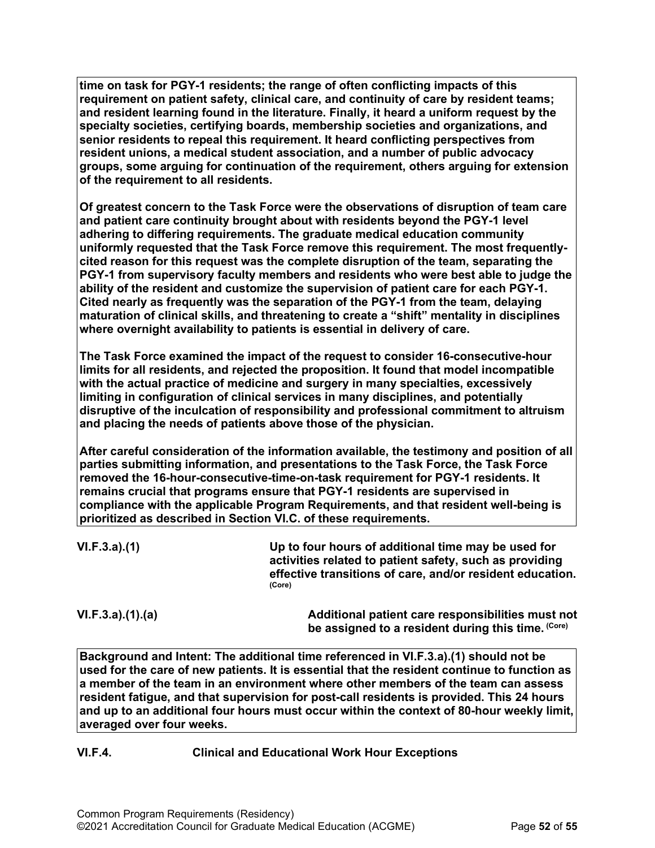**time on task for PGY-1 residents; the range of often conflicting impacts of this requirement on patient safety, clinical care, and continuity of care by resident teams; and resident learning found in the literature. Finally, it heard a uniform request by the specialty societies, certifying boards, membership societies and organizations, and senior residents to repeal this requirement. It heard conflicting perspectives from resident unions, a medical student association, and a number of public advocacy groups, some arguing for continuation of the requirement, others arguing for extension of the requirement to all residents.**

**Of greatest concern to the Task Force were the observations of disruption of team care and patient care continuity brought about with residents beyond the PGY-1 level adhering to differing requirements. The graduate medical education community uniformly requested that the Task Force remove this requirement. The most frequentlycited reason for this request was the complete disruption of the team, separating the PGY-1 from supervisory faculty members and residents who were best able to judge the ability of the resident and customize the supervision of patient care for each PGY-1. Cited nearly as frequently was the separation of the PGY-1 from the team, delaying maturation of clinical skills, and threatening to create a "shift" mentality in disciplines where overnight availability to patients is essential in delivery of care.**

**The Task Force examined the impact of the request to consider 16-consecutive-hour limits for all residents, and rejected the proposition. It found that model incompatible with the actual practice of medicine and surgery in many specialties, excessively limiting in configuration of clinical services in many disciplines, and potentially disruptive of the inculcation of responsibility and professional commitment to altruism and placing the needs of patients above those of the physician.**

**After careful consideration of the information available, the testimony and position of all parties submitting information, and presentations to the Task Force, the Task Force removed the 16-hour-consecutive-time-on-task requirement for PGY-1 residents. It remains crucial that programs ensure that PGY-1 residents are supervised in compliance with the applicable Program Requirements, and that resident well-being is prioritized as described in Section VI.C. of these requirements.**

| VI.F.3.a)(1) | Up to four hours of additional time may be used for                                                                  |
|--------------|----------------------------------------------------------------------------------------------------------------------|
|              | activities related to patient safety, such as providing<br>effective transitions of care, and/or resident education. |
|              | (Core)                                                                                                               |

**VI.F.3.a).(1).(a) Additional patient care responsibilities must not be assigned to a resident during this time. (Core)**

**Background and Intent: The additional time referenced in VI.F.3.a).(1) should not be used for the care of new patients. It is essential that the resident continue to function as a member of the team in an environment where other members of the team can assess resident fatigue, and that supervision for post-call residents is provided. This 24 hours and up to an additional four hours must occur within the context of 80-hour weekly limit, averaged over four weeks.**

# **VI.F.4. Clinical and Educational Work Hour Exceptions**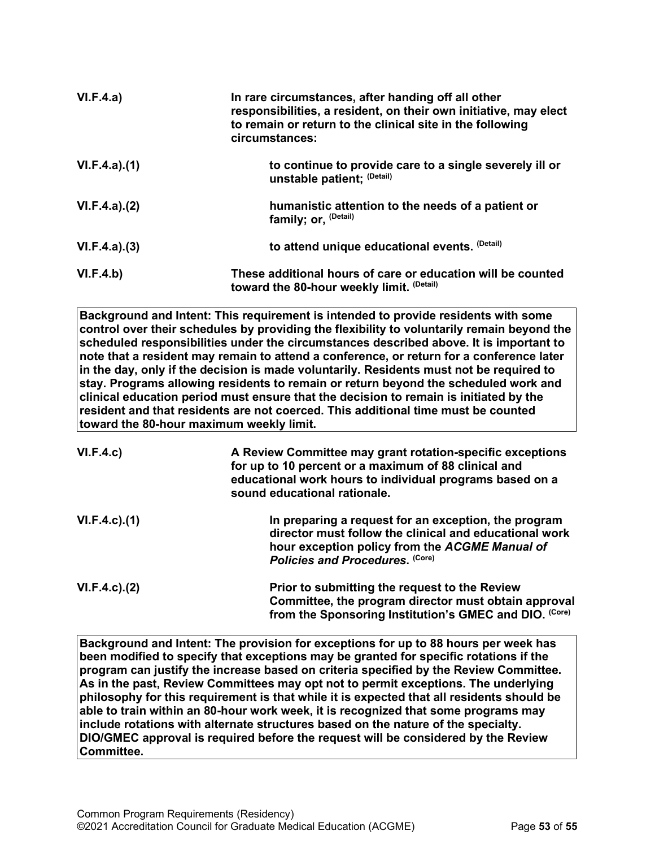| VI.F.4.a)    | In rare circumstances, after handing off all other<br>responsibilities, a resident, on their own initiative, may elect<br>to remain or return to the clinical site in the following<br>circumstances: |
|--------------|-------------------------------------------------------------------------------------------------------------------------------------------------------------------------------------------------------|
| VI.F.4.a)(1) | to continue to provide care to a single severely ill or<br>unstable patient; (Detail)                                                                                                                 |
| VI.F.4.a)(2) | humanistic attention to the needs of a patient or<br>family; or, <sup>(Detail)</sup>                                                                                                                  |
| VI.F.4.a)(3) | to attend unique educational events. (Detail)                                                                                                                                                         |
| VI.F.4.b)    | These additional hours of care or education will be counted<br>toward the 80-hour weekly limit. (Detail)                                                                                              |

**Background and Intent: This requirement is intended to provide residents with some control over their schedules by providing the flexibility to voluntarily remain beyond the scheduled responsibilities under the circumstances described above. It is important to note that a resident may remain to attend a conference, or return for a conference later in the day, only if the decision is made voluntarily. Residents must not be required to stay. Programs allowing residents to remain or return beyond the scheduled work and clinical education period must ensure that the decision to remain is initiated by the resident and that residents are not coerced. This additional time must be counted toward the 80-hour maximum weekly limit.**

| VI.F.4.c)           | A Review Committee may grant rotation-specific exceptions<br>for up to 10 percent or a maximum of 88 clinical and<br>educational work hours to individual programs based on a<br>sound educational rationale. |
|---------------------|---------------------------------------------------------------------------------------------------------------------------------------------------------------------------------------------------------------|
| $VI.F.4.c$ ). $(1)$ | In preparing a request for an exception, the program<br>director must follow the clinical and educational work<br>hour exception policy from the ACGME Manual of<br>Policies and Procedures. (Core)           |
| $VI.F.4.c$ . $(2)$  | Prior to submitting the request to the Review<br>Committee, the program director must obtain approval<br>from the Sponsoring Institution's GMEC and DIO. (Core)                                               |

**Background and Intent: The provision for exceptions for up to 88 hours per week has been modified to specify that exceptions may be granted for specific rotations if the program can justify the increase based on criteria specified by the Review Committee. As in the past, Review Committees may opt not to permit exceptions. The underlying philosophy for this requirement is that while it is expected that all residents should be able to train within an 80-hour work week, it is recognized that some programs may include rotations with alternate structures based on the nature of the specialty. DIO/GMEC approval is required before the request will be considered by the Review Committee.**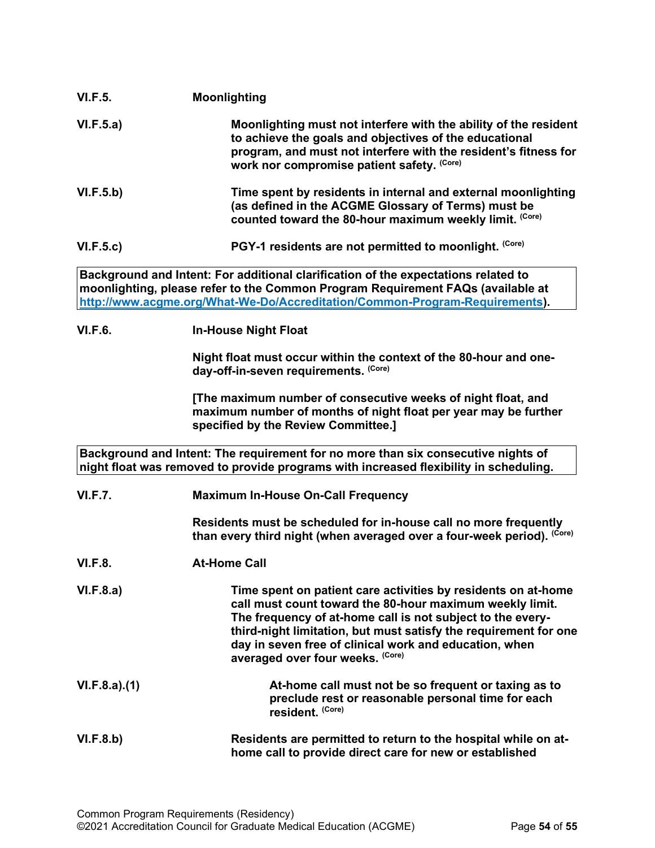| <b>VI.F.5.</b>                                                                                                                                                             | <b>Moonlighting</b>                                                                                                                                                                                                                                                                                                                                       |
|----------------------------------------------------------------------------------------------------------------------------------------------------------------------------|-----------------------------------------------------------------------------------------------------------------------------------------------------------------------------------------------------------------------------------------------------------------------------------------------------------------------------------------------------------|
| VI.F.5.a)                                                                                                                                                                  | Moonlighting must not interfere with the ability of the resident<br>to achieve the goals and objectives of the educational<br>program, and must not interfere with the resident's fitness for<br>work nor compromise patient safety. (Core)                                                                                                               |
| VI.F.5.b)                                                                                                                                                                  | Time spent by residents in internal and external moonlighting<br>(as defined in the ACGME Glossary of Terms) must be<br>counted toward the 80-hour maximum weekly limit. (Core)                                                                                                                                                                           |
| VI.F.5.c)                                                                                                                                                                  | PGY-1 residents are not permitted to moonlight. (Core)                                                                                                                                                                                                                                                                                                    |
|                                                                                                                                                                            | Background and Intent: For additional clarification of the expectations related to<br>moonlighting, please refer to the Common Program Requirement FAQs (available at<br>http://www.acgme.org/What-We-Do/Accreditation/Common-Program-Requirements).                                                                                                      |
| <b>VI.F.6.</b>                                                                                                                                                             | <b>In-House Night Float</b>                                                                                                                                                                                                                                                                                                                               |
|                                                                                                                                                                            | Night float must occur within the context of the 80-hour and one-<br>day-off-in-seven requirements. (Core)                                                                                                                                                                                                                                                |
|                                                                                                                                                                            | [The maximum number of consecutive weeks of night float, and<br>maximum number of months of night float per year may be further<br>specified by the Review Committee.]                                                                                                                                                                                    |
| Background and Intent: The requirement for no more than six consecutive nights of<br>night float was removed to provide programs with increased flexibility in scheduling. |                                                                                                                                                                                                                                                                                                                                                           |
| <b>VI.F.7.</b>                                                                                                                                                             | <b>Maximum In-House On-Call Frequency</b>                                                                                                                                                                                                                                                                                                                 |
|                                                                                                                                                                            | Residents must be scheduled for in-house call no more frequently<br>than every third night (when averaged over a four-week period). (Core)                                                                                                                                                                                                                |
| <b>VI.F.8.</b>                                                                                                                                                             | <b>At-Home Call</b>                                                                                                                                                                                                                                                                                                                                       |
| VI.F.8.a)                                                                                                                                                                  | Time spent on patient care activities by residents on at-home<br>call must count toward the 80-hour maximum weekly limit.<br>The frequency of at-home call is not subject to the every-<br>third-night limitation, but must satisfy the requirement for one<br>day in seven free of clinical work and education, when<br>averaged over four weeks. (Core) |
| VI.F.8.a)(1)                                                                                                                                                               | At-home call must not be so frequent or taxing as to<br>preclude rest or reasonable personal time for each<br>resident. (Core)                                                                                                                                                                                                                            |
| VI.F.8.b)                                                                                                                                                                  | Residents are permitted to return to the hospital while on at-<br>home call to provide direct care for new or established                                                                                                                                                                                                                                 |